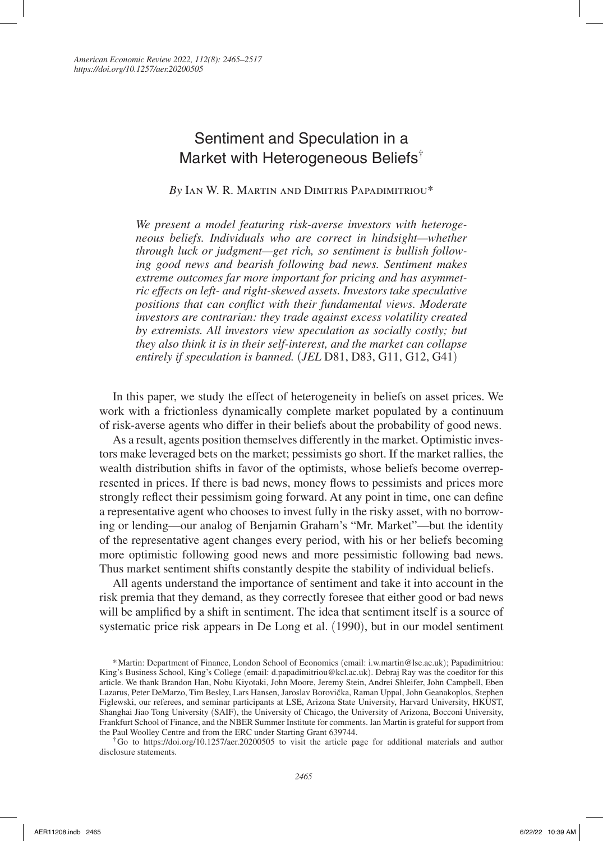*American Economic Review 2022, 112(8): 2465–2517 https://doi.org/10.1257/aer.20200505*

# Sentiment and Speculation in a Market with Heterogeneous Beliefs†

*By* Ian W. R. Martin and Dimitris Papadimitriou\*

*We present a model featuring risk-averse investors with heterogeneous beliefs. Individuals who are correct in hindsight—whether through luck or judgment—get rich, so sentiment is bullish following good news and bearish following bad news. Sentiment makes extreme outcomes far more important for pricing and has asymmetric effects on left- and right-skewed assets. Investors take speculative positions that can conflict with their fundamental views. Moderate investors are contrarian: they trade against excess volatility created by extremists. All investors view speculation as socially costly; but they also think it is in their self-interest, and the market can collapse entirely if speculation is banned.* (*JEL* D81, D83, G11, G12, G41)

In this paper, we study the effect of heterogeneity in beliefs on asset prices. We work with a frictionless dynamically complete market populated by a continuum of risk-averse agents who differ in their beliefs about the probability of good news.

As a result, agents position themselves differently in the market. Optimistic investors make leveraged bets on the market; pessimists go short. If the market rallies, the wealth distribution shifts in favor of the optimists, whose beliefs become overrepresented in prices. If there is bad news, money flows to pessimists and prices more strongly reflect their pessimism going forward. At any point in time, one can define a representative agent who chooses to invest fully in the risky asset, with no borrowing or lending—our analog of Benjamin Graham's "Mr. Market"—but the identity of the representative agent changes every period, with his or her beliefs becoming more optimistic following good news and more pessimistic following bad news. Thus market sentiment shifts constantly despite the stability of individual beliefs.

All agents understand the importance of sentiment and take it into account in the risk premia that they demand, as they correctly foresee that either good or bad news will be amplified by a shift in sentiment. The idea that sentiment itself is a source of systematic price risk appears in De Long et al. (1990), but in our model sentiment

<sup>\*</sup>Martin: Department of Finance, London School of Economics (email: i.w.martin@lse.ac.uk); Papadimitriou: King's Business School, King's College (email: d.papadimitriou@kcl.ac.uk). Debraj Ray was the coeditor for this article. We thank Brandon Han, Nobu Kiyotaki, John Moore, Jeremy Stein, Andrei Shleifer, John Campbell, Eben Lazarus, Peter DeMarzo, Tim Besley, Lars Hansen, Jaroslav Borovička, Raman Uppal, John Geanakoplos, Stephen Figlewski, our referees, and seminar participants at LSE, Arizona State University, Harvard University, HKUST, Shanghai Jiao Tong University (SAIF), the University of Chicago, the University of Arizona, Bocconi University, Frankfurt School of Finance, and the NBER Summer Institute for comments. Ian Martin is grateful for support from the Paul Woolley Centre and from the ERC under Starting Grant 639744.

<sup>†</sup>Go to https://doi.org/10.1257/aer.20200505 to visit the article page for additional materials and author disclosure statements.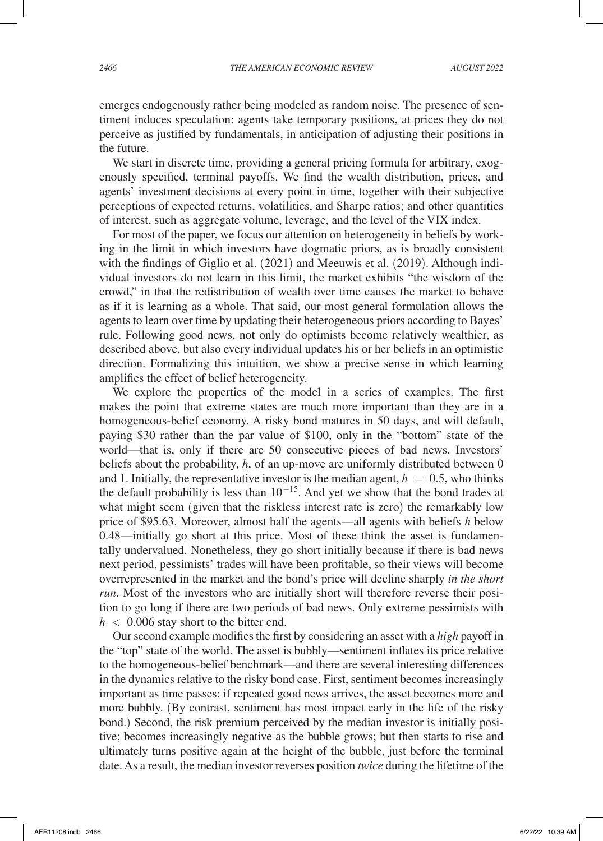emerges endogenously rather being modeled as random noise. The presence of sentiment induces speculation: agents take temporary positions, at prices they do not perceive as justified by fundamentals, in anticipation of adjusting their positions in the future.

We start in discrete time, providing a general pricing formula for arbitrary, exogenously specified, terminal payoffs. We find the wealth distribution, prices, and agents' investment decisions at every point in time, together with their subjective perceptions of expected returns, volatilities, and Sharpe ratios; and other quantities of interest, such as aggregate volume, leverage, and the level of the VIX index.

For most of the paper, we focus our attention on heterogeneity in beliefs by working in the limit in which investors have dogmatic priors, as is broadly consistent with the findings of Giglio et al. (2021) and Meeuwis et al. (2019). Although individual investors do not learn in this limit, the market exhibits "the wisdom of the crowd," in that the redistribution of wealth over time causes the market to behave as if it is learning as a whole. That said, our most general formulation allows the agents to learn over time by updating their heterogeneous priors according to Bayes' rule. Following good news, not only do optimists become relatively wealthier, as described above, but also every individual updates his or her beliefs in an optimistic direction. Formalizing this intuition, we show a precise sense in which learning amplifies the effect of belief heterogeneity.

We explore the properties of the model in a series of examples. The first makes the point that extreme states are much more important than they are in a homogeneous-belief economy. A risky bond matures in 50 days, and will default, paying \$30 rather than the par value of \$100, only in the "bottom" state of the world—that is, only if there are 50 consecutive pieces of bad news. Investors' beliefs about the probability, *h*, of an up-move are uniformly distributed between 0 and 1. Initially, the representative investor is the median agent,  $h = 0.5$ , who thinks the default probability is less than  $10^{-15}$ . And yet we show that the bond trades at what might seem (given that the riskless interest rate is zero) the remarkably low price of \$95.63. Moreover, almost half the agents—all agents with beliefs *h* below 0.48—initially go short at this price. Most of these think the asset is fundamentally undervalued. Nonetheless, they go short initially because if there is bad news next period, pessimists' trades will have been profitable, so their views will become overrepresented in the market and the bond's price will decline sharply *in the short run*. Most of the investors who are initially short will therefore reverse their position to go long if there are two periods of bad news. Only extreme pessimists with  $h < 0.006$  stay short to the bitter end.

Our second example modifies the first by considering an asset with a *high* payoff in the "top" state of the world. The asset is bubbly—sentiment inflates its price relative to the homogeneous-belief benchmark—and there are several interesting differences in the dynamics relative to the risky bond case. First, sentiment becomes increasingly important as time passes: if repeated good news arrives, the asset becomes more and more bubbly. (By contrast, sentiment has most impact early in the life of the risky bond.) Second, the risk premium perceived by the median investor is initially positive; becomes increasingly negative as the bubble grows; but then starts to rise and ultimately turns positive again at the height of the bubble, just before the terminal date. As a result, the median investor reverses position *twice* during the lifetime of the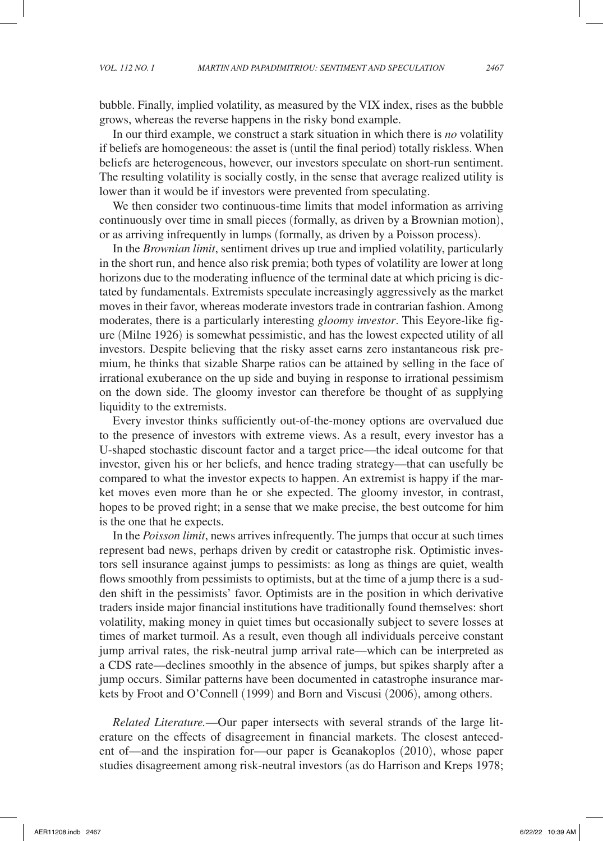bubble. Finally, implied volatility, as measured by the VIX index, rises as the bubble grows, whereas the reverse happens in the risky bond example.

In our third example, we construct a stark situation in which there is *no* volatility if beliefs are homogeneous: the asset is (until the final period) totally riskless. When beliefs are heterogeneous, however, our investors speculate on short-run sentiment. The resulting volatility is socially costly, in the sense that average realized utility is lower than it would be if investors were prevented from speculating.

We then consider two continuous-time limits that model information as arriving continuously over time in small pieces (formally, as driven by a Brownian motion), or as arriving infrequently in lumps (formally, as driven by a Poisson process).

In the *Brownian limit*, sentiment drives up true and implied volatility, particularly in the short run, and hence also risk premia; both types of volatility are lower at long horizons due to the moderating influence of the terminal date at which pricing is dictated by fundamentals. Extremists speculate increasingly aggressively as the market moves in their favor, whereas moderate investors trade in contrarian fashion. Among moderates, there is a particularly interesting *gloomy investor*. This Eeyore-like figure (Milne 1926) is somewhat pessimistic, and has the lowest expected utility of all investors. Despite believing that the risky asset earns zero instantaneous risk premium, he thinks that sizable Sharpe ratios can be attained by selling in the face of irrational exuberance on the up side and buying in response to irrational pessimism on the down side. The gloomy investor can therefore be thought of as supplying liquidity to the extremists.

Every investor thinks sufficiently out-of-the-money options are overvalued due to the presence of investors with extreme views. As a result, every investor has a U-shaped stochastic discount factor and a target price—the ideal outcome for that investor, given his or her beliefs, and hence trading strategy—that can usefully be compared to what the investor expects to happen. An extremist is happy if the market moves even more than he or she expected. The gloomy investor, in contrast, hopes to be proved right; in a sense that we make precise, the best outcome for him is the one that he expects.

In the *Poisson limit*, news arrives infrequently. The jumps that occur at such times represent bad news, perhaps driven by credit or catastrophe risk. Optimistic investors sell insurance against jumps to pessimists: as long as things are quiet, wealth flows smoothly from pessimists to optimists, but at the time of a jump there is a sudden shift in the pessimists' favor. Optimists are in the position in which derivative traders inside major financial institutions have traditionally found themselves: short volatility, making money in quiet times but occasionally subject to severe losses at times of market turmoil. As a result, even though all individuals perceive constant jump arrival rates, the risk-neutral jump arrival rate—which can be interpreted as a CDS rate—declines smoothly in the absence of jumps, but spikes sharply after a jump occurs. Similar patterns have been documented in catastrophe insurance markets by Froot and O'Connell (1999) and Born and Viscusi (2006), among others.

*Related Literature.*—Our paper intersects with several strands of the large literature on the effects of disagreement in financial markets. The closest antecedent of—and the inspiration for—our paper is Geanakoplos (2010), whose paper studies disagreement among risk-neutral investors (as do Harrison and Kreps 1978;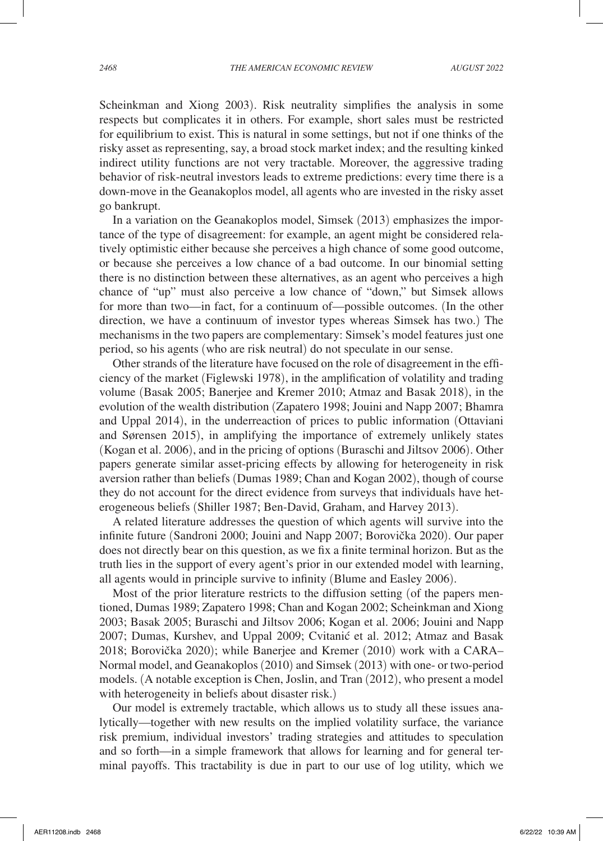Scheinkman and Xiong 2003). Risk neutrality simplifies the analysis in some respects but complicates it in others. For example, short sales must be restricted for equilibrium to exist. This is natural in some settings, but not if one thinks of the risky asset as representing, say, a broad stock market index; and the resulting kinked indirect utility functions are not very tractable. Moreover, the aggressive trading behavior of risk-neutral investors leads to extreme predictions: every time there is a down-move in the Geanakoplos model, all agents who are invested in the risky asset go bankrupt.

In a variation on the Geanakoplos model, Simsek (2013) emphasizes the importance of the type of disagreement: for example, an agent might be considered relatively optimistic either because she perceives a high chance of some good outcome, or because she perceives a low chance of a bad outcome. In our binomial setting there is no distinction between these alternatives, as an agent who perceives a high chance of "up" must also perceive a low chance of "down," but Simsek allows for more than two—in fact, for a continuum of—possible outcomes. (In the other direction, we have a continuum of investor types whereas Simsek has two.) The mechanisms in the two papers are complementary: Simsek's model features just one period, so his agents (who are risk neutral) do not speculate in our sense.

Other strands of the literature have focused on the role of disagreement in the efficiency of the market (Figlewski 1978), in the amplification of volatility and trading volume (Basak 2005; Banerjee and Kremer 2010; Atmaz and Basak 2018), in the evolution of the wealth distribution (Zapatero 1998; Jouini and Napp 2007; Bhamra and Uppal 2014), in the underreaction of prices to public information (Ottaviani and Sørensen 2015), in amplifying the importance of extremely unlikely states (Kogan et al. 2006), and in the pricing of options (Buraschi and Jiltsov 2006). Other papers generate similar asset-pricing effects by allowing for heterogeneity in risk aversion rather than beliefs (Dumas 1989; Chan and Kogan 2002), though of course they do not account for the direct evidence from surveys that individuals have heterogeneous beliefs (Shiller 1987; Ben-David, Graham, and Harvey 2013).

A related literature addresses the question of which agents will survive into the infinite future (Sandroni 2000; Jouini and Napp 2007; Borovička 2020). Our paper does not directly bear on this question, as we fix a finite terminal horizon. But as the truth lies in the support of every agent's prior in our extended model with learning, all agents would in principle survive to infinity (Blume and Easley 2006).

Most of the prior literature restricts to the diffusion setting (of the papers mentioned, Dumas 1989; Zapatero 1998; Chan and Kogan 2002; Scheinkman and Xiong 2003; Basak 2005; Buraschi and Jiltsov 2006; Kogan et al. 2006; Jouini and Napp 2007; Dumas, Kurshev, and Uppal 2009; Cvitanic´ et al. 2012; Atmaz and Basak 2018; Borovička 2020); while Banerjee and Kremer (2010) work with a CARA– Normal model, and Geanakoplos (2010) and Simsek (2013) with one- or two-period models. (A notable exception is Chen, Joslin, and Tran (2012), who present a model with heterogeneity in beliefs about disaster risk.)

Our model is extremely tractable, which allows us to study all these issues analytically—together with new results on the implied volatility surface, the variance risk premium, individual investors' trading strategies and attitudes to speculation and so forth—in a simple framework that allows for learning and for general terminal payoffs. This tractability is due in part to our use of log utility, which we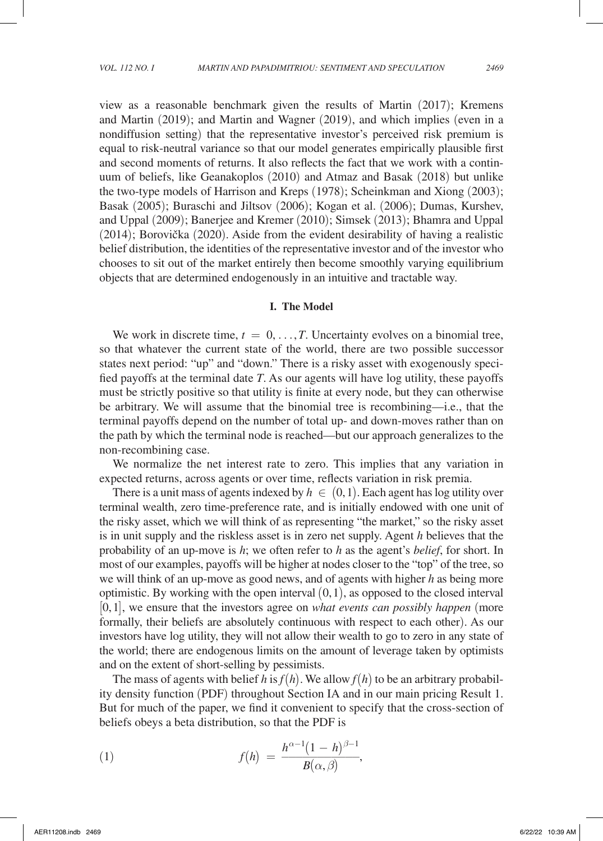view as a reasonable benchmark given the results of Martin (2017); Kremens and Martin (2019); and Martin and Wagner (2019), and which implies (even in a nondiffusion setting) that the representative investor's perceived risk premium is equal to risk-neutral variance so that our model generates empirically plausible first and second moments of returns. It also reflects the fact that we work with a continuum of beliefs, like Geanakoplos (2010) and Atmaz and Basak (2018) but unlike the two-type models of Harrison and Kreps (1978); Scheinkman and Xiong (2003); Basak (2005); Buraschi and Jiltsov (2006); Kogan et al. (2006); Dumas, Kurshev, and Uppal (2009); Banerjee and Kremer (2010); Simsek (2013); Bhamra and Uppal  $(2014)$ ; Borovička  $(2020)$ . Aside from the evident desirability of having a realistic

belief distribution, the identities of the representative investor and of the investor who chooses to sit out of the market entirely then become smoothly varying equilibrium objects that are determined endogenously in an intuitive and tractable way.

### **I. The Model**

We work in discrete time,  $t = 0, \ldots, T$ . Uncertainty evolves on a binomial tree, so that whatever the current state of the world, there are two possible successor states next period: "up" and "down." There is a risky asset with exogenously specified payoffs at the terminal date *T*. As our agents will have log utility, these payoffs must be strictly positive so that utility is finite at every node, but they can otherwise be arbitrary. We will assume that the binomial tree is recombining—i.e., that the terminal payoffs depend on the number of total up- and down-moves rather than on the path by which the terminal node is reached—but our approach generalizes to the non-recombining case.

We normalize the net interest rate to zero. This implies that any variation in expected returns, across agents or over time, reflects variation in risk premia.

There is a unit mass of agents indexed by  $h \in (0,1)$ . Each agent has log utility over terminal wealth, zero time-preference rate, and is initially endowed with one unit of the risky asset, which we will think of as representing "the market," so the risky asset is in unit supply and the riskless asset is in zero net supply. Agent *h* believes that the probability of an up-move is *h*; we often refer to *h* as the agent's *belief*, for short. In most of our examples, payoffs will be higher at nodes closer to the "top" of the tree, so we will think of an up-move as good news, and of agents with higher *h* as being more optimistic. By working with the open interval  $(0,1)$ , as opposed to the closed interval [0,1], we ensure that the investors agree on *what events can possibly happen* (more formally, their beliefs are absolutely continuous with respect to each other). As our investors have log utility, they will not allow their wealth to go to zero in any state of the world; there are endogenous limits on the amount of leverage taken by optimists and on the extent of short-selling by pessimists.

The mass of agents with belief *h* is  $f(h)$ . We allow  $f(h)$  to be an arbitrary probability density function (PDF) throughout Section IA and in our main pricing Result 1. But for much of the paper, we find it convenient to specify that the cross-section of beliefs obeys a beta distribution, so that the PDF is

(1) 
$$
f(h) = \frac{h^{\alpha-1}(1-h)^{\beta-1}}{B(\alpha,\beta)},
$$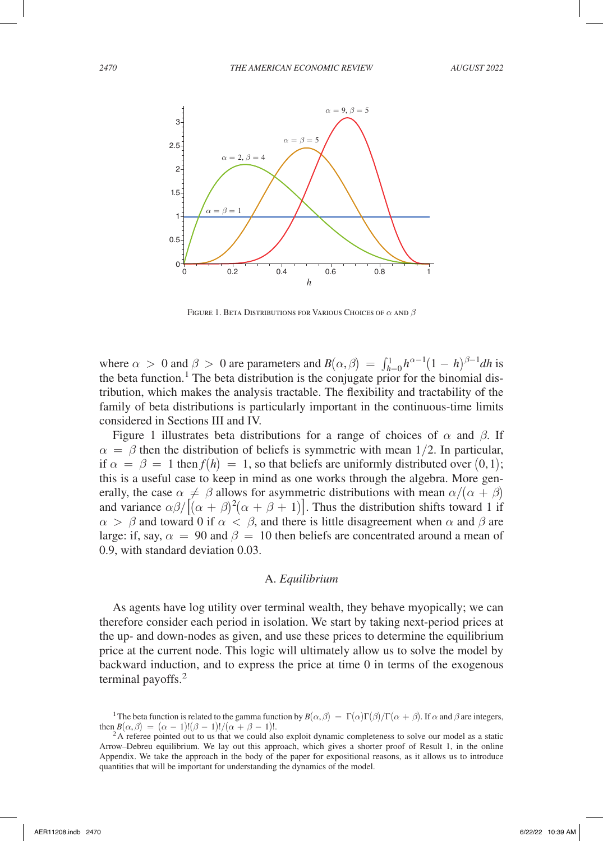

FIGURE 1. BETA DISTRIBUTIONS FOR VARIOUS CHOICES OF  $\alpha$  and  $\beta$ 

where  $\alpha > 0$  and  $\beta > 0$  are parameters and  $B(\alpha, \beta) = \int_{h=0}^{1} h^{\alpha-1}(1-h)^{\beta-1}dh$  is the beta function.<sup>1</sup> The beta distribution is the conjugate prior for the binomial distribution, which makes the analysis tractable. The flexibility and tractability of the family of beta distributions is particularly important in the continuous-time limits considered in Sections III and IV.

Figure 1 illustrates beta distributions for a range of choices of  $\alpha$  and  $\beta$ . If  $\alpha = \beta$  then the distribution of beliefs is symmetric with mean 1/2. In particular, if  $\alpha = \beta = 1$  then  $f(h) = 1$ , so that beliefs are uniformly distributed over  $(0,1)$ ; this is a useful case to keep in mind as one works through the algebra. More generally, the case  $\alpha \neq \beta$  allows for asymmetric distributions with mean  $\alpha/(\alpha + \beta)$ and variance  $\alpha\beta/\left[ (\alpha + \beta)^2(\alpha + \beta + 1) \right]$ . Thus the distribution shifts toward 1 if  $\alpha > \beta$  and toward 0 if  $\alpha < \beta$ , and there is little disagreement when  $\alpha$  and  $\beta$  are large: if, say,  $\alpha = 90$  and  $\beta = 10$  then beliefs are concentrated around a mean of 0.9, with standard deviation 0.03.

#### A. *Equilibrium*

As agents have log utility over terminal wealth, they behave myopically; we can therefore consider each period in isolation. We start by taking next-period prices at the up- and down-nodes as given, and use these prices to determine the equilibrium price at the current node. This logic will ultimately allow us to solve the model by backward induction, and to express the price at time 0 in terms of the exogenous terminal payoffs.<sup>2</sup>

<sup>&</sup>lt;sup>1</sup> The beta function is related to the gamma function by  $B(\alpha, \beta) = \Gamma(\alpha)\Gamma(\beta)/\Gamma(\alpha + \beta)$ . If  $\alpha$  and  $\beta$  are integers, then  $B(\alpha, \beta) = (\alpha - 1)!(\beta - 1)!/(\alpha + \beta - 1)!$ .

 ${}^{2}$ A referee pointed out to us that we could also exploit dynamic completeness to solve our model as a static Arrow–Debreu equilibrium. We lay out this approach, which gives a shorter proof of Result 1, in the online Appendix. We take the approach in the body of the paper for expositional reasons, as it allows us to introduce quantities that will be important for understanding the dynamics of the model.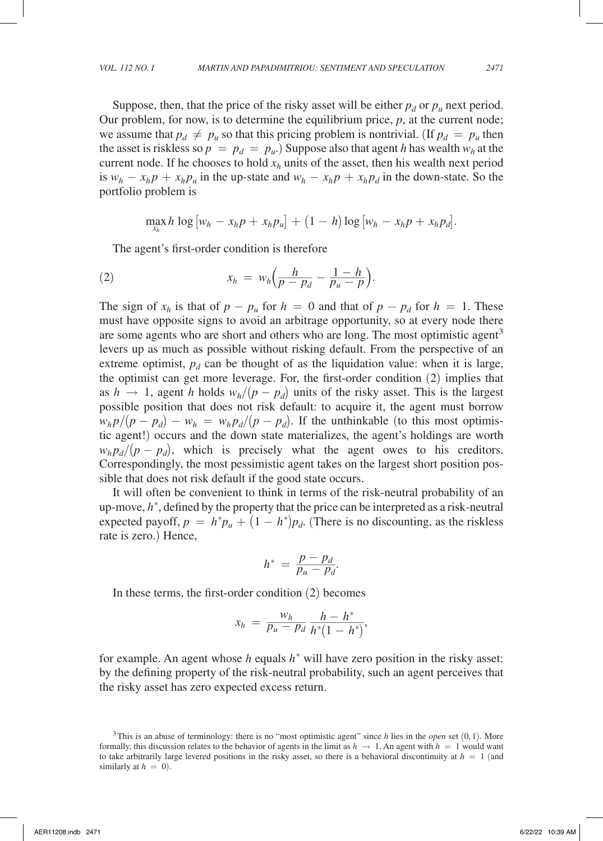Suppose, then, that the price of the risky asset will be either  $p_d$  or  $p_u$  next period. Our problem, for now, is to determine the equilibrium price, *p*, at the current node; we assume that  $p_d \neq p_u$  so that this pricing problem is nontrivial. (If  $p_d = p_u$  then the asset is riskless so  $p = p_d = p_u$ . Suppose also that agent *h* has wealth  $w_h$  at the current node. If he chooses to hold  $x_h$  units of the asset, then his wealth next period is  $w_h - x_h p + x_h p_u$  in the up-state and  $w_h - x_h p + x_h p_d$  in the down-state. So the portfolio problem is

 $\max_{x_h} h \log [w_h - x_h p + x_h p_u] + (1 - h) \log [w_h - x_h p + x_h p_d].$ 

The agent's first-order condition is therefore  
\n(2) 
$$
x_h = w_h \left( \frac{h}{p - p_d} - \frac{1 - h}{p_u - p} \right).
$$

The sign of  $x_h$  is that of  $p - p_u$  for  $h = 0$  and that of  $p - p_d$  for  $h = 1$ . These must have opposite signs to avoid an arbitrage opportunity, so at every node there are some agents who are short and others who are long. The most optimistic agent<sup>3</sup> levers up as much as possible without risking default. From the perspective of an extreme optimist,  $p_d$  can be thought of as the liquidation value: when it is large, the optimist can get more leverage. For, the first-order condition (2) implies that as  $h \rightarrow 1$ , agent *h* holds  $w_h/(p - p_d)$  units of the risky asset. This is the largest possible position that does not risk default: to acquire it, the agent must borrow  $w_h p/(p - p_d) - w_h = w_h p_d/(p - p_d)$ . If the unthinkable (to this most optimistic agent!) occurs and the down state materializes, the agent's holdings are worth  $w_h p_d/(p - p_d)$ , which is precisely what the agent owes to his creditors. Correspondingly, the most pessimistic agent takes on the largest short position possible that does not risk default if the good state occurs.

It will often be convenient to think in terms of the risk-neutral probability of an up-move,  $h^*$ , defined by the property that the price can be interpreted as a risk-neutral expected payoff,  $p = h^* p_u + (1 - h^*) p_d$ . (There is no discounting, as the riskless rate is zero.) Hence, rate is zero.) Hence,<br>  $h^* = \frac{p - p_d}{p_u - p_d}$ 

$$
h^* = \frac{p - p_d}{p_u - p_d}.
$$

$$
h = p_u - p_d
$$
  
In these terms, the first-order condition (2) becomes  

$$
x_h = \frac{w_h}{p_u - p_d} \frac{h - h^*}{h^*(1 - h^*)},
$$

for example. An agent whose *h* equals *h*<sup>∗</sup> will have zero position in the risky asset: by the defining property of the risk-neutral probability, such an agent perceives that the risky asset has zero expected excess return.

<sup>3</sup>This is an abuse of terminology: there is no "most optimistic agent" since *h* lies in the *open* set (0,1). More formally, this discussion relates to the behavior of agents in the limit as  $h \to 1$ . An agent with  $h = 1$  would want to take arbitrarily large levered positions in the risky asset, so there is a behavioral discontinuity at  $h = 1$  (and similarly at  $h = 0$ ).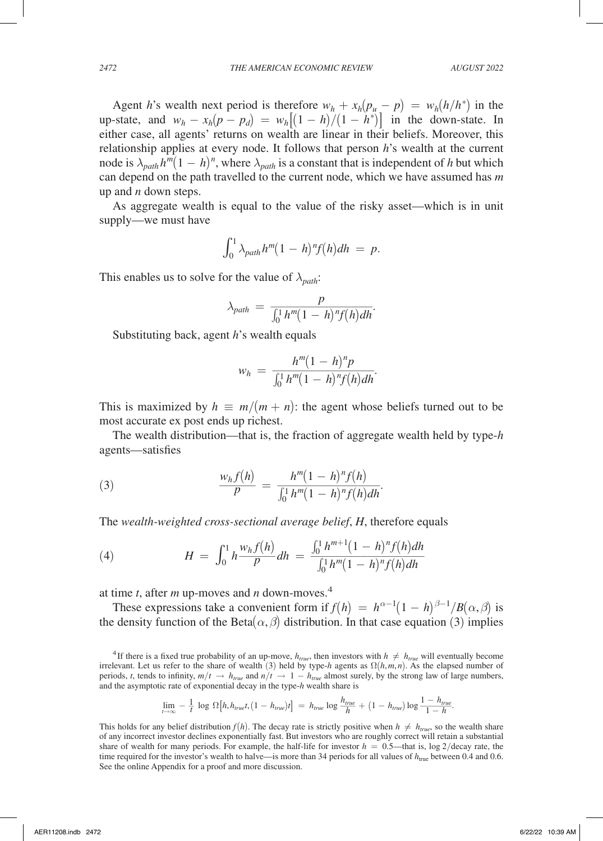Agent *h*'s wealth next period is therefore  $w_h + x_h(p_u - p) = w_h(h/h^*)$  in the up-state, and  $w_h - x_h(p - p_d) = w_h[(1 - h)/(1 - h^*)]$  in the down-state. In either case, all agents' returns on wealth are linear in their beliefs. Moreover, this relationship applies at every node. It follows that person *h*'s wealth at the current node is  $\lambda_{path} h^m (1 - h)^n$ , where  $\lambda_{path}$  is a constant that is independent of *h* but which can depend on the path travelled to the current node, which we have assumed has *m* up and *n* down steps.

As aggregate wealth is equal to the value of the risky asset—which is in unit supply—we must have

$$
\int_0^1 \lambda_{path} h^m (1-h)^n f(h) dh = p.
$$

This enables us to solve for the value of 
$$
\lambda_{path}
$$
:  
\n
$$
\lambda_{path} = \frac{p}{\int_0^1 h^m (1 - h)^n f(h) dh}.
$$
\nSubstituting back, agent *h*'s wealth equals

Substituting back, agent *h*'s wealth equals

Substituting back, agent *h*'s wealth equals\n
$$
w_h = \frac{h^m (1-h)^n p}{\int_0^1 h^m (1-h)^n f(h) dh}.
$$

This is maximized by  $h \equiv m/(m + n)$ : the agent whose beliefs turned out to be most accurate ex post ends up richest.

The wealth distribution—that is, the fraction of aggregate wealth held by type-*h* agents—satisfies

(3)

\n
$$
\frac{w_h f(h)}{p} = \frac{h^m (1-h)^n f(h)}{\int_0^1 h^m (1-h)^n f(h) dh}.
$$

The wealth-weighted cross-sectional average belief, *H*, therefore equals  
\n(4) 
$$
H = \int_0^1 h \frac{w_h f(h)}{p} dh = \frac{\int_0^1 h^{m+1} (1-h)^n f(h) dh}{\int_0^1 h^m (1-h)^n f(h) dh}
$$

at time *t*, after *m* up-moves and *n* down-moves.4

These expressions take a convenient form if  $f(h) = h^{\alpha-1}(1-h)^{\beta-1}/B(\alpha,\beta)$  is the density function of the Beta $(\alpha, \beta)$  distribution. In that case equation (3) implies

$$
\lim_{t\to\infty} -\frac{1}{t} \log \Omega \left[ h, h_{true}t, \left(1-h_{true}\right)t \right] = h_{true} \log \frac{h_{true}}{h} + \left(1-h_{true}\right) \log \frac{1-h_{true}}{1-h}.
$$

<sup>&</sup>lt;sup>4</sup>If there is a fixed true probability of an up-move,  $h_{true}$ , then investors with  $h \neq h_{true}$  will eventually become irrelevant. Let us refer to the share of wealth (3) held by type-*h* agents as  $\Omega(h, m, n)$ . As the elapsed number of periods, *t*, tends to infinity,  $m/t \rightarrow h_{true}$  and  $n/t \rightarrow 1 - h_{true}$  almost surely, by the strong law of large numbers, and the asymptotic rate of exponential decay in the type-*h* wealth share is<br>  $\lim_{t \to \infty} -\frac{1}{t} \log \Omega[h, h_{true}t$ and the asymptotic rate of exponential decay in the type-*h* wealth share is

This holds for any belief distribution  $f(h)$ . The decay rate is strictly positive when  $h \neq h_{true}$ , so the wealth share of any incorrect investor declines exponentially fast. But investors who are roughly correct will retain a substantial share of wealth for many periods. For example, the half-life for investor  $h = 0.5$ —that is, log 2/decay rate, the time required for the investor's wealth to halve—is more than 34 periods for all values of  $h_{\text{true}}$  between 0.4 and 0.6. See the online Appendix for a proof and more discussion.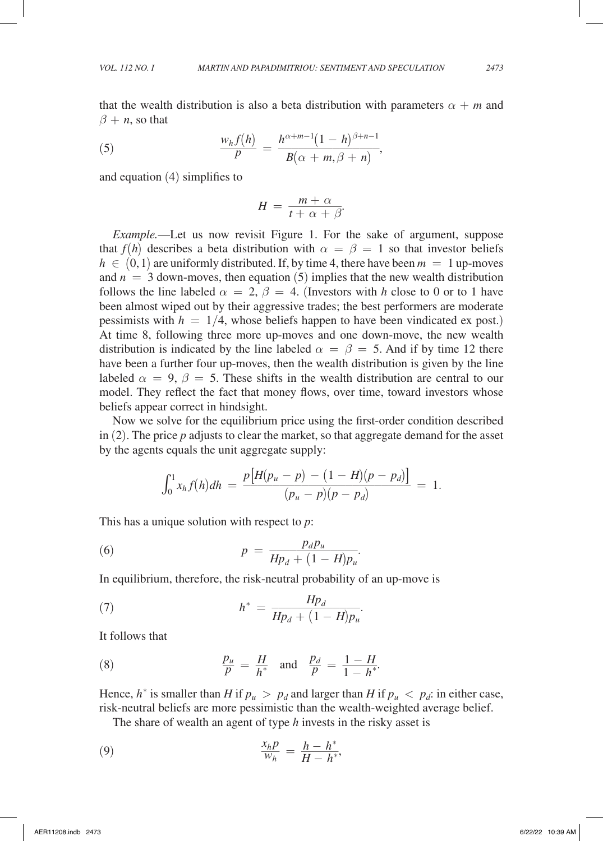that the wealth distribution is also a beta distribution with parameters  $\alpha + m$  and  $\beta + n$ , so that

that the wealth distribution is also a beta distribution with pal  
\n
$$
\beta + n
$$
, so that\n
$$
\frac{w_h f(h)}{p} = \frac{h^{\alpha+m-1}(1-h)^{\beta+n-1}}{B(\alpha+m,\beta+n)},
$$
\nand equation (4) simplifies to

and equation (4) simplifies to

$$
H = \frac{m + \alpha}{t + \alpha + \beta}.
$$

*P*  $B(\alpha + m, \beta + n)$ <br>
and equation (4) simplifies to<br>  $H = \frac{m + \alpha}{t + \alpha + \beta}$ .<br> *Example*.—Let us now revisit Figure 1. For the sake of argument, suppose that  $f(h)$  describes a beta distribution with  $\alpha = \beta = 1$  so that investor beliefs  $h \in (0,1)$  are uniformly distributed. If, by time 4, there have been  $m = 1$  up-moves and  $n = 3$  down-moves, then equation  $(5)$  implies that the new wealth distribution follows the line labeled  $\alpha = 2$ ,  $\beta = 4$ . (Investors with *h* close to 0 or to 1 have been almost wiped out by their aggressive trades; the best performers are moderate pessimists with  $h = 1/4$ , whose beliefs happen to have been vindicated ex post.) At time 8, following three more up-moves and one down-move, the new wealth distribution is indicated by the line labeled  $\alpha = \beta = 5$ . And if by time 12 there have been a further four up-moves, then the wealth distribution is given by the line labeled  $\alpha = 9$ ,  $\beta = 5$ . These shifts in the wealth distribution are central to our model. They reflect the fact that money flows, over time, toward investors whose beliefs appear correct in hindsight.

Now we solve for the equilibrium price using the first-order condition described in (2). The price *p* adjusts to clear the market, so that aggregate demand for the asset by the agents equals the unit aggregate supply:

is equals the unit aggregate supply:  
\n
$$
\int_0^1 x_h f(h) dh = \frac{p[H(p_u - p) - (1 - H)(p - p_d)]}{(p_u - p)(p - p_d)} = 1.
$$

This has a unique solution with respect to *p*:  
\n(6) 
$$
p = \frac{p_d p_u}{H p_d + (1 - H) p_u}.
$$
\nIn equilibrium, therefore, the risk neutral probability of *g*:

In equilibrium, therefore, the risk-neutral probability of an up-move is  
\n(7) 
$$
h^* = \frac{Hp_d}{Hp_d + (1 - H)p_u}.
$$
\nIt follows that

It follows that

It follows that  
(8) 
$$
\frac{p_u}{p} = \frac{H}{h^*} \text{ and } \frac{p_d}{p} = \frac{1 - H}{1 - h^*}.
$$

Hence,  $h^*$  is smaller than *H* if  $p_u > p_d$  and larger than *H* if  $p_u < p_d$ : in either case, risk-neutral beliefs are more pessimistic than the wealth-weighted average belief.

The share of wealth an agent of type *h* invests in the risky asset is  
\n(9) 
$$
\frac{x_h p}{w_h} = \frac{h - h^*}{H - h^*},
$$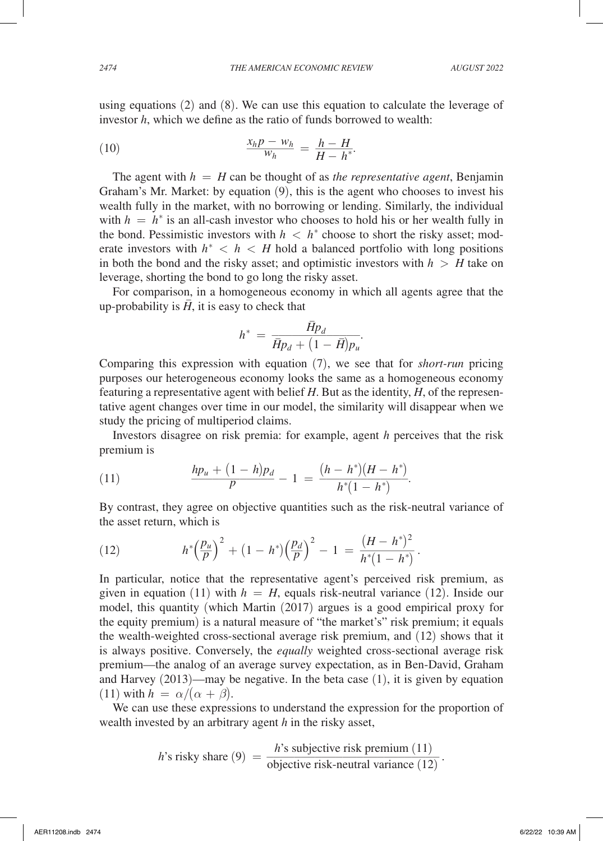using equations  $(2)$  and  $(8)$ . We can use this equation to calculate the leverage of investor *h*, which we define as the ratio of funds borrowed to wealth:

using equations (2) and (8). We can use this equation  
investor h, which we define as the ratio of funds borrow  
(10) 
$$
\frac{x_h p - w_h}{w_h} = \frac{h - H}{H - h^*}.
$$
The agent with  $h = H$  can be thought of as the r

The agent with  $h = H$  can be thought of as *the representative agent*, Benjamin Graham's Mr. Market: by equation (9), this is the agent who chooses to invest his wealth fully in the market, with no borrowing or lending. Similarly, the individual with  $h = h^*$  is an all-cash investor who chooses to hold his or her wealth fully in the bond. Pessimistic investors with  $h < h^*$  choose to short the risky asset; moderate investors with  $h^* < h < H$  hold a balanced portfolio with long positions in both the bond and the risky asset; and optimistic investors with  $h > H$  take on leverage, shorting the bond to go long the risky asset.

For comparison, in a homogeneous economy in which all agents agree that the up-probability is  $\overline{H}$ , it is easy to check that up-probability is  $\overline{H}$ , it is easy to check that<br>  $h^* = \frac{\overline{H}p_d}{\overline{H}p_d + (1 - \overline{H})p_u}$ .<br>
Comparing this expression with equation (7), we see that for *short-run* pricing

$$
h^* \,=\, \frac{\bar{H} p_d}{\bar{H} p_d \,+\, \big(1 \,-\, \bar{H}\big) p_u}.
$$

purposes our heterogeneous economy looks the same as a homogeneous economy featuring a representative agent with belief *H*. But as the identity, *H*, of the representative agent changes over time in our model, the similarity will disappear when we study the pricing of multiperiod claims.

Investors disagree on risk premia: for example, agent *h* perceives that the risk premium is

premium is

\n
$$
(11) \quad \frac{hp_u + (1-h)p_d}{p} - 1 = \frac{(h-h^*)(H-h^*)}{h^*(1-h^*)}.
$$
\nBy contract, they agree on objectives, substituting such as the risk point.

By contrast, they agree on objective quantities such as the risk-neutral variance of the asset return, which is By contrast, they agree on objective quantities such as the risk-neutral variance of<br>the asset return, which is<br>(12)  $h^* \left(\frac{p_u}{p}\right)^2 + (1 - h^*) \left(\frac{p_d}{p}\right)^2 - 1 = \frac{(H - h^*)^2}{h^*(1 - h^*)}$ .<br>In particular, notice that the represent

(12) 
$$
h^*\left(\frac{p_u}{p}\right)^2 + (1-h^*)\left(\frac{p_d}{p}\right)^2 - 1 = \frac{(H-h^*)^2}{h^*(1-h^*)}.
$$

given in equation (11) with  $h = H$ , equals risk-neutral variance (12). Inside our model, this quantity (which Martin (2017) argues is a good empirical proxy for the equity premium) is a natural measure of "the market's" risk premium; it equals the wealth-weighted cross-sectional average risk premium, and (12) shows that it is always positive. Conversely, the *equally* weighted cross-sectional average risk premium—the analog of an average survey expectation, as in Ben-David, Graham and Harvey (2013)—may be negative. In the beta case (1), it is given by equation (11) with  $h = \alpha/(\alpha + \beta)$ .

We can use these expressions to understand the expression for the proportion of

\n We can use these expressions to understand the expression for the prop-  
\n wealth invested by an arbitrary agent *h* in the risky asset,\n

\n\n 
$$
h
$$
's risky share (9) =  $\frac{h$ 's subjective risk premium (11)\n

\n\n objective risk-neutral variance (12)\n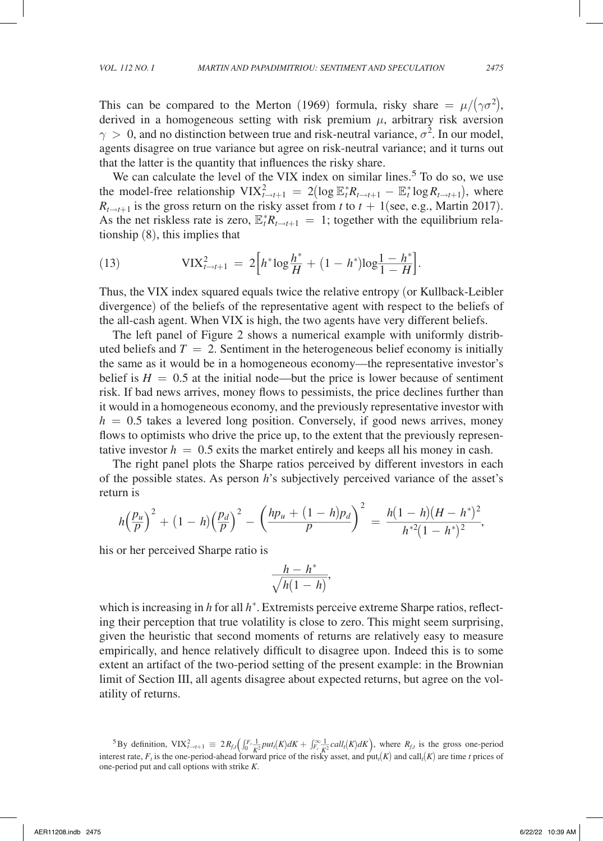This can be compared to the Merton (1969) formula, risky share  $= \mu/(\gamma \sigma^2)$ , derived in a homogeneous setting with risk premium  $\mu$ , arbitrary risk aversion  $\gamma > 0$ , and no distinction between true and risk-neutral variance,  $\sigma^2$ . In our model, agents disagree on true variance but agree on risk-neutral variance; and it turns out that the latter is the quantity that influences the risky share.

We can calculate the level of the VIX index on similar lines.<sup>5</sup> To do so, we use the model-free relationship  $VIX_{t \to t+1}^2 = 2(\log \mathbb{E}_t^* R_{t \to t+1} - \mathbb{E}_t^* \log R_{t \to t+1}),$  where  $R_{t\rightarrow t+1}$  is the gross return on the risky asset from *t* to  $t + 1$  (see, e.g., Martin 2017). As the net riskless rate is zero,  $\mathbb{E}_t^* R_{t \to t+1} = 1$ ; together with the equilibrium relationship (8), this implies that

tionship (8), this implies that  
(13) 
$$
VIX_{t\to t+1}^2 = 2\Big[h^*log\frac{h^*}{H} + (1-h^*)log\frac{1-h^*}{1-H}\Big].
$$

Thus, the VIX index squared equals twice the relative entropy (or Kullback-Leibler divergence) of the beliefs of the representative agent with respect to the beliefs of the all-cash agent. When VIX is high, the two agents have very different beliefs.

The left panel of Figure 2 shows a numerical example with uniformly distributed beliefs and  $T = 2$ . Sentiment in the heterogeneous belief economy is initially the same as it would be in a homogeneous economy—the representative investor's belief is  $H = 0.5$  at the initial node—but the price is lower because of sentiment risk. If bad news arrives, money flows to pessimists, the price declines further than it would in a homogeneous economy, and the previously representative investor with  $h = 0.5$  takes a levered long position. Conversely, if good news arrives, money flows to optimists who drive the price up, to the extent that the previously representative investor  $h = 0.5$  exits the market entirely and keeps all his money in cash.

The right panel plots the Sharpe ratios perceived by different investors in each of the possible states. As person *h*'s subjectively perceived variance of the asset's return is

return is  
\n
$$
h\left(\frac{p_u}{p}\right)^2 + (1-h)\left(\frac{p_d}{p}\right)^2 - \left(\frac{hp_u + (1-h)p_d}{p}\right)^2 = \frac{h(1-h)(H-h^*)^2}{h^{*2}(1-h^*)^2},
$$
\nhis or her perceived Sharpe ratio is  
\n
$$
\frac{h-h^*}{\sqrt{h(1-h)}},
$$
\nwhich is increasing in *h* for all *h*\*. Extremists perceive extreme Sharpe ratios, reflect-

his or her perceived Sharpe ratio is

$$
\frac{h - h^*}{\sqrt{h(1 - h)}},
$$

ing their perception that true volatility is close to zero. This might seem surprising, given the heuristic that second moments of returns are relatively easy to measure empirically, and hence relatively difficult to disagree upon. Indeed this is to some extent an artifact of the two-period setting of the present example: in the Brownian limit of Section III, all agents disagree about expected returns, but agree on the volatility of returns.

<sup>5</sup>By definition,  $VIX_{t-t+1}^2 \equiv 2R_{f,t} \left( \int_0^t \frac{1}{K^2} p u t_t(K) dK + \int_{F_t}^{\infty} \frac{1}{K^2} c a l t_t(K) dK \right)$ , where  $R_{f,t}$  is the gross one-period interest rate,  $F_t$  is the one-period-ahead forward price of the risky asset, and put<sub>*t*</sub>(*K*) and call<sub>*t*</sub>(*K*) are time *t* prices of one-period put and call options with strike *K*.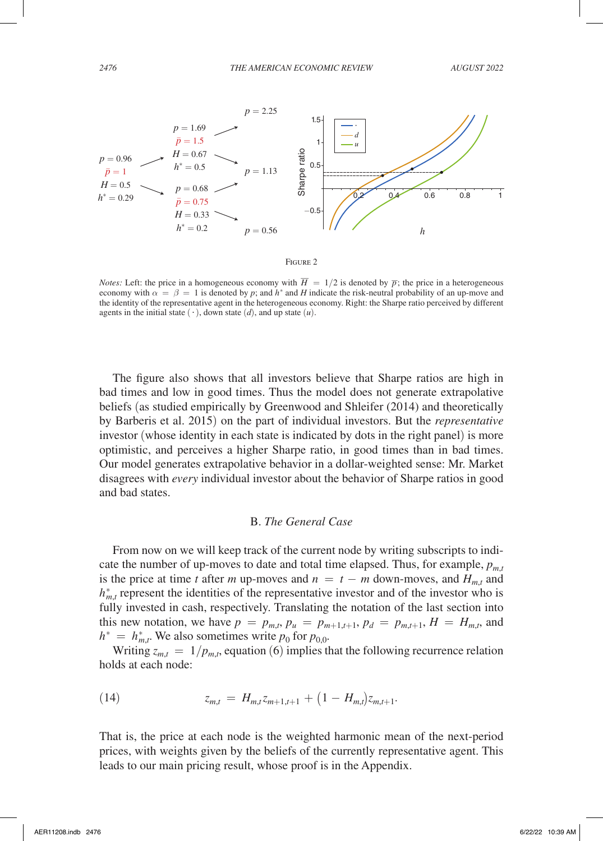

*Notes:* Left: the price in a homogeneous economy with  $\overline{H} = 1/2$  is denoted by  $\overline{p}$ ; the price in a heterogeneous economy with  $\alpha = \beta = 1$  is denoted by *p*; and *h*<sup>\*</sup> and *H* indicate the risk-neutral probability of an up-move and the identity of the representative agent in the heterogeneous economy. Right: the Sharpe ratio perceived by different agents in the initial state  $(·)$ , down state  $(d)$ , and up state  $(u)$ .

The figure also shows that all investors believe that Sharpe ratios are high in bad times and low in good times. Thus the model does not generate extrapolative beliefs (as studied empirically by Greenwood and Shleifer (2014) and theoretically by Barberis et al. 2015) on the part of individual investors. But the *representative* investor (whose identity in each state is indicated by dots in the right panel) is more optimistic, and perceives a higher Sharpe ratio, in good times than in bad times. Our model generates extrapolative behavior in a dollar-weighted sense: Mr. Market disagrees with *every* individual investor about the behavior of Sharpe ratios in good and bad states.

### B. *The General Case*

From now on we will keep track of the current node by writing subscripts to indicate the number of up-moves to date and total time elapsed. Thus, for example,  $p_{m,t}$ is the price at time *t* after *m* up-moves and  $n = t - m$  down-moves, and  $H_{m,t}$  and  $h_{m,t}^*$  represent the identities of the representative investor and of the investor who is fully invested in cash, respectively. Translating the notation of the last section into this new notation, we have  $p = p_{m,t}, p_u = p_{m+1,t+1}, p_d = p_{m,t+1}, H = H_{m,t}$ , and  $h^* = h^*_{m,t}$ . We also sometimes write  $p_0$  for  $p_{0,0}$ .

Writing  $z_{m,t} = 1/p_{m,t}$ , equation (6) implies that the following recurrence relation holds at each node:

(14) 
$$
z_{m,t} = H_{m,t} z_{m+1,t+1} + (1 - H_{m,t}) z_{m,t+1}.
$$

That is, the price at each node is the weighted harmonic mean of the next-period prices, with weights given by the beliefs of the currently representative agent. This leads to our main pricing result, whose proof is in the Appendix.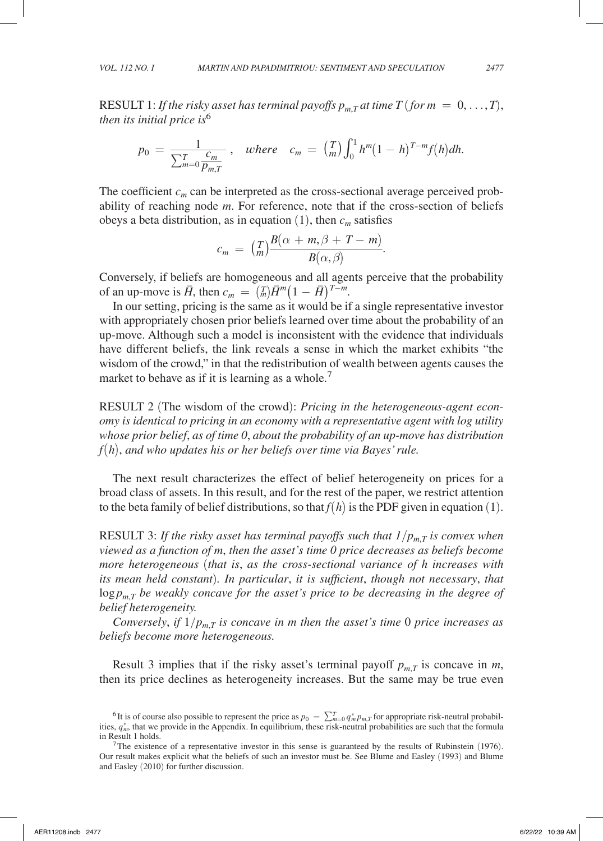RESULT 1: *If the risky asset has terminal payoffs*  $p_{m,T}$  *at time*  $T$  *(for*  $m = 0, ..., T$ *), then its initial price is*<sup>6</sup>

$$
p_0 = \frac{1}{\sum_{m=0}^{T} \frac{c_m}{p_{m,T}}}, \quad where \quad c_m = {T \choose m} \int_0^1 h^m (1-h)^{T-m} f(h) dh.
$$

The coefficient  $c_m$  can be interpreted as the cross-sectional average perceived probability of reaching node *m*. For reference, note that if the cross-section of beliefs obeys a beta distribution, as in equation  $(1)$ , then  $c_m$  satisfies *B*(*α* + *m*, *β* + *T* − *m*) *B*(*α*, *β*) *B*(*α*, *β*) *B*(*α*, *β*) *B*(*α*, *β*) *B*(*α*, *β*) *B*(*α*, *β*) *B*(*α*, *β*) *B*(*α*, *β*) *B*(*α*, *β*) *B*(*α*, *β*) *B B*<sub>(*α*</sub>, *B*) *B B B B B B B*

$$
c_m = \binom{T}{m} \frac{B(\alpha + m, \beta + T - m)}{B(\alpha, \beta)}.
$$

Conversely, if beliefs are homogeneous and all agents perceive that the probability of an up-move is  $\overline{H}$ , then  $c_m = \binom{m}{m} \overline{H}^m (1 - \overline{H})^{T-m}$ .

In our setting, pricing is the same as it would be if a single representative investor with appropriately chosen prior beliefs learned over time about the probability of an up-move. Although such a model is inconsistent with the evidence that individuals have different beliefs, the link reveals a sense in which the market exhibits "the wisdom of the crowd," in that the redistribution of wealth between agents causes the market to behave as if it is learning as a whole.<sup>7</sup>

RESULT 2 (The wisdom of the crowd): *Pricing in the heterogeneous-agent economy is identical to pricing in an economy with a representative agent with log utility whose prior belief*, *as of time 0*, *about the probability of an up-move has distribution f*(*h*), *and who updates his or her beliefs over time via Bayes' rule.*

The next result characterizes the effect of belief heterogeneity on prices for a broad class of assets. In this result, and for the rest of the paper, we restrict attention to the beta family of belief distributions, so that  $f(h)$  is the PDF given in equation (1).

RESULT 3: If the risky asset has terminal payoffs such that  $1/p_{m,T}$  is convex when *viewed as a function of m*, *then the asset's time 0 price decreases as beliefs become more heterogeneous* (*that is*, *as the cross-sectional variance of h increases with its mean held constant*)*. In particular*, *it is sufficient*, *though not necessary*, *that*  $\log p_{m}$ *T* be weakly concave for the asset's price to be decreasing in the degree of *belief heterogeneity.*

*Conversely, if*  $1/p_{m,T}$  *is concave in m then the asset's time* 0 *price increases as beliefs become more heterogeneous.*

Result 3 implies that if the risky asset's terminal payoff  $p_{m,T}$  is concave in *m*, then its price declines as heterogeneity increases. But the same may be true even

<sup>&</sup>lt;sup>6</sup>It is of course also possible to represent the price as  $p_0 = \sum_{m=0}^{T} q_m^* p_{m,T}$  for appropriate risk-neutral probabilities,  $q_m^*$ , that we provide in the Appendix. In equilibrium, these risk-neutral probabilities are such that the formula in Result 1 holds. 7The existence of a representative investor in this sense is guaranteed by the results of Rubinstein (1976).

Our result makes explicit what the beliefs of such an investor must be. See Blume and Easley (1993) and Blume and Easley (2010) for further discussion.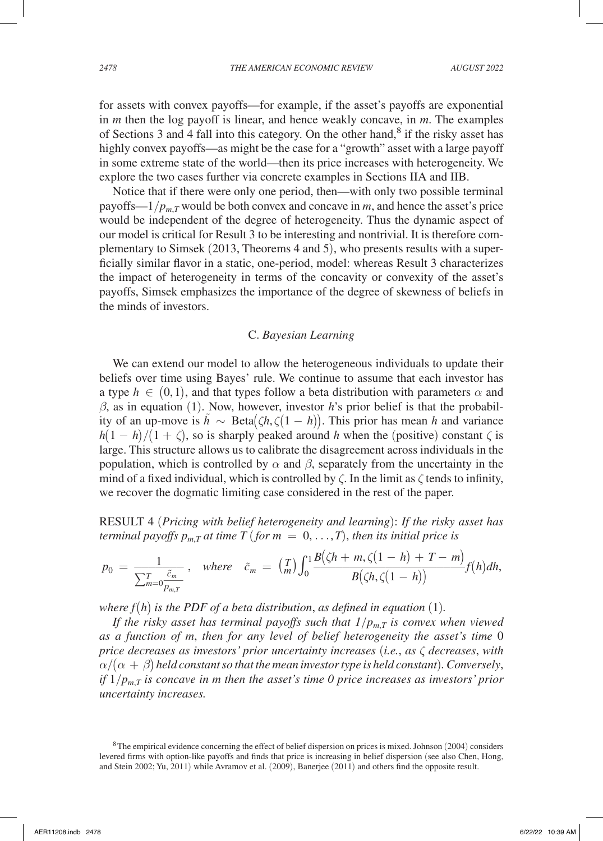for assets with convex payoffs—for example, if the asset's payoffs are exponential in *m* then the log payoff is linear, and hence weakly concave, in *m*. The examples of Sections 3 and 4 fall into this category. On the other hand,<sup>8</sup> if the risky asset has highly convex payoffs—as might be the case for a "growth" asset with a large payoff in some extreme state of the world—then its price increases with heterogeneity. We explore the two cases further via concrete examples in Sections IIA and IIB.

Notice that if there were only one period, then—with only two possible terminal payoffs— $1/p_{mT}$  would be both convex and concave in *m*, and hence the asset's price would be independent of the degree of heterogeneity. Thus the dynamic aspect of our model is critical for Result 3 to be interesting and nontrivial. It is therefore complementary to Simsek (2013, Theorems 4 and 5), who presents results with a superficially similar flavor in a static, one-period, model: whereas Result 3 characterizes the impact of heterogeneity in terms of the concavity or convexity of the asset's payoffs, Simsek emphasizes the importance of the degree of skewness of beliefs in the minds of investors.

### C. *Bayesian Learning*

We can extend our model to allow the heterogeneous individuals to update their beliefs over time using Bayes' rule. We continue to assume that each investor has a type  $h \in (0,1)$ , and that types follow a beta distribution with parameters  $\alpha$  and  $\beta$ , as in equation (1). Now, however, investor *h*'s prior belief is that the probability of an up-move is  $h$  ∼ Beta $(ζh, ζ(1 – h))$ . This prior has mean *h* and variance  $h(1 - h)/(1 + \zeta)$ , so is sharply peaked around *h* when the (positive) constant  $\zeta$  is large. This structure allows us to calibrate the disagreement across individuals in the population, which is controlled by  $\alpha$  and  $\beta$ , separately from the uncertainty in the mind of a fixed individual, which is controlled by  $\zeta$ . In the limit as  $\zeta$  tends to infinity, we recover the dogmatic limiting case considered in the rest of the paper.

RESULT 4 (*Pricing with belief heterogeneity and learning*): *If the risky asset has* 

\n
$$
p_0 = \frac{1}{\sum_{m=0}^{T} \frac{\tilde{c}_m}{p_{m,T}}} \,,
$$
\n*where*\n $\tilde{c}_m = \left(\frac{T}{m}\right) \int_0^1 \frac{B(\zeta h + m, \zeta(1 - h) + T - m)}{B(\zeta h, \zeta(1 - h))} f(h) dh,$ \n

*where*  $f(h)$  *is the PDF of a beta distribution, as defined in equation* (1)*.* 

*If the risky asset has terminal payoffs such that 1*/*pm*,*T is convex when viewed as a function of m*, *then for any level of belief heterogeneity the asset's time* 0 *price decreases as investors' prior uncertainty increases* (*i.e.*, *as* ζ *decreases*, *with*  $\alpha/(\alpha + \beta)$  held constant so that the mean investor type is held constant). Conversely, *if*  $1/p_{m,T}$  *is concave in m then the asset's time 0 price increases as investors' prior uncertainty increases.*

<sup>8</sup>The empirical evidence concerning the effect of belief dispersion on prices is mixed. Johnson (2004) considers levered firms with option-like payoffs and finds that price is increasing in belief dispersion (see also Chen, Hong, and Stein 2002; Yu, 2011) while Avramov et al. (2009), Banerjee (2011) and others find the opposite result.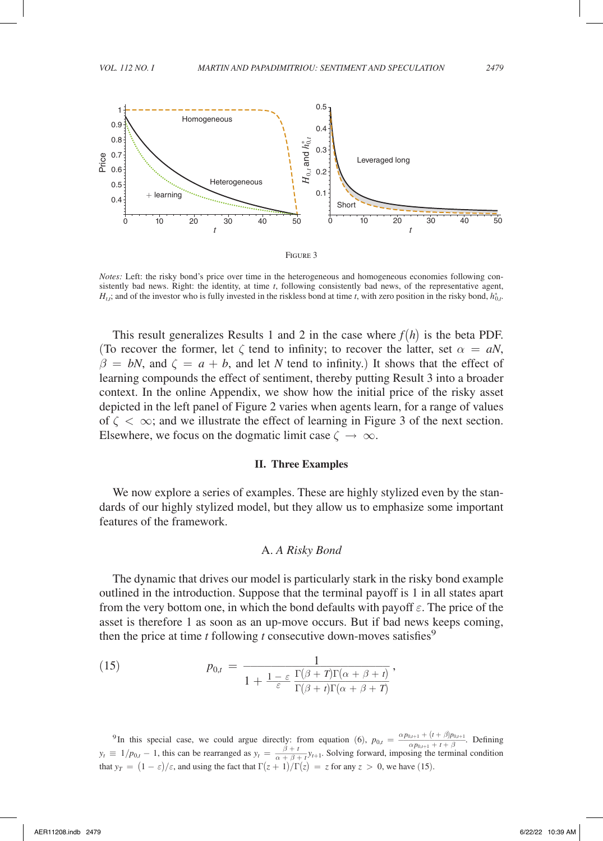

*Notes:* Left: the risky bond's price over time in the heterogeneous and homogeneous economies following consistently bad news. Right: the identity, at time *t*, following consistently bad news, of the representative agent,  $H_{t,i}$ ; and of the investor who is fully invested in the riskless bond at time *t*, with zero position in the risky bond,  $h_{0,t}^*$ .

This result generalizes Results 1 and 2 in the case where  $f(h)$  is the beta PDF. (To recover the former, let  $\zeta$  tend to infinity; to recover the latter, set  $\alpha = aN$ ,  $\beta = bN$ , and  $\zeta = a + b$ , and let *N* tend to infinity.) It shows that the effect of learning compounds the effect of sentiment, thereby putting Result 3 into a broader context. In the online Appendix, we show how the initial price of the risky asset depicted in the left panel of Figure 2 varies when agents learn, for a range of values of  $\zeta < \infty$ ; and we illustrate the effect of learning in Figure 3 of the next section. Elsewhere, we focus on the dogmatic limit case  $\zeta \to \infty$ .

#### **II. Three Examples**

We now explore a series of examples. These are highly stylized even by the standards of our highly stylized model, but they allow us to emphasize some important features of the framework.

## A. *A Risky Bond*

The dynamic that drives our model is particularly stark in the risky bond example outlined in the introduction. Suppose that the terminal payoff is 1 in all states apart from the very bottom one, in which the bond defaults with payoff  $\varepsilon$ . The price of the asset is therefore 1 as soon as an up-move occurs. But if bad news keeps coming,

then the price at time *t* following *t* consecutive down-moves satisfies<sup>9</sup>  
(15) 
$$
p_{0,t} = \frac{1}{1 + \frac{1 - \varepsilon}{\varepsilon} \frac{\Gamma(\beta + T)\Gamma(\alpha + \beta + t)}{\Gamma(\beta + t)\Gamma(\alpha + \beta + T)}},
$$

<sup>9</sup>In this special case, we could argue directly: from equation (6),  $p_{0,t} = \frac{\alpha p_{0,t+1} + (t+\beta)p_{0,t+1}}{\alpha p_{0,t+1} + t+\beta}$  $\frac{\alpha p_{0,t+1} + (t + \beta)p_{0,t+1}}{\alpha p_{0,t+1} + t + \beta}$  $\frac{1 + (t + \beta)p_{0,t+1}}{0_{0,t+1} + t + \beta}$ . Defining<br>g the terminal condition <sup>9</sup>In this special case, we could argue directly: fro *y<sub>t</sub>* =  $1/p_{0,t} - 1$ , this can be rearranged as  $y_t = \frac{\beta + t}{\alpha + \beta + t}$  that  $y_T = (1 - \varepsilon)/\varepsilon$ , and using the fact that  $\Gamma(z + 1)/\Gamma(z)$  $\beta + t$  $\frac{\beta + i}{\alpha + \beta + t}$ *y<sub>t+1</sub>*. Solving forward, imposing the terminal condition that  $y_T = (1 - \varepsilon)/\varepsilon$ , and using the fact that  $\Gamma(z + 1)/\Gamma(z) = z$  for any  $z > 0$ , we have (15).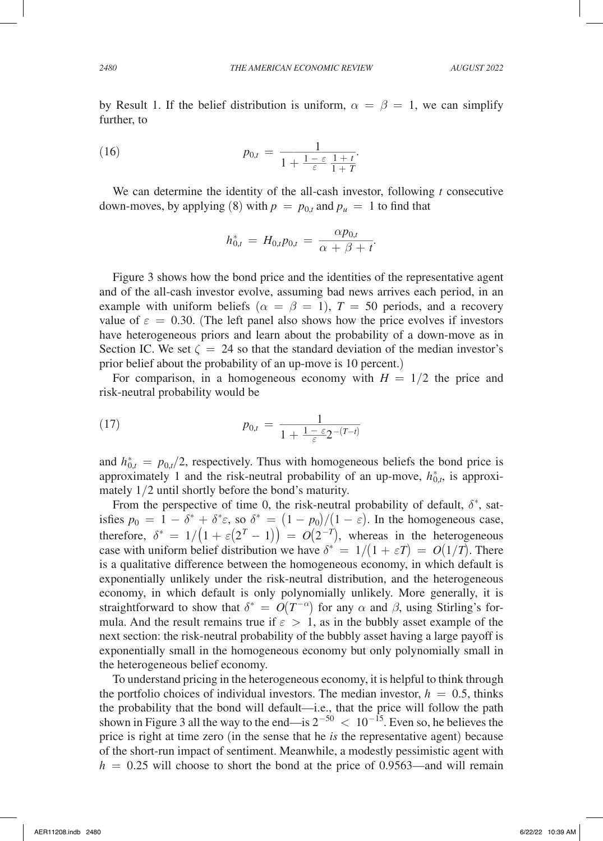by Result 1. If the belief distribution is uniform,  $\alpha = \beta = 1$ , we can simplify further, to

(16) 
$$
p_{0,t} = \frac{1}{1 + \frac{1 - \varepsilon}{\varepsilon} \frac{1 + t}{1 + T}}.
$$

We can determine the identity of the all-cash investor, following *t* consecutive down-moves, by applying (8) with  $p = p_{0,t}$  and  $p_u = 1$  to find that the all-cash investor<br>  $p_{0,t}$  and  $p_u = 1$ <br>  $p_{0,t} = \frac{\alpha p_{0,t}}{\alpha + \beta + t}$ 

$$
h_{0,t}^* \, = \, H_{0,t} p_{0,t} \, = \, \frac{\alpha p_{0,t}}{\alpha\, +\, \beta\, +\, t}.
$$

Figure 3 shows how the bond price and the identities of the representative agent and of the all-cash investor evolve, assuming bad news arrives each period, in an example with uniform beliefs ( $\alpha = \beta = 1$ ),  $T = 50$  periods, and a recovery value of  $\varepsilon = 0.30$ . (The left panel also shows how the price evolves if investors have heterogeneous priors and learn about the probability of a down-move as in Section IC. We set  $\zeta = 24$  so that the standard deviation of the median investor's prior belief about the probability of an up-move is 10 percent.)

For comparison, in a homogeneous economy with  $H = 1/2$  the price and risk-neutral probability would be

risk-neutral probability would be

\n
$$
p_{0,t} = \frac{1}{1 + \frac{1 - \varepsilon_2 - (T - t)}{\varepsilon}}
$$

and  $h_{0,t}^* = p_{0,t}/2$ , respectively. Thus with homogeneous beliefs the bond price is approximately 1 and the risk-neutral probability of an up-move,  $h_{0,t}^*$ , is approximately 1/2 until shortly before the bond's maturity.

From the perspective of time 0, the risk-neutral probability of default,  $\delta^*$ , satisfies  $p_0 = 1 - \delta^* + \delta^* \varepsilon$ , so  $\delta^* = (1 - p_0)/(1 - \varepsilon)$ . In the homogeneous case, therefore,  $\delta^* = 1/(1 + \varepsilon(2^T - 1)) = O(2^{-T})$ , whereas in the heterogeneous case with uniform belief distribution we have  $\delta^* = 1/(1 + \varepsilon T) = O(1/T)$ . There is a qualitative difference between the homogeneous economy, in which default is exponentially unlikely under the risk-neutral distribution, and the heterogeneous economy, in which default is only polynomially unlikely. More generally, it is straightforward to show that  $\delta^* = O(T^{-\alpha})$  for any  $\alpha$  and  $\beta$ , using Stirling's formula. And the result remains true if  $\varepsilon > 1$ , as in the bubbly asset example of the next section: the risk-neutral probability of the bubbly asset having a large payoff is exponentially small in the homogeneous economy but only polynomially small in the heterogeneous belief economy.

To understand pricing in the heterogeneous economy, it is helpful to think through the portfolio choices of individual investors. The median investor,  $h = 0.5$ , thinks the probability that the bond will default—i.e., that the price will follow the path shown in Figure 3 all the way to the end—is  $2^{-50} < 10^{-15}$ . Even so, he believes the price is right at time zero (in the sense that he *is* the representative agent) because of the short-run impact of sentiment. Meanwhile, a modestly pessimistic agent with  $h = 0.25$  will choose to short the bond at the price of 0.9563—and will remain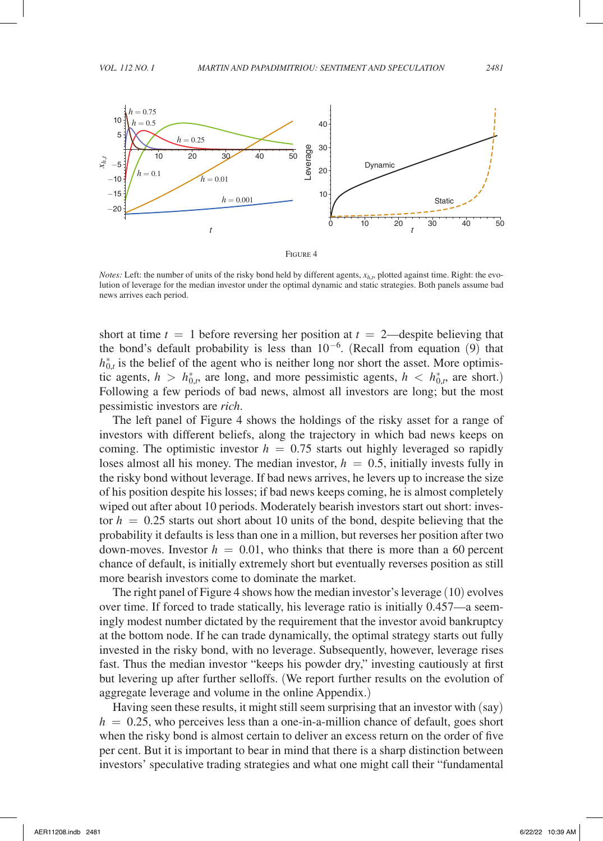

*Notes:* Left: the number of units of the risky bond held by different agents,  $x_{h,t}$ , plotted against time. Right: the evolution of leverage for the median investor under the optimal dynamic and static strategies. Both panels assume bad news arrives each period.

short at time  $t = 1$  before reversing her position at  $t = 2$ —despite believing that the bond's default probability is less than  $10^{-6}$ . (Recall from equation (9) that  $h_{0,t}^*$  is the belief of the agent who is neither long nor short the asset. More optimistic agents,  $h > h_{0,t}^*$ , are long, and more pessimistic agents,  $h < h_{0,t}^*$ , are short.) Following a few periods of bad news, almost all investors are long; but the most pessimistic investors are *rich*.

The left panel of Figure 4 shows the holdings of the risky asset for a range of investors with different beliefs, along the trajectory in which bad news keeps on coming. The optimistic investor  $h = 0.75$  starts out highly leveraged so rapidly loses almost all his money. The median investor,  $h = 0.5$ , initially invests fully in the risky bond without leverage. If bad news arrives, he levers up to increase the size of his position despite his losses; if bad news keeps coming, he is almost completely wiped out after about 10 periods. Moderately bearish investors start out short: investor  $h = 0.25$  starts out short about 10 units of the bond, despite believing that the probability it defaults is less than one in a million, but reverses her position after two down-moves. Investor  $h = 0.01$ , who thinks that there is more than a 60 percent chance of default, is initially extremely short but eventually reverses position as still more bearish investors come to dominate the market.

The right panel of Figure 4 shows how the median investor's leverage (10) evolves over time. If forced to trade statically, his leverage ratio is initially 0.457—a seemingly modest number dictated by the requirement that the investor avoid bankruptcy at the bottom node. If he can trade dynamically, the optimal strategy starts out fully invested in the risky bond, with no leverage. Subsequently, however, leverage rises fast. Thus the median investor "keeps his powder dry," investing cautiously at first but levering up after further selloffs. (We report further results on the evolution of aggregate leverage and volume in the online Appendix.)

Having seen these results, it might still seem surprising that an investor with (say)  $h = 0.25$ , who perceives less than a one-in-a-million chance of default, goes short when the risky bond is almost certain to deliver an excess return on the order of five per cent. But it is important to bear in mind that there is a sharp distinction between investors' speculative trading strategies and what one might call their "fundamental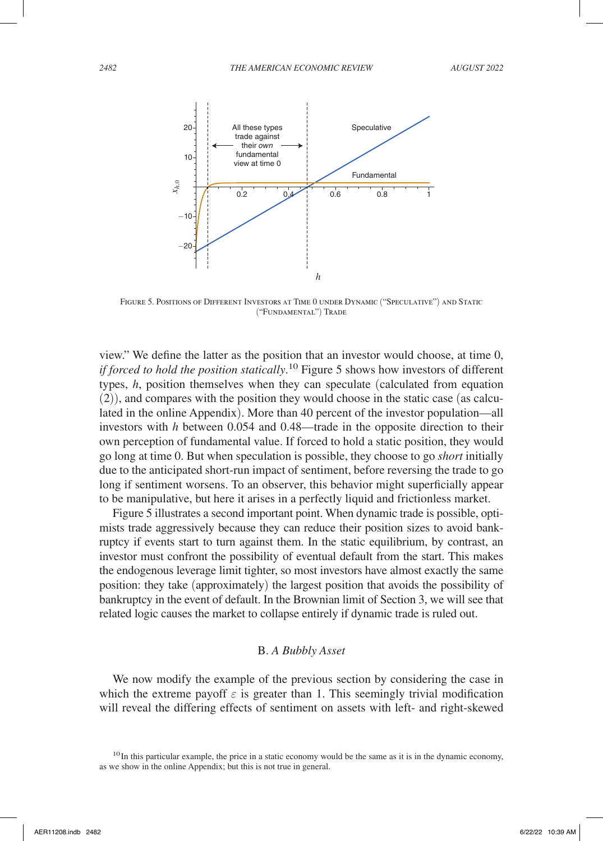

Figure 5. Positions of Different Investors at Time 0 under Dynamic ("Speculative") and Static ("Fundamental") Trade

view." We define the latter as the position that an investor would choose, at time 0, *if forced to hold the position statically*. 10 Figure 5 shows how investors of different types, *h*, position themselves when they can speculate (calculated from equation (2)), and compares with the position they would choose in the static case (as calculated in the online Appendix). More than 40 percent of the investor population—all investors with *h* between 0.054 and 0.48—trade in the opposite direction to their own perception of fundamental value. If forced to hold a static position, they would go long at time 0. But when speculation is possible, they choose to go *short* initially due to the anticipated short-run impact of sentiment, before reversing the trade to go long if sentiment worsens. To an observer, this behavior might superficially appear to be manipulative, but here it arises in a perfectly liquid and frictionless market.

Figure 5 illustrates a second important point. When dynamic trade is possible, optimists trade aggressively because they can reduce their position sizes to avoid bankruptcy if events start to turn against them. In the static equilibrium, by contrast, an investor must confront the possibility of eventual default from the start. This makes the endogenous leverage limit tighter, so most investors have almost exactly the same position: they take (approximately) the largest position that avoids the possibility of bankruptcy in the event of default. In the Brownian limit of Section 3, we will see that related logic causes the market to collapse entirely if dynamic trade is ruled out.

### B. *A Bubbly Asset*

We now modify the example of the previous section by considering the case in which the extreme payoff  $\varepsilon$  is greater than 1. This seemingly trivial modification will reveal the differing effects of sentiment on assets with left- and right-skewed

<sup>&</sup>lt;sup>10</sup>In this particular example, the price in a static economy would be the same as it is in the dynamic economy, as we show in the online Appendix; but this is not true in general.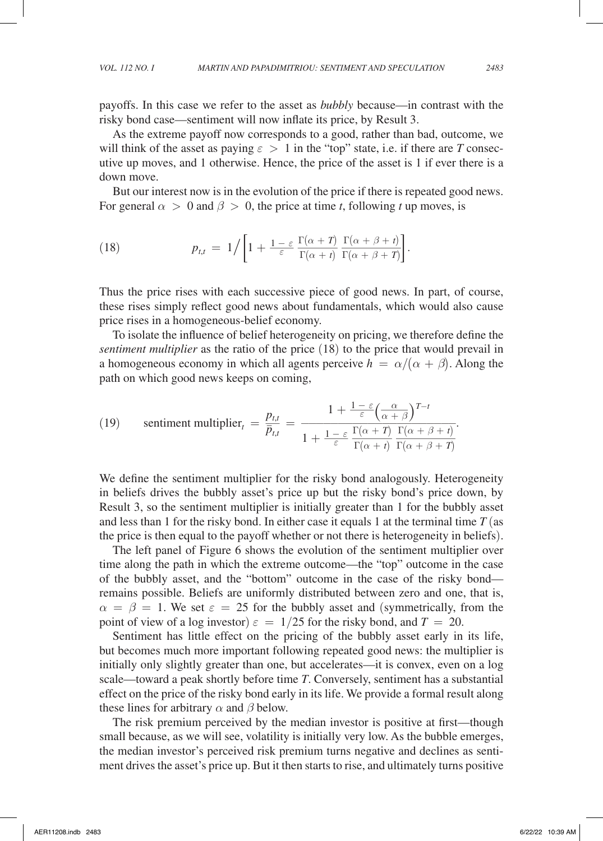payoffs. In this case we refer to the asset as *bubbly* because—in contrast with the risky bond case—sentiment will now inflate its price, by Result 3.

As the extreme payoff now corresponds to a good, rather than bad, outcome, we will think of the asset as paying  $\varepsilon > 1$  in the "top" state, i.e. if there are *T* consecutive up moves, and 1 otherwise. Hence, the price of the asset is 1 if ever there is a down move.

But our interest now is in the evolution of the price if there is repeated good news. For general  $\alpha > 0$  and  $\beta > 0$ , the price at time *t*, following *t* up moves, is

But our interest now is in the evolution of the price if there is re  
For general 
$$
\alpha > 0
$$
 and  $\beta > 0$ , the price at time *t*, following *t* up  
(18) 
$$
p_{t,t} = 1/\left[1 + \frac{1-\varepsilon}{\varepsilon} \frac{\Gamma(\alpha+T)}{\Gamma(\alpha+t)} \frac{\Gamma(\alpha+\beta+t)}{\Gamma(\alpha+\beta+T)}\right].
$$

Thus the price rises with each successive piece of good news. In part, of course, these rises simply reflect good news about fundamentals, which would also cause price rises in a homogeneous-belief economy.

To isolate the influence of belief heterogeneity on pricing, we therefore define the *sentiment multiplier* as the ratio of the price (18) to the price that would prevail in a homogeneous economy in which all agents perceive  $h = \alpha/(\alpha + \beta)$ . Along the path on which good news keeps on coming,

path on which good news keeps on coming,  
\n(19) sentiment multiplier<sub>t</sub> = 
$$
\frac{p_{t,t}}{\overline{p}_{t,t}} = \frac{1 + \frac{1-\varepsilon}{\varepsilon} \left(\frac{\alpha}{\alpha+\beta}\right)^{T-t}}{1 + \frac{1-\varepsilon}{\varepsilon} \frac{\Gamma(\alpha+T)}{\Gamma(\alpha+t)} \frac{\Gamma(\alpha+\beta+t)}{\Gamma(\alpha+\beta+T)}}.
$$
\nWe define the estimate multiplication for the right-hand angle  
\nand the real complex.

We define the sentiment multiplier for the risky bond analogously. Heterogeneity in beliefs drives the bubbly asset's price up but the risky bond's price down, by Result 3, so the sentiment multiplier is initially greater than 1 for the bubbly asset and less than 1 for the risky bond. In either case it equals 1 at the terminal time  $T$  (as the price is then equal to the payoff whether or not there is heterogeneity in beliefs).

The left panel of Figure 6 shows the evolution of the sentiment multiplier over time along the path in which the extreme outcome—the "top" outcome in the case of the bubbly asset, and the "bottom" outcome in the case of the risky bond remains possible. Beliefs are uniformly distributed between zero and one, that is,  $\alpha = \beta = 1$ . We set  $\varepsilon = 25$  for the bubbly asset and (symmetrically, from the point of view of a log investor)  $\varepsilon = 1/25$  for the risky bond, and  $T = 20$ .

Sentiment has little effect on the pricing of the bubbly asset early in its life, but becomes much more important following repeated good news: the multiplier is initially only slightly greater than one, but accelerates—it is convex, even on a log scale—toward a peak shortly before time *T*. Conversely, sentiment has a substantial effect on the price of the risky bond early in its life. We provide a formal result along these lines for arbitrary  $\alpha$  and  $\beta$  below.

The risk premium perceived by the median investor is positive at first—though small because, as we will see, volatility is initially very low. As the bubble emerges, the median investor's perceived risk premium turns negative and declines as sentiment drives the asset's price up. But it then starts to rise, and ultimately turns positive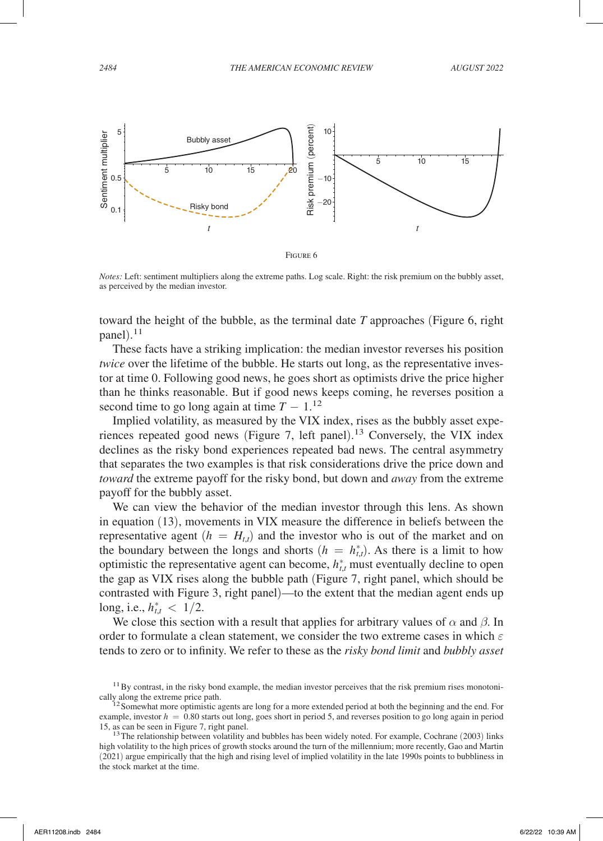

*Notes:* Left: sentiment multipliers along the extreme paths. Log scale. Right: the risk premium on the bubbly asset, as perceived by the median investor.

toward the height of the bubble, as the terminal date *T* approaches (Figure 6, right panel). 11

These facts have a striking implication: the median investor reverses his position *twice* over the lifetime of the bubble. He starts out long, as the representative investor at time 0. Following good news, he goes short as optimists drive the price higher than he thinks reasonable. But if good news keeps coming, he reverses position a second time to go long again at time  $T - 1$ <sup>12</sup>

Implied volatility, as measured by the VIX index, rises as the bubbly asset experiences repeated good news (Figure 7, left panel). 13 Conversely, the VIX index declines as the risky bond experiences repeated bad news. The central asymmetry that separates the two examples is that risk considerations drive the price down and *toward* the extreme payoff for the risky bond, but down and *away* from the extreme payoff for the bubbly asset.

We can view the behavior of the median investor through this lens. As shown in equation (13), movements in VIX measure the difference in beliefs between the representative agent  $(h = H_{t,t})$  and the investor who is out of the market and on the boundary between the longs and shorts  $(h = h_{t,t}^*)$ . As there is a limit to how optimistic the representative agent can become,  $h_{t,t}^*$  must eventually decline to open the gap as VIX rises along the bubble path (Figure 7, right panel, which should be contrasted with Figure 3, right panel)—to the extent that the median agent ends up long, i.e.,  $h_{t,t}^* < 1/2$ .

We close this section with a result that applies for arbitrary values of  $\alpha$  and  $\beta$ . In order to formulate a clean statement, we consider the two extreme cases in which  $\varepsilon$ tends to zero or to infinity. We refer to these as the *risky bond limit* and *bubbly asset* 

 $11$  By contrast, in the risky bond example, the median investor perceives that the risk premium rises monotonically along the extreme price path.<br><sup>12</sup>Somewhat more optimistic agents are long for a more extended period at both the beginning and the end. For

example, investor  $h = 0.80$  starts out long, goes short in period 5, and reverses position to go long again in period 15, as can be seen in Figure 7, right panel.

 $13$  The relationship between volatility and bubbles has been widely noted. For example, Cochrane (2003) links high volatility to the high prices of growth stocks around the turn of the millennium; more recently, Gao and Martin (2021) argue empirically that the high and rising level of implied volatility in the late 1990s points to bubbliness in the stock market at the time.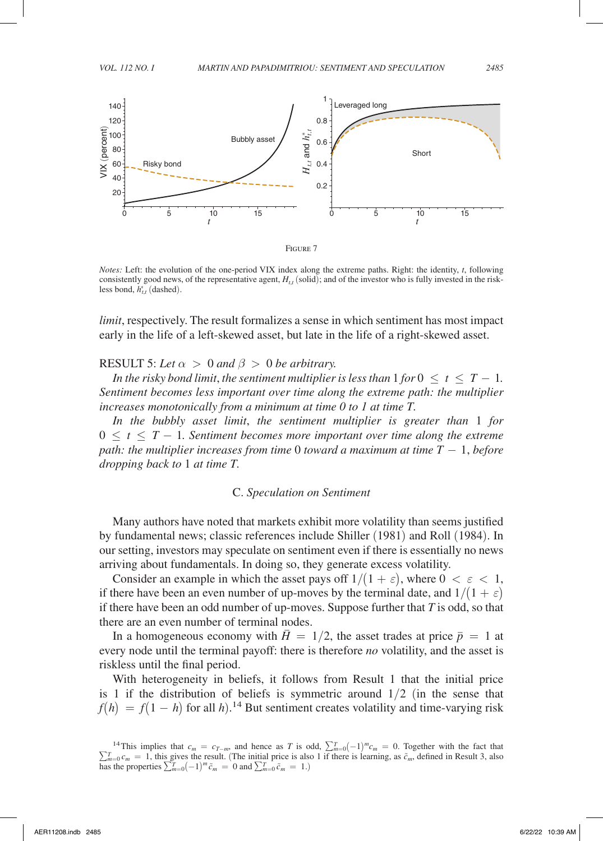

*Notes:* Left: the evolution of the one-period VIX index along the extreme paths. Right: the identity, *t*, following consistently good news, of the representative agent,  $H<sub>tt</sub>$  (solid); and of the investor who is fully invested in the riskless bond,  $h_{t,t}^*$  (dashed).

*limit*, respectively. The result formalizes a sense in which sentiment has most impact early in the life of a left-skewed asset, but late in the life of a right-skewed asset.

RESULT 5: Let  $\alpha > 0$  and  $\beta > 0$  be arbitrary.

*In the risky bond limit, the sentiment multiplier is less than*  $1$  *for*  $0 \le t \le T - 1$ *. Sentiment becomes less important over time along the extreme path: the multiplier increases monotonically from a minimum at time 0 to 1 at time T.*

*In the bubbly asset limit*, *the sentiment multiplier is greater than* 1 *for*   $0 \leq t \leq T-1$ . Sentiment becomes more important over time along the extreme *path: the multiplier increases from time* 0 *toward a maximum at time*  $T - 1$ *, before dropping back to* 1 *at time T.*

### C. *Speculation on Sentiment*

Many authors have noted that markets exhibit more volatility than seems justified by fundamental news; classic references include Shiller (1981) and Roll (1984). In our setting, investors may speculate on sentiment even if there is essentially no news arriving about fundamentals. In doing so, they generate excess volatility.

Consider an example in which the asset pays of  $1/(1 + \varepsilon)$ , where  $0 < \varepsilon < 1$ , if there have been an even number of up-moves by the terminal date, and  $1/(1 + \varepsilon)$ if there have been an odd number of up-moves. Suppose further that *T* is odd, so that there are an even number of terminal nodes.

In a homogeneous economy with  $\overline{H} = 1/2$ , the asset trades at price  $\overline{p} = 1$  at every node until the terminal payoff: there is therefore *no* volatility, and the asset is riskless until the final period.

With heterogeneity in beliefs, it follows from Result 1 that the initial price is 1 if the distribution of beliefs is symmetric around  $1/2$  (in the sense that  $f(h) = f(1 - h)$  for all *h*).<sup>14</sup> But sentiment creates volatility and time-varying risk

<sup>&</sup>lt;sup>14</sup>This implies that  $c_m = c_{T-m}$ , and hence as *T* is odd,  $\sum_{m=0}^{T} (-1)^m c_m = 0$ . Together with the fact that  $\sum_{m=0}^{T} c_m = 1$ , this gives the result. (The initial price is also 1 if there is learning, as  $\tilde{c}_m$ , defined in Result 3, also has the properties  $\sum_{m=0}^{T} (-1)^m \tilde{c}_m = 0$  and  $\sum_{m=0}^{T} \tilde{c}_m = 1$ .)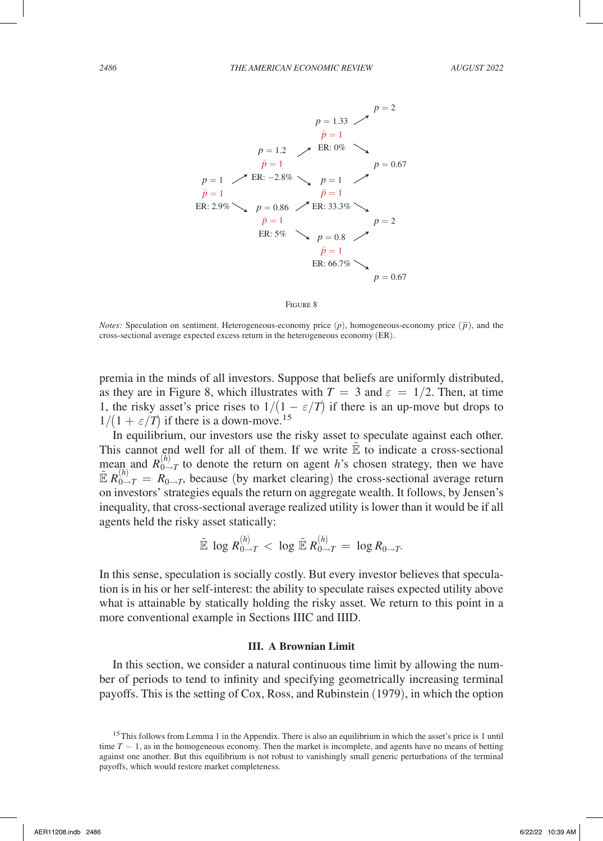



*Notes:* Speculation on sentiment. Heterogeneous-economy price  $(p)$ , homogeneous-economy price  $(\bar{p})$ , and the cross-sectional average expected excess return in the heterogeneous economy (ER).

premia in the minds of all investors. Suppose that beliefs are uniformly distributed, as they are in Figure 8, which illustrates with  $T = 3$  and  $\varepsilon = 1/2$ . Then, at time 1, the risky asset's price rises to  $1/(1 - \varepsilon/T)$  if there is an up-move but drops to  $1/(1 + \varepsilon/T)$  if there is a down-move.<sup>15</sup>

In equilibrium, our investors use the risky asset to speculate against each other. This cannot end well for all of them. If we write  $\mathbb E$  to indicate a cross-sectional mean and  $R_{0\to T}^{(h)}$  to denote the return on agent *h*'s chosen strategy, then we have  $\mathbb{E} R_{0\to T}^{(h)} = R_{0\to T}$ , because (by market clearing) the cross-sectional average return on investors' strategies equals the return on aggregate wealth. It follows, by Jensen's inequality, that cross-sectional average realized utility is lower than it would be if all agents held the risky asset statically:

$$
\tilde{\mathbb{E}}\,\log R^{(h)}_{0\to T} < \,\log \tilde{\mathbb{E}}\,R^{(h)}_{0\to T} = \,\log R_{0\to T}.
$$

In this sense, speculation is socially costly. But every investor believes that speculation is in his or her self-interest: the ability to speculate raises expected utility above what is attainable by statically holding the risky asset. We return to this point in a more conventional example in Sections IIIC and IIID.

#### **III. A Brownian Limit**

In this section, we consider a natural continuous time limit by allowing the number of periods to tend to infinity and specifying geometrically increasing terminal payoffs. This is the setting of Cox, Ross, and Rubinstein (1979), in which the option

<sup>&</sup>lt;sup>15</sup>This follows from Lemma 1 in the Appendix. There is also an equilibrium in which the asset's price is 1 until time *T* − 1, as in the homogeneous economy. Then the market is incomplete, and agents have no means of betting against one another. But this equilibrium is not robust to vanishingly small generic perturbations of the terminal payoffs, which would restore market completeness.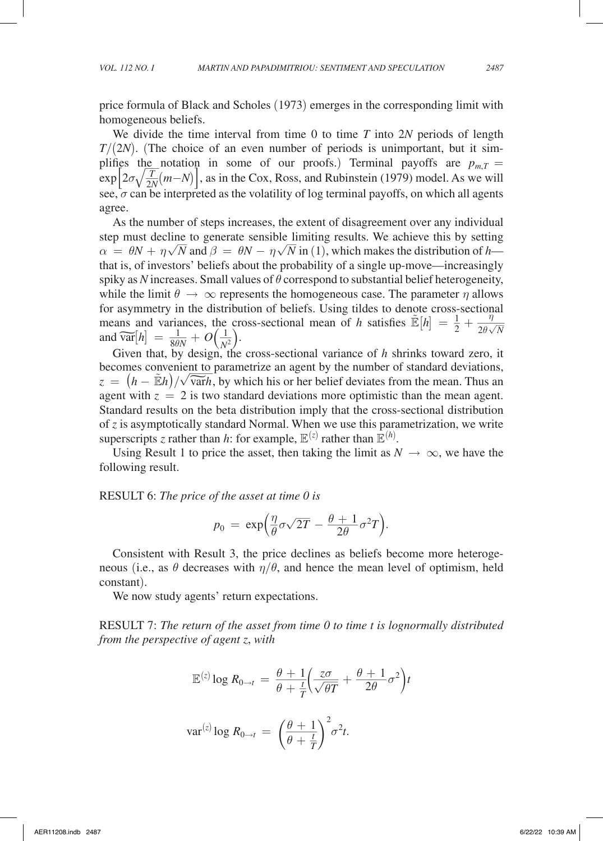price formula of Black and Scholes (1973) emerges in the corresponding limit with homogeneous beliefs.

We divide the time interval from time 0 to time *T* into 2*N* periods of length *T*/(2*N*). (The choice of an even number of periods is unimportant, but it simplifies the notation in some of our proofs.) Terminal payoffs are  $p_{m,T} =$ <br> $\lim_{n \to \infty} [2 \pi (\mu - \lambda)]$  as in the Gay Base and Dubinately (1970) madel As we will  $\exp\left[2\sigma\sqrt{\frac{T}{2N}}(m-N)\right]$ , as in the Cox, Ross, and Rubinstein (1979) model. As we will see,  $\sigma$  can be interpreted as the volatility of log terminal payoffs, on which all agents agree.

As the number of steps increases, the extent of disagreement over any individual step must decline to generate sensible limiting results. We achieve this by setting  $\alpha = \theta M + n \sqrt{N}$  and  $\beta = \theta M - n \sqrt{N}$  in (1) which makes the distribution of h  $\alpha = \theta N + \eta \sqrt{N}$  and  $\beta = \theta N - \eta \sqrt{N}$  in (1), which makes the distribution of *h* that is, of investors' beliefs about the probability of a single up-move—increasingly spiky as *N* increases. Small values of  $\theta$  correspond to substantial belief heterogeneity, while the limit  $\theta \to \infty$  represents the homogeneous case. The parameter  $\eta$  allows for asymmetry in the distribution of beliefs. Using tildes to denote cross-sectional means and variances, the cross-sectional mean of *h* satisfies  $\mathbb{E}[h] = \frac{1}{2}$  $\frac{2}{2}$  +  $\frac{\eta}{2\theta\sqrt{N}}$ η means and variances, the cross-sectional mean of h satisfies  $\mathbb{E}[h] = \frac{1}{2} + \frac{\gamma}{2\theta\sqrt{N}}$ <br>and  $\widehat{\text{var}}[h] = \frac{1}{8\theta N} + O(\frac{1}{N^2})$ .  $\frac{1}{8\theta N}+O\left(\frac{1}{N^2}\right).$ 

Given that, by design, the cross-sectional variance of *h* shrinks toward zero, it becomes convenient to parametrize an agent by the number of standard deviations, Given that, by design, the cross-sectional variance of *h* shrinks toward zero, it becomes convenient to parametrize an agent by the number of standard deviations,  $z = (h - \mathbb{E}h)/\sqrt{\text{var}}h$ , by which his or her belief devia agent with  $z = 2$  is two standard deviations more optimistic than the mean agent. Standard results on the beta distribution imply that the cross-sectional distribution of *z* is asymptotically standard Normal. When we use this parametrization, we write superscripts *z* rather than *h*: for example,  $\mathbb{E}^{(z)}$  rather than  $\mathbb{E}^{(h)}$ .

Using Result 1 to price the asset, then taking the limit as  $N \to \infty$ , we have the following result.

RESULT 6: *The price of the asset at time 0 is*

**RESULT 6:** The price of the asset at time 0 is  

$$
p_0 = \exp\left(\frac{\eta}{\theta}\sigma\sqrt{2T} - \frac{\theta+1}{2\theta}\sigma^2T\right).
$$

Consistent with Result 3, the price declines as beliefs become more heterogeneous (i.e., as  $\theta$  decreases with  $\eta/\theta$ , and hence the mean level of optimism, held constant).

We now study agents' return expectations.

RESULT 7: *The return of the asset from time 0 to time t is lognormally distributed from the perspective of agent z*, *with*

$$
\mathbb{E}^{(z)} \log R_{0 \to t} = \frac{\theta + 1}{\theta + \frac{t}{T}} \left( \frac{z\sigma}{\sqrt{\theta T}} + \frac{\theta + 1}{2\theta} \sigma^2 \right) t
$$

$$
\text{var}^{(z)} \log R_{0 \to t} = \left(\frac{\theta + 1}{\theta + \frac{t}{T}}\right)^2 \sigma^2 t.
$$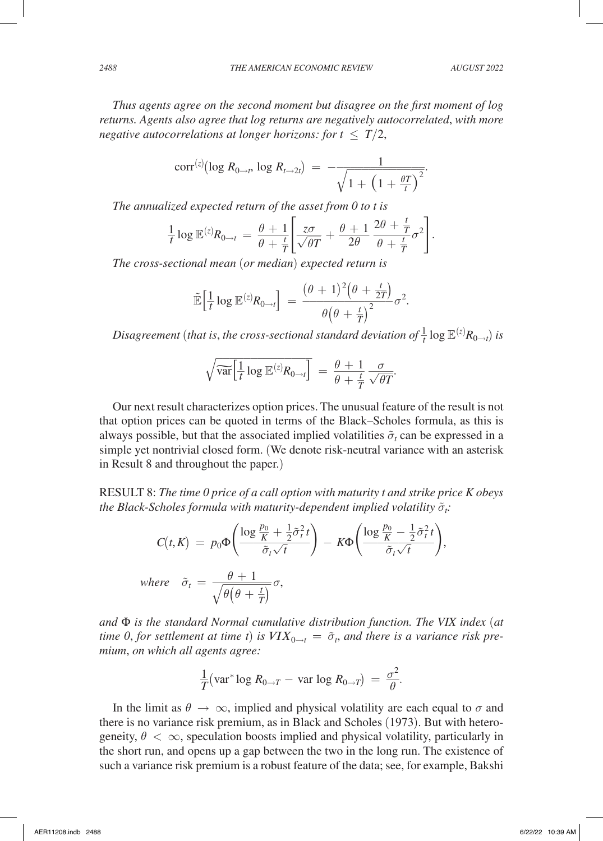*Thus agents agree on the second moment but disagree on the first moment of log returns. Agents also agree that log returns are negatively autocorrelated*, *with more negative autocorrelations at longer horizons: for*  $t \leq T/2$ *,* 

negative autocorrelations at longer horizons: for 
$$
t \leq T/2
$$
,  
\n
$$
\text{corr}^{(z)}(\log R_{0\to t}, \log R_{t\to 2t}) = -\frac{1}{\sqrt{1 + \left(1 + \frac{\theta T}{t}\right)^2}}.
$$
\nThe annualized expected return of the asset from 0 to t is

The annualized expected return of the asset from 0 to t is  
\n
$$
\frac{1}{t} \log \mathbb{E}^{(z)} R_{0 \to t} = \frac{\theta + 1}{\theta + \frac{t}{T}} \left[ \frac{z\sigma}{\sqrt{\theta T}} + \frac{\theta + 1}{2\theta} \frac{2\theta + \frac{t}{T}}{\theta + \frac{t}{T}} \sigma^2 \right].
$$

*The cross-sectional mean* (*or median*) *expected return is*

The cross-sectional mean (or median) expected return is  
\n
$$
\tilde{\mathbb{E}}\Big[\frac{1}{t}\log \mathbb{E}^{(z)}R_{0\to t}\Big] = \frac{(\theta+1)^2(\theta+\frac{t}{2T})}{\theta(\theta+\frac{t}{T})^2}\sigma^2.
$$

$$
Disagreement (that is, the cross-sectional standard deviation of \frac{1}{t} \log \mathbb{E}^{(z)} R_{0\to t}) is
$$

$$
\sqrt{\widehat{\text{var}}\left[\frac{1}{t} \log \mathbb{E}^{(z)} R_{0\to t}\right]} = \frac{\theta + 1}{\theta + \frac{t}{T}} \frac{\sigma}{\sqrt{\theta T}}.
$$

Our next result characterizes option prices. The unusual feature of the result is not that option prices can be quoted in terms of the Black–Scholes formula, as this is always possible, but that the associated implied volatilities  $\tilde{\sigma}_t$  can be expressed in a simple yet nontrivial closed form. (We denote risk-neutral variance with an asterisk in Result 8 and throughout the paper.)

RESULT 8: *The time 0 price of a call option with maturity t and strike price K obeys*  the Black-Scholes formula with maturity-dependent implied volatility  $\tilde{\sigma}_i$ :

The black-Schoes formula with maturity-dependent implied volatility 
$$
\sigma_t
$$
  
\n
$$
C(t, K) = p_0 \Phi \left( \frac{\log \frac{p_0}{K} + \frac{1}{2} \tilde{\sigma}_t^2 t}{\tilde{\sigma}_t \sqrt{t}} \right) - K \Phi \left( \frac{\log \frac{p_0}{K} - \frac{1}{2} \tilde{\sigma}_t^2 t}{\tilde{\sigma}_t \sqrt{t}} \right),
$$
\nwhere  $\tilde{\sigma}_t = \frac{\theta + 1}{\sqrt{\theta(\theta + \frac{t}{T})}} \sigma$ ,

*and* Φ *is the standard Normal cumulative distribution function. The VIX index* (*at time 0, for settlement at time t) is*  $VIX_{0\rightarrow t} = \tilde{\sigma}_t$ *, and there is a variance risk premium*, *on which all agents agree:*

$$
\frac{1}{T}(\text{var}^* \log R_{0 \to T} - \text{var} \log R_{0 \to T}) = \frac{\sigma^2}{\theta}.
$$

In the limit as  $\theta \to \infty$ , implied and physical volatility are each equal to  $\sigma$  and there is no variance risk premium, as in Black and Scholes (1973). But with heterogeneity,  $\theta < \infty$ , speculation boosts implied and physical volatility, particularly in the short run, and opens up a gap between the two in the long run. The existence of such a variance risk premium is a robust feature of the data; see, for example, Bakshi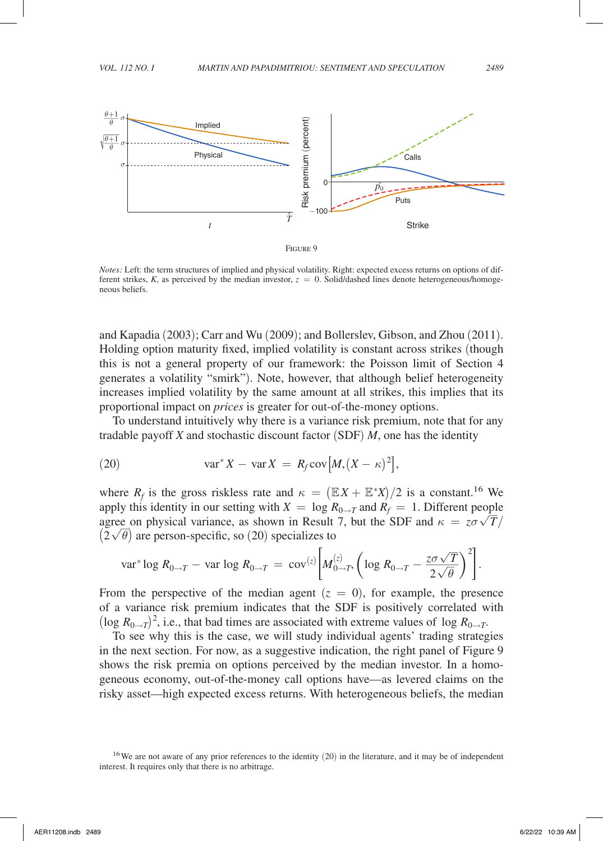

*Notes:* Left: the term structures of implied and physical volatility. Right: expected excess returns on options of different strikes,  $K$ , as perceived by the median investor,  $z = 0$ . Solid/dashed lines denote heterogeneous/homogeneous beliefs.

and Kapadia (2003); Carr and Wu (2009); and Bollerslev, Gibson, and Zhou (2011). Holding option maturity fixed, implied volatility is constant across strikes (though this is not a general property of our framework: the Poisson limit of Section 4 generates a volatility "smirk"). Note, however, that although belief heterogeneity increases implied volatility by the same amount at all strikes, this implies that its proportional impact on *prices* is greater for out-of-the-money options.

To understand intuitively why there is a variance risk premium, note that for any tradable payoff *X* and stochastic discount factor (SDF) *M*, one has the identity

(20) 
$$
\text{var}^* X - \text{var} X = R_f \text{cov}\big[M, (X - \kappa)^2\big],
$$

where  $R_f$  is the gross riskless rate and  $\kappa = (\mathbb{E}X + \mathbb{E}^*X)/2$  is a constant.<sup>16</sup> We apply this identity in our setting with  $X = \log R_{0\rightarrow T}$  and  $R_f = 1$ . Different people agrees on physical various as shown in Pasult 7, but the SDE and we see  $\sqrt{T}/$ agree on physical variance, as shown in Result 7, but the SDF and  $\kappa = z\sigma\sqrt{T}/$  $(2\sqrt{\theta})$  are person-specific, so (20) specializes to

$$
(2\sqrt{\theta})
$$
 are person-specific, so (20) specializes to  
var<sup>\*</sup> log  $R_{0\to T}$  – var log  $R_{0\to T}$  = cov<sup>(z)</sup> $\left[M_{0\to T}^{(z)}\left(\log R_{0\to T} - \frac{z\sigma\sqrt{T}}{2\sqrt{\theta}}\right)^2\right]$ .

From the perspective of the median agent  $(z = 0)$ , for example, the presence of a variance risk premium indicates that the SDF is positively correlated with  $(\log R_{0\rightarrow T})^2$ , i.e., that bad times are associated with extreme values of log  $R_{0\rightarrow T}$ .

To see why this is the case, we will study individual agents' trading strategies in the next section. For now, as a suggestive indication, the right panel of Figure 9 shows the risk premia on options perceived by the median investor. In a homogeneous economy, out-of-the-money call options have—as levered claims on the risky asset—high expected excess returns. With heterogeneous beliefs, the median

<sup>&</sup>lt;sup>16</sup>We are not aware of any prior references to the identity (20) in the literature, and it may be of independent interest. It requires only that there is no arbitrage.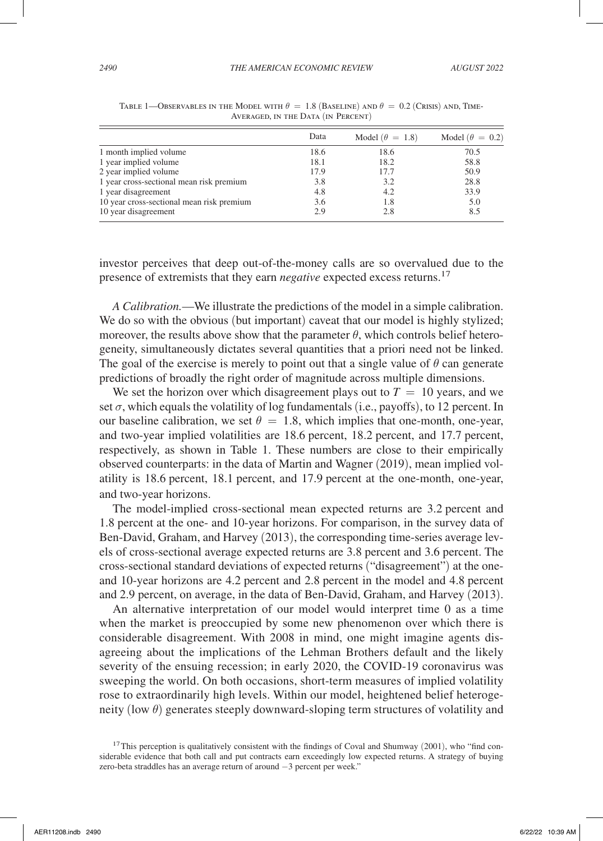|                                           | Data | Model ( $\theta = 1.8$ ) | Model ( $\theta = 0.2$ ) |
|-------------------------------------------|------|--------------------------|--------------------------|
| 1 month implied volume                    | 18.6 | 18.6                     | 70.5                     |
| 1 year implied volume                     | 18.1 | 18.2                     | 58.8                     |
| 2 year implied volume                     | 17.9 | 17.7                     | 50.9                     |
| 1 year cross-sectional mean risk premium  | 3.8  | 3.2                      | 28.8                     |
| 1 year disagreement                       | 4.8  | 4.2                      | 33.9                     |
| 10 year cross-sectional mean risk premium | 3.6  | 1.8                      | 5.0                      |
| 10 year disagreement                      | 2.9  | 2.8                      | 8.5                      |

TABLE 1—OBSERVABLES IN THE MODEL WITH  $\theta = 1.8$  (BASELINE) AND  $\theta = 0.2$  (Crisis) and, Time-Averaged, in the Data (in Percent)

investor perceives that deep out-of-the-money calls are so overvalued due to the presence of extremists that they earn *negative* expected excess returns.17

*A Calibration.*—We illustrate the predictions of the model in a simple calibration. We do so with the obvious (but important) caveat that our model is highly stylized; moreover, the results above show that the parameter  $\theta$ , which controls belief heterogeneity, simultaneously dictates several quantities that a priori need not be linked. The goal of the exercise is merely to point out that a single value of  $\theta$  can generate predictions of broadly the right order of magnitude across multiple dimensions.

We set the horizon over which disagreement plays out to  $T = 10$  years, and we set  $\sigma$ , which equals the volatility of log fundamentals (i.e., payoffs), to 12 percent. In our baseline calibration, we set  $\theta = 1.8$ , which implies that one-month, one-year, and two-year implied volatilities are 18.6 percent, 18.2 percent, and 17.7 percent, respectively, as shown in Table 1. These numbers are close to their empirically observed counterparts: in the data of Martin and Wagner (2019), mean implied volatility is 18.6 percent, 18.1 percent, and 17.9 percent at the one-month, one-year, and two-year horizons.

The model-implied cross-sectional mean expected returns are 3.2 percent and 1.8 percent at the one- and 10-year horizons. For comparison, in the survey data of Ben-David, Graham, and Harvey (2013), the corresponding time-series average levels of cross-sectional average expected returns are 3.8 percent and 3.6 percent. The cross-sectional standard deviations of expected returns ("disagreement") at the oneand 10-year horizons are 4.2 percent and 2.8 percent in the model and 4.8 percent and 2.9 percent, on average, in the data of Ben-David, Graham, and Harvey (2013).

An alternative interpretation of our model would interpret time 0 as a time when the market is preoccupied by some new phenomenon over which there is considerable disagreement. With 2008 in mind, one might imagine agents disagreeing about the implications of the Lehman Brothers default and the likely severity of the ensuing recession; in early 2020, the COVID-19 coronavirus was sweeping the world. On both occasions, short-term measures of implied volatility rose to extraordinarily high levels. Within our model, heightened belief heterogeneity (low  $\theta$ ) generates steeply downward-sloping term structures of volatility and

<sup>&</sup>lt;sup>17</sup>This perception is qualitatively consistent with the findings of Coval and Shumway (2001), who "find considerable evidence that both call and put contracts earn exceedingly low expected returns. A strategy of buying zero-beta straddles has an average return of around −3 percent per week."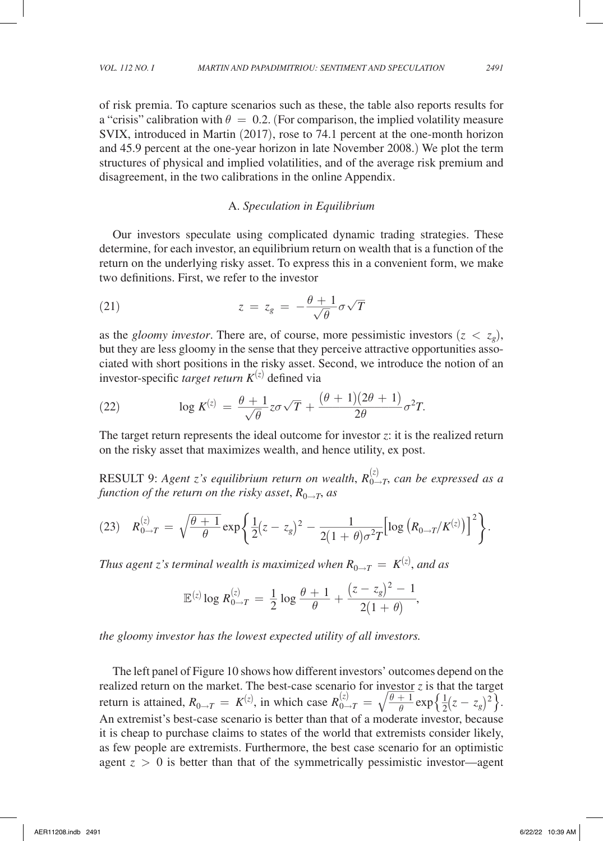of risk premia. To capture scenarios such as these, the table also reports results for a "crisis" calibration with  $\theta = 0.2$ . (For comparison, the implied volatility measure SVIX, introduced in Martin (2017), rose to 74.1 percent at the one-month horizon and 45.9 percent at the one-year horizon in late November 2008.) We plot the term structures of physical and implied volatilities, and of the average risk premium and disagreement, in the two calibrations in the online Appendix.

### A. *Speculation in Equilibrium*

Our investors speculate using complicated dynamic trading strategies. These determine, for each investor, an equilibrium return on wealth that is a function of the return on the underlying risky asset. To express this in a convenient form, we make two definitions. First, we refer to the investor

two definitions. First, we refer to the investor  
\n(21) 
$$
z = z_g = -\frac{\theta + 1}{\sqrt{\theta}} \sigma \sqrt{T}
$$

as the *gloomy investor*. There are, of course, more pessimistic investors  $(z < z<sub>e</sub>)$ , but they are less gloomy in the sense that they perceive attractive opportunities associated with short positions in the risky asset. Second, we introduce the notion of an

investor-specific *target return K*<sup>(z)</sup> defined via  
\n(22) 
$$
\log K^{(z)} = \frac{\theta + 1}{\sqrt{\theta}} z\sigma \sqrt{T} + \frac{(\theta + 1)(2\theta + 1)}{2\theta} \sigma^2 T.
$$
\nThe *t* must return *conversate* the ideal outcomes for *invi* states at *i* is the

The target return represents the ideal outcome for investor *z*: it is the realized return on the risky asset that maximizes wealth, and hence utility, ex post.

RESULT 9: *Agent z's equilibrium return on wealth*,  $R_{0\rightarrow T}^{(z)}$ , can be expressed as a

\n**RESULT 9:** Agent *z*'s equilibrium return on wealth, 
$$
R_{0\rightarrow T}^{(z)}
$$
, can be expressed as function of the return on the risky asset,  $R_{0\rightarrow T}$ , as\n

\n\n(23)  $R_{0\rightarrow T}^{(z)} = \sqrt{\frac{\theta+1}{\theta}} \exp\left\{\frac{1}{2}(z-z_g)^2 - \frac{1}{2(1+\theta)\sigma^2 T} \left[ \log \left( R_{0\rightarrow T} / K^{(z)} \right) \right]^2 \right\}.$ \n

\n\nThus agent *z*'s terminal wealth is maximized when  $R_{0\rightarrow T} = K^{(z)}$ , and as\n

*Thus agent z's terminal wealth is maximized when*  $R_{0\rightarrow T} = K^{(z)},$  *and as* 

$$
\sum_{k=1}^{\infty} \sum_{j=1}^{\infty} \sum_{j=1}^{\infty} \sum_{j=1}^{\infty} \sum_{j=1}^{\infty} \sum_{j=1}^{\infty} \sum_{j=1}^{\infty} \sum_{j=1}^{\infty} \sum_{j=1}^{\infty} \sum_{j=1}^{\infty} \sum_{j=1}^{\infty} \sum_{j=1}^{\infty} \sum_{j=1}^{\infty} \sum_{j=1}^{\infty} \sum_{j=1}^{\infty} \sum_{j=1}^{\infty} \sum_{j=1}^{\infty} \sum_{j=1}^{\infty} \sum_{j=1}^{\infty} \sum_{j=1}^{\infty} \sum_{j=1}^{\infty} \sum_{j=1}^{\infty} \sum_{j=1}^{\infty} \sum_{j=1}^{\infty} \sum_{j=1}^{\infty} \sum_{j=1}^{\infty} \sum_{j=1}^{\infty} \sum_{j=1}^{\infty} \sum_{j=1}^{\infty} \sum_{j=1}^{\infty} \sum_{j=1}^{\infty} \sum_{j=1}^{\infty} \sum_{j=1}^{\infty} \sum_{j=1}^{\infty} \sum_{j=1}^{\infty} \sum_{j=1}^{\infty} \sum_{j=1}^{\infty} \sum_{j=1}^{\infty} \sum_{j=1}^{\infty} \sum_{j=1}^{\infty} \sum_{j=1}^{\infty} \sum_{j=1}^{\infty} \sum_{j=1}^{\infty} \sum_{j=1}^{\infty} \sum_{j=1}^{\infty} \sum_{j=1}^{\infty} \sum_{j=1}^{\infty} \sum_{j=1}^{\infty} \sum_{j=1}^{\infty} \sum_{j=1}^{\infty} \sum_{j=1}^{\infty} \sum_{j=1}^{\infty} \sum_{j=1}^{\infty} \sum_{j=1}^{\infty} \sum_{j=1}^{\infty} \sum_{j=1}^{\infty} \sum_{j=1}^{\infty} \sum_{j=1}^{\infty} \sum_{j=1}^{\infty} \sum_{j=1}^{\infty} \sum_{j=1}^{\infty} \sum_{j=1}^{\infty} \sum_{j=1}^{\infty} \sum_{j
$$

*the gloomy investor has the lowest expected utility of all investors.*

The left panel of Figure 10 shows how different investors' outcomes depend on the realized return on the market. The best-case scenario for investor *z* is that the target The left panel of Figure 10 shows how different investors' outco<br>realized return on the market. The best-case scenario for investor<br>return is attained,  $R_{0\to T} = K^{(z)}$ , in which case  $R_{0\to T}^{(z)} = \sqrt{\frac{\theta + 1}{\theta}}$  $\frac{\theta + 1}{\theta} \exp{\frac{1}{2}(z - z_g)^2}$ .<br>denote investor because. An extremist's best-case scenario is better than that of a moderate investor, because it is cheap to purchase claims to states of the world that extremists consider likely, as few people are extremists. Furthermore, the best case scenario for an optimistic agent  $z > 0$  is better than that of the symmetrically pessimistic investor—agent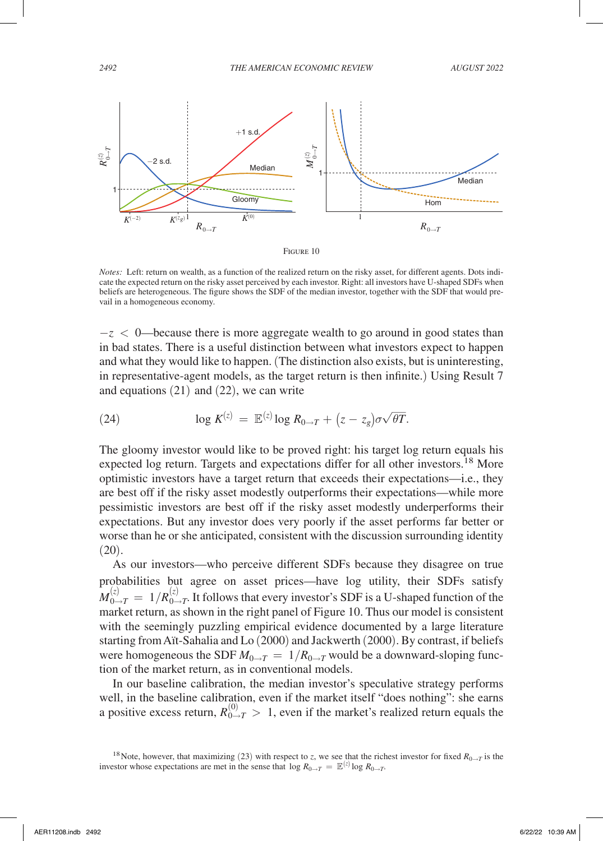

*Notes:* Left: return on wealth, as a function of the realized return on the risky asset, for different agents. Dots indicate the expected return on the risky asset perceived by each investor. Right: all investors have U-shaped SDFs when beliefs are heterogeneous. The figure shows the SDF of the median investor, together with the SDF that would prevail in a homogeneous economy.

 $-z < 0$ —because there is more aggregate wealth to go around in good states than in bad states. There is a useful distinction between what investors expect to happen and what they would like to happen. (The distinction also exists, but is uninteresting, in representative-agent models, as the target return is then infinite.) Using Result 7 and equations (21) and (22), we can write

(24) 
$$
\log K^{(z)} = \mathbb{E}^{(z)} \log R_{0 \to T} + (z - z_g) \sigma \sqrt{\theta T}.
$$

The gloomy investor would like to be proved right: his target log return equals his expected log return. Targets and expectations differ for all other investors.<sup>18</sup> More optimistic investors have a target return that exceeds their expectations—i.e., they are best off if the risky asset modestly outperforms their expectations—while more pessimistic investors are best off if the risky asset modestly underperforms their expectations. But any investor does very poorly if the asset performs far better or worse than he or she anticipated, consistent with the discussion surrounding identity  $(20).$ 

As our investors—who perceive different SDFs because they disagree on true probabilities but agree on asset prices—have log utility, their SDFs satisfy  $M_{0\to T}^{(z)} = 1/R_{0\to T}^{(z)}$ . It follows that every investor's SDF is a U-shaped function of the market return, as shown in the right panel of Figure 10. Thus our model is consistent with the seemingly puzzling empirical evidence documented by a large literature starting from Aït-Sahalia and Lo (2000) and Jackwerth (2000). By contrast, if beliefs were homogeneous the SDF  $M_{0\rightarrow T} = 1/R_{0\rightarrow T}$  would be a downward-sloping function of the market return, as in conventional models.

In our baseline calibration, the median investor's speculative strategy performs well, in the baseline calibration, even if the market itself "does nothing": she earns a positive excess return,  $R_{0\to T}^{(0)} > 1$ , even if the market's realized return equals the

<sup>&</sup>lt;sup>18</sup>Note, however, that maximizing (23) with respect to *z*, we see that the richest investor for fixed  $R_{0\to T}$  is the investor whose expectations are met in the sense that  $\log R_{0\rightarrow T} = \mathbb{E}^{(z)} \log R_{0\rightarrow T}$ .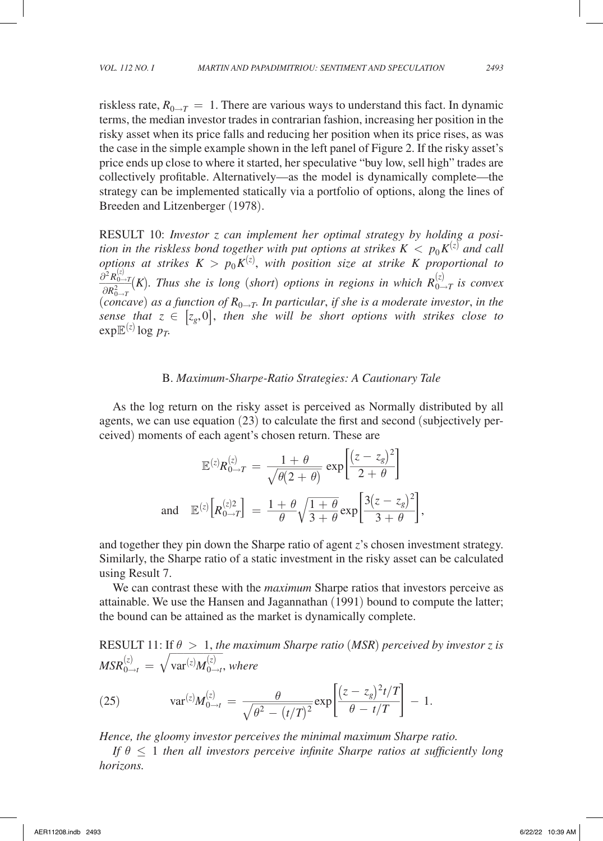riskless rate,  $R_{0\rightarrow T} = 1$ . There are various ways to understand this fact. In dynamic terms, the median investor trades in contrarian fashion, increasing her position in the risky asset when its price falls and reducing her position when its price rises, as was the case in the simple example shown in the left panel of Figure 2. If the risky asset's price ends up close to where it started, her speculative "buy low, sell high" trades are collectively profitable. Alternatively—as the model is dynamically complete—the strategy can be implemented statically via a portfolio of options, along the lines of Breeden and Litzenberger (1978).

RESULT 10: *Investor z can implement her optimal strategy by holding a position in the riskless bond together with put options at strikes*  $K < p_0 K^{(z)}$  *and call options at strikes*  $K > p_0 K^{(z)}$ , with position size at strike K proportional to  $\frac{\partial^2 R_{0\rightarrow T}^{(z)}}{\partial z^2}$  $\frac{\partial^2 R_{0\to T}^{(x)}}{\partial R_{0\to T}^2}(K)$ . Thus she is long (*short*) options in regions in which  $R_{0\to T}^{(z)}$  is convex  $(concave)$  as a function of  $R_{0\rightarrow T}$ . In particular, if she is a moderate investor, in the *sense that*  $z \in [z_g, 0]$ *, then she will be short options with strikes close to*  $\exp E^{(z)} \log p_T$ .

#### B. *Maximum-Sharpe-Ratio Strategies: A Cautionary Tale*

As the log return on the risky asset is perceived as Normally distributed by all

For the reg-actant of the Hsky asset is preferred as following disconnected by an agents, we can use equation (23) to calculate the first and second (subjectively perceived) moments of each agent's chosen return. These are

\n
$$
\mathbb{E}^{(z)} R_{0\to T}^{(z)} = \frac{1+\theta}{\sqrt{\theta(2+\theta)}} \exp\left[\frac{(z-z_g)^2}{2+\theta}\right]
$$
\nand

\n
$$
\mathbb{E}^{(z)}\left[R_{0\to T}^{(z)2}\right] = \frac{1+\theta}{\theta} \sqrt{\frac{1+\theta}{3+\theta}} \exp\left[\frac{3(z-z_g)^2}{3+\theta}\right],
$$
\nand

\nfor the range of  $z$  is chosen, in the general representation of  $z$  is chosen. However, it is is important to find the same value of  $z$  in the general form of  $z$  is shown in the general form of  $z$  is shown in the general form of  $z$  is shown in the general form of  $z$  is shown in the general form of  $z$  is shown in the general form of  $z$  is shown in the general form of  $z$  is shown in the general form of  $z$  is shown in the general form of  $z$  is shown in the general form of  $z$  is shown in the general form of  $z$  is shown in the general form of  $z$  is shown in the general form of  $z$  is shown in the general form of  $z$  is given by  $z$  is a constant.

and together they pin down the Sharpe ratio of agent *z*'s chosen investment strategy. Similarly, the Sharpe ratio of a static investment in the risky asset can be calculated using Result 7.

We can contrast these with the *maximum* Sharpe ratios that investors perceive as attainable. We use the Hansen and Jagannathan (1991) bound to compute the latter; the bound can be attained as the market is dynamically complete.

RESULT 11: If  $\theta > 1$ , the maximum Sharpe ratio (MSR) perceived by investor z is<br>  $MSR_{0\to t}^{(z)} = \sqrt{\text{var}^{(z)}M_{0\to t}^{(z)}}$ , where<br>
(25)  $\text{var}^{(z)}M_{0\to t}^{(z)} = \frac{\theta}{\sqrt{\theta^2 - (t/T)^2}} \exp\left[\frac{(z - z_g)^2 t/T}{\theta - t/T}\right] - 1.$ <br>
Hence, the gloomy  $\mathit{MSR}_{0\rightarrow t}^{(z)} \,=\, \sqrt{\, \hat{p}^2}$  $\frac{10}{2}$   $\frac{1}{2}$  $\text{var}^{(z)} \mathcal{M}_{0 \to t}^{(z)}$ , where

RESULT 11: If 
$$
θ > 1
$$
, the maximum Sharpe ratio (MSR) perceived by in

\n
$$
MSR_{0\to t}^{(z)} = \sqrt{\text{var}^{(z)}M_{0\to t}^{(z)}}, \text{ where}
$$

\n(25) 
$$
\text{var}^{(z)}M_{0\to t}^{(z)} = \frac{\theta}{\sqrt{\theta^2 - (t/T)^2}} \exp\left[\frac{(z - z_g)^2 t/T}{\theta - t/T}\right] - 1.
$$

\nHence, the gloomy investor perceives the minimal maximum Sharpe ratio.

*If*  $\theta \leq 1$  then all investors perceive infinite Sharpe ratios at sufficiently long *horizons.*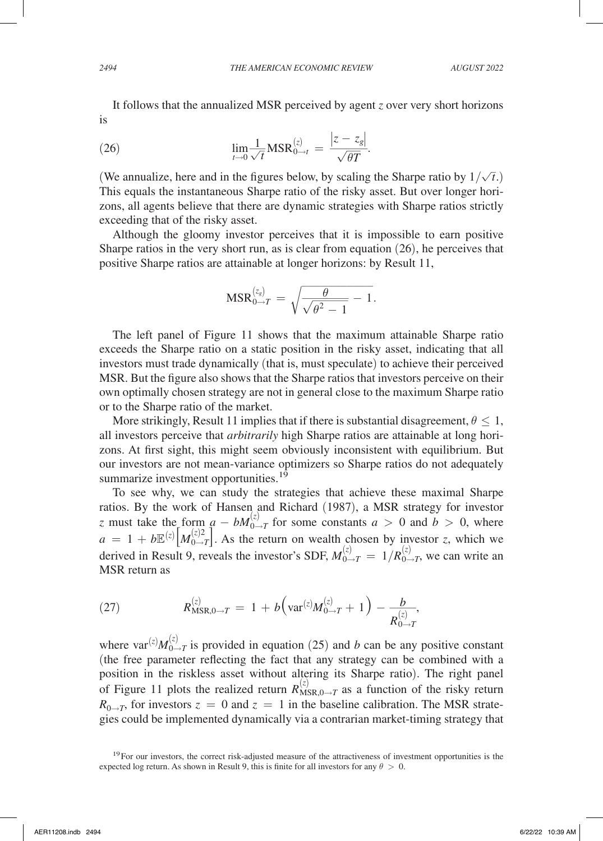It follows that the annualized MSR perceived by agent *z* over very short horizons is

is  
\n
$$
\lim_{t \to 0} \frac{1}{\sqrt{t}} \text{MSR}_{0 \to t}^{(z)} = \frac{|z - z_g|}{\sqrt{\theta T}}.
$$
\n
$$
\lim_{t \to 0} \frac{1}{\sqrt{t}} \text{MSR}_{0 \to t}^{(z)} = \frac{|z - z_g|}{\sqrt{\theta T}}.
$$

(We annualize, here and in the figures below, by scaling the Sharpe ratio by  $1/\sqrt{t}$ .) This equals the instantaneous Sharpe ratio of the risky asset. But over longer horizons, all agents believe that there are dynamic strategies with Sharpe ratios strictly exceeding that of the risky asset.

Although the gloomy investor perceives that it is impossible to earn positive Sharpe ratios in the very short run, as is clear from equation (26), he perceives that positive Sharpe ratios are attainable at longer horizons: by Result 11,<br>  $MSR_{0\to T}^{(z_8)} = \sqrt{\frac{\theta}{\sqrt{\theta^2 - 1}} - 1}.$ 

$$
MSR_{0\to T}^{(z_8)} = \sqrt{\frac{\theta}{\sqrt{\theta^2 - 1}} - 1}.
$$

The left panel of Figure 11 shows that the maximum attainable Sharpe ratio exceeds the Sharpe ratio on a static position in the risky asset, indicating that all investors must trade dynamically (that is, must speculate) to achieve their perceived MSR. But the figure also shows that the Sharpe ratios that investors perceive on their own optimally chosen strategy are not in general close to the maximum Sharpe ratio or to the Sharpe ratio of the market.

More strikingly, Result 11 implies that if there is substantial disagreement,  $\theta \leq 1$ , all investors perceive that *arbitrarily* high Sharpe ratios are attainable at long horizons. At first sight, this might seem obviously inconsistent with equilibrium. But our investors are not mean-variance optimizers so Sharpe ratios do not adequately summarize investment opportunities.<sup>19</sup>

To see why, we can study the strategies that achieve these maximal Sharpe ratios. By the work of Hansen and Richard (1987), a MSR strategy for investor *z* must take the form  $a - bM_{0\to T}^{(z)}$  for some constants  $a > 0$  and  $b > 0$ , where  $a = 1 + b \mathbb{E}^{(z)} \left[ M_{0 \to T}^{(z) 2} \right]$ . As the return on wealth chosen by investor *z*, which we derived in Result 9, reveals the investor's SDF,  $M_{0\to T}^{(z)} = 1/R_{0\to T}^{(z)}$ , we can write an MSR return as

(27) 
$$
R_{\text{MSR},0\to T}^{(z)} = 1 + b \Big( \text{var}^{(z)} M_{0\to T}^{(z)} + 1 \Big) - \frac{b}{R_{0\to T}^{(z)}},
$$

where  $var^{(z)}M_{0\rightarrow T}^{(z)}$  is provided in equation (25) and *b* can be any positive constant (the free parameter reflecting the fact that any strategy can be combined with a position in the riskless asset without altering its Sharpe ratio). The right panel of Figure 11 plots the realized return  $R_{MSR,0\rightarrow T}^{(z)}$  as a function of the risky return  $R_{0\rightarrow T}$ , for investors  $z = 0$  and  $z = 1$  in the baseline calibration. The MSR strategies could be implemented dynamically via a contrarian market-timing strategy that

 $19$ For our investors, the correct risk-adjusted measure of the attractiveness of investment opportunities is the expected log return. As shown in Result 9, this is finite for all investors for any  $\theta > 0$ .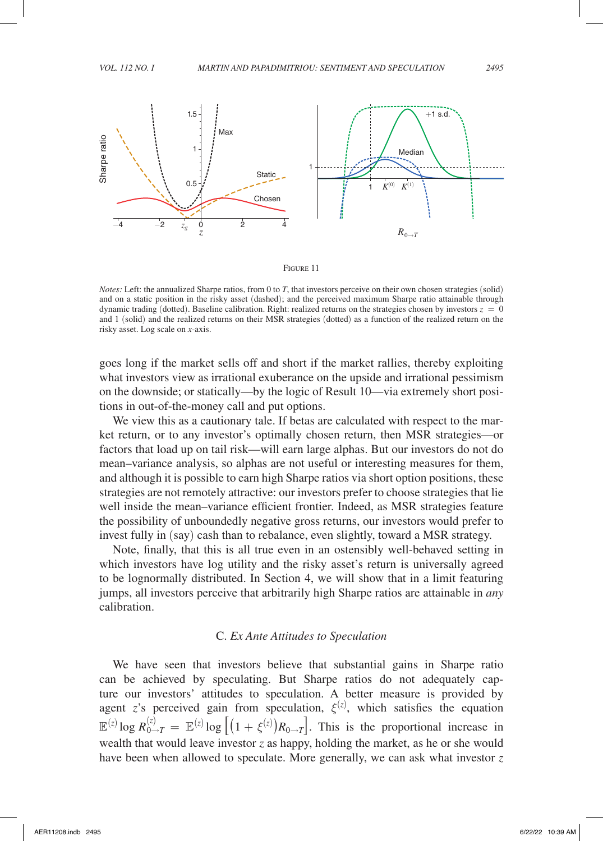

#### Figure 11

*Notes:* Left: the annualized Sharpe ratios, from 0 to *T*, that investors perceive on their own chosen strategies (solid) and on a static position in the risky asset (dashed); and the perceived maximum Sharpe ratio attainable through dynamic trading (dotted). Baseline calibration. Right: realized returns on the strategies chosen by investors  $z = 0$ and 1 (solid) and the realized returns on their MSR strategies (dotted) as a function of the realized return on the risky asset. Log scale on *x*-axis.

goes long if the market sells off and short if the market rallies, thereby exploiting what investors view as irrational exuberance on the upside and irrational pessimism on the downside; or statically—by the logic of Result 10—via extremely short positions in out-of-the-money call and put options.

We view this as a cautionary tale. If betas are calculated with respect to the market return, or to any investor's optimally chosen return, then MSR strategies—or factors that load up on tail risk—will earn large alphas. But our investors do not do mean–variance analysis, so alphas are not useful or interesting measures for them, and although it is possible to earn high Sharpe ratios via short option positions, these strategies are not remotely attractive: our investors prefer to choose strategies that lie well inside the mean–variance efficient frontier. Indeed, as MSR strategies feature the possibility of unboundedly negative gross returns, our investors would prefer to invest fully in (say) cash than to rebalance, even slightly, toward a MSR strategy.

Note, finally, that this is all true even in an ostensibly well-behaved setting in which investors have log utility and the risky asset's return is universally agreed to be lognormally distributed. In Section 4, we will show that in a limit featuring jumps, all investors perceive that arbitrarily high Sharpe ratios are attainable in *any* calibration.

### C. *Ex Ante Attitudes to Speculation*

We have seen that investors believe that substantial gains in Sharpe ratio can be achieved by speculating. But Sharpe ratios do not adequately capture our investors' attitudes to speculation. A better measure is provided by agent *z*'s perceived gain from speculation,  $\xi^{(z)}$ , which satisfies the equation  $\mathbb{E}^{(z)}$ log  $R_{0\to T}^{(z)} = \mathbb{E}^{(z)}$ log  $\left[ (1 + \xi^{(z)}) R_{0\to T} \right]$ . This is the proportional increase in wealth that would leave investor *z* as happy, holding the market, as he or she would have been when allowed to speculate. More generally, we can ask what investor *z*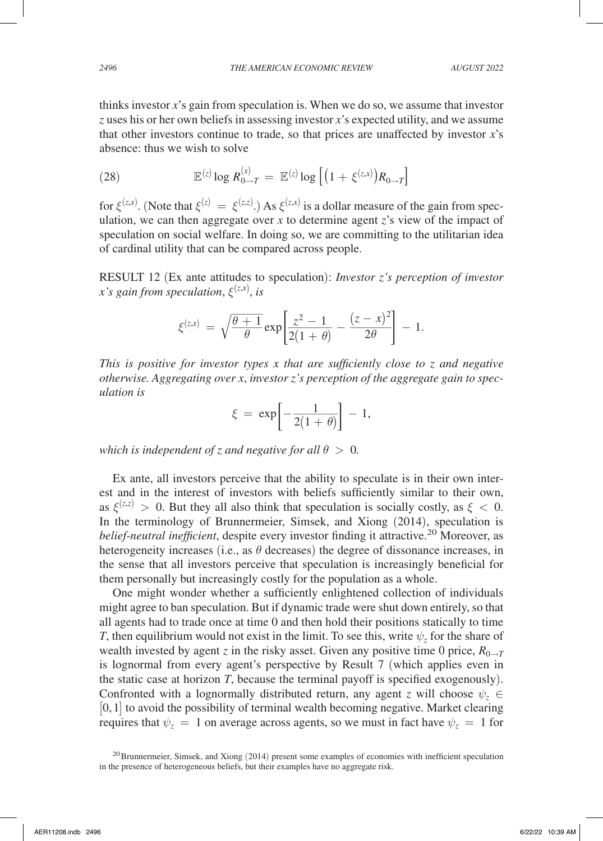thinks investor *x*'s gain from speculation is. When we do so, we assume that investor *z* uses his or her own beliefs in assessing investor *x*'s expected utility, and we assume that other investors continue to trade, so that prices are unaffected by investor *x*'s absence: thus we wish to solve

(28) 
$$
\mathbb{E}^{(z)} \log R_{0 \to T}^{(x)} = \mathbb{E}^{(z)} \log \left[ \left( 1 + \xi^{(z,x)} \right) R_{0 \to T} \right]
$$

for  $\xi^{(z,x)}$ . (Note that  $\xi^{(z)} = \xi^{(z,z)}$ .) As  $\xi^{(z,x)}$  is a dollar measure of the gain from speculation, we can then aggregate over  $x$  to determine agent  $z$ 's view of the impact of speculation on social welfare. In doing so, we are committing to the utilitarian idea of cardinal utility that can be compared across people.

RESULT 12 (Ex ante attitudes to speculation): *Investor z's perception of investor x's gain from speculation,*  $\xi^{(z,x)}$ , *is*<br> $\xi^{(z,x)} = \sqrt{\frac{\theta+1}{a}}$ 

x's gain from speculation, 
$$
\xi^{(z,x)}
$$
, is  
\n
$$
\xi^{(z,x)} = \sqrt{\frac{\theta+1}{\theta}} \exp\left[\frac{z^2-1}{2(1+\theta)} - \frac{(z-x)^2}{2\theta}\right] - 1.
$$

*This is positive for investor types x that are sufficiently close to z and negative otherwise. Aggregating over x, investor z's perception of the aggregate gain to spec-*<br>
ulation is<br>  $\xi = \exp\left[-\frac{1}{2(1+\theta)}\right] - 1,$ *ulation is*

$$
\xi\,=\,\exp\!\left[-\frac{1}{2(1+\theta)}\right]\,-\,1,
$$

*which is independent of z and negative for all*  $\theta > 0$ *.* 

Ex ante, all investors perceive that the ability to speculate is in their own interest and in the interest of investors with beliefs sufficiently similar to their own, as  $\xi^{(z,z)} > 0$ . But they all also think that speculation is socially costly, as  $\xi < 0$ . In the terminology of Brunnermeier, Simsek, and Xiong (2014), speculation is *belief-neutral inefficient*, despite every investor finding it attractive.<sup>20</sup> Moreover, as heterogeneity increases (i.e., as  $\theta$  decreases) the degree of dissonance increases, in the sense that all investors perceive that speculation is increasingly beneficial for them personally but increasingly costly for the population as a whole.

One might wonder whether a sufficiently enlightened collection of individuals might agree to ban speculation. But if dynamic trade were shut down entirely, so that all agents had to trade once at time 0 and then hold their positions statically to time *T*, then equilibrium would not exist in the limit. To see this, write  $\psi$ <sub>z</sub> for the share of wealth invested by agent *z* in the risky asset. Given any positive time 0 price,  $R_{0\rightarrow T}$ is lognormal from every agent's perspective by Result 7 (which applies even in the static case at horizon *T*, because the terminal payoff is specified exogenously). Confronted with a lognormally distributed return, any agent *z* will choose  $\psi$ <sub>z</sub> ∈  $[0, 1]$  to avoid the possibility of terminal wealth becoming negative. Market clearing requires that  $\psi_z = 1$  on average across agents, so we must in fact have  $\psi_z = 1$  for

<sup>&</sup>lt;sup>20</sup>Brunnermeier, Simsek, and Xiong (2014) present some examples of economies with inefficient speculation in the presence of heterogeneous beliefs, but their examples have no aggregate risk.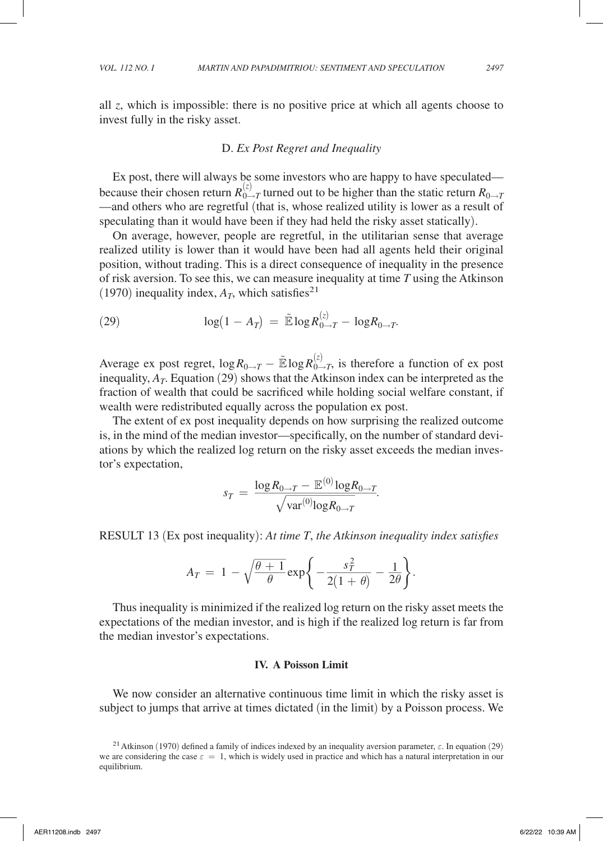invest fully in the risky asset.

all *z*, which is impossible: there is no positive price at which all agents choose to

#### D. *Ex Post Regret and Inequality*

Ex post, there will always be some investors who are happy to have speculated because their chosen return  $R_{0\to T}^{(z)}$  turned out to be higher than the static return  $R_{0\to T}$ —and others who are regretful (that is, whose realized utility is lower as a result of speculating than it would have been if they had held the risky asset statically).

On average, however, people are regretful, in the utilitarian sense that average realized utility is lower than it would have been had all agents held their original position, without trading. This is a direct consequence of inequality in the presence of risk aversion. To see this, we can measure inequality at time *T* using the Atkinson (1970) inequality index,  $A_T$ , which satisfies<sup>21</sup>

(29) 
$$
\log(1-A_T) = \tilde{\mathbb{E}} \log R_{0\to T}^{(z)} - \log R_{0\to T}.
$$

Average ex post regret,  $\log R_{0\to T} - \tilde{E} \log R_{0\to T}^{(z)}$ , is therefore a function of ex post inequality,  $A_T$ . Equation (29) shows that the Atkinson index can be interpreted as the fraction of wealth that could be sacrificed while holding social welfare constant, if wealth were redistributed equally across the population ex post.

The extent of ex post inequality depends on how surprising the realized outcome is, in the mind of the median investor—specifically, on the number of standard deviations by which the realized log return on the risky asset exceeds the median investor's expectation, shed on how s<br>specifically, on the risky a<br> $\frac{1}{2}T - \mathbb{E}^{(0)} \log R$ <br> $\frac{1}{2}T$  are *T*, the Atkin

$$
s_T = \frac{\log R_{0 \to T} - \mathbb{E}^{(0)} \log R_{0 \to T}}{\sqrt{\text{var}^{(0)} \log R_{0 \to T}}}.
$$

**RESULT 13 (Ex post inequality):** *At time T, the Atkinson inequality index satisfies*  

$$
A_T = 1 - \sqrt{\frac{\theta + 1}{\theta}} \exp\left\{-\frac{s_T^2}{2(1 + \theta)} - \frac{1}{2\theta}\right\}.
$$

Thus inequality is minimized if the realized log return on the risky asset meets the expectations of the median investor, and is high if the realized log return is far from the median investor's expectations.

#### **IV. A Poisson Limit**

We now consider an alternative continuous time limit in which the risky asset is subject to jumps that arrive at times dictated (in the limit) by a Poisson process. We

<sup>&</sup>lt;sup>21</sup> Atkinson (1970) defined a family of indices indexed by an inequality aversion parameter,  $\varepsilon$ . In equation (29) we are considering the case  $\varepsilon = 1$ , which is widely used in practice and which has a natural interpretation in our equilibrium.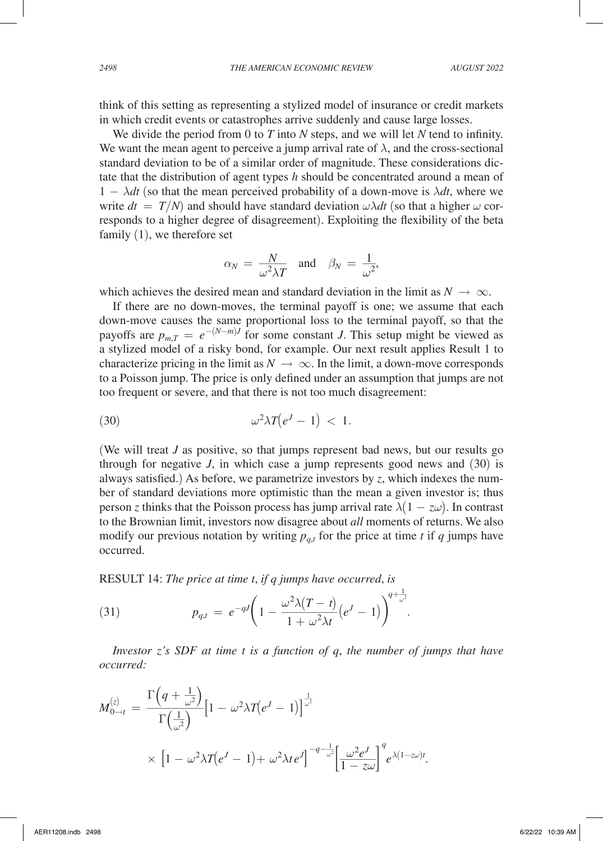think of this setting as representing a stylized model of insurance or credit markets in which credit events or catastrophes arrive suddenly and cause large losses.

We divide the period from 0 to *T* into *N* steps, and we will let *N* tend to infinity. We want the mean agent to perceive a jump arrival rate of  $\lambda$ , and the cross-sectional standard deviation to be of a similar order of magnitude. These considerations dictate that the distribution of agent types *h* should be concentrated around a mean of  $1 - \lambda dt$  (so that the mean perceived probability of a down-move is  $\lambda dt$ , where we write  $dt = T/N$  and should have standard deviation  $\omega \lambda dt$  (so that a higher  $\omega$  corresponds to a higher degree of disagreement). Exploiting the flexibility of the beta family (1), we therefore set

$$
\alpha_N = \frac{N}{\omega^2 \lambda T}
$$
 and  $\beta_N = \frac{1}{\omega^2}$ ,

which achieves the desired mean and standard deviation in the limit as  $N \to \infty$ .

If there are no down-moves, the terminal payoff is one; we assume that each down-move causes the same proportional loss to the terminal payoff, so that the payoffs are  $p_{m,T} = e^{-(N-m)J}$  for some constant *J*. This setup might be viewed as a stylized model of a risky bond, for example. Our next result applies Result 1 to characterize pricing in the limit as  $N \to \infty$ . In the limit, a down-move corresponds to a Poisson jump. The price is only defined under an assumption that jumps are not too frequent or severe, and that there is not too much disagreement:

$$
\omega^2 \lambda T \big(e^J - 1\big) < 1.
$$

(We will treat *J* as positive, so that jumps represent bad news, but our results go through for negative  $J$ , in which case a jump represents good news and  $(30)$  is always satisfied.) As before, we parametrize investors by *z*, which indexes the number of standard deviations more optimistic than the mean a given investor is; thus person *z* thinks that the Poisson process has jump arrival rate  $\lambda(1 - z\omega)$ . In contrast to the Brownian limit, investors now disagree about *all* moments of returns. We also modify our previous notation by writing  $p_{q,t}$  for the price at time *t* if *q* jumps have occurred.

RESULT 14: *The price at time t*, *if q jumps have occurred*, *is*

RESULT 14: The price at time *t*, if *q* jumps have occurred, is

\n
$$
p_{q,t} = e^{-qJ} \bigg( 1 - \frac{\omega^2 \lambda (T - t)}{1 + \omega^2 \lambda t} \bigg( e^J - 1 \bigg) \bigg)^{q + \frac{1}{\omega^2}}.
$$

*Investor z's SDF at time t is a function of q*, *the number of jumps that have occurred:*

*Investor z s SDF at time t ts a junction of q*, *the number of jt occurred:*  
\n
$$
M_{0\to t}^{(z)} = \frac{\Gamma\left(q + \frac{1}{\omega^2}\right)}{\Gamma\left(\frac{1}{\omega^2}\right)} \Big[1 - \omega^2 \lambda T(e^J - 1)\Big]^{\frac{1}{\omega^2}}
$$
\n
$$
\times \Big[1 - \omega^2 \lambda T(e^J - 1) + \omega^2 \lambda t e^J\Big]^{-q - \frac{1}{\omega^2}} \Big[\frac{\omega^2 e^J}{1 - z\omega}\Big]^q e^{\lambda (1 - z\omega)t}.
$$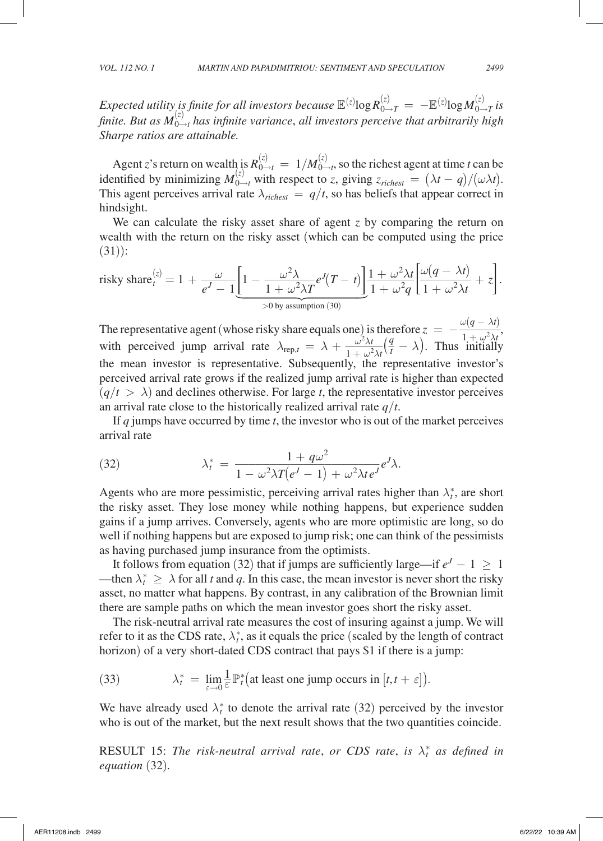$E$ xpected utility is finite for all investors because  $\mathbb{E}^{(z)}$ log  $R_{0\to T}^{(z)} = -\mathbb{E}^{(z)}$ log  $M_{0\to T}^{(z)}$  is  $f$ *inite. But as*  $M_{0\to t}^{(z)}$  has infinite variance, all investors perceive that arbitrarily high *Sharpe ratios are attainable.*

Agent *z*'s return on wealth is  $R_{0\to t}^{(z)} = 1/M_{0\to t}^{(z)}$ , so the richest agent at time *t* can be identified by minimizing  $M_{0\to t}^{(z)}$  with respect to *z*, giving  $z_{richest} = (\lambda t - q)/(\omega \lambda t)$ . This agent perceives arrival rate  $\lambda_{\text{richest}} = q/t$ , so has beliefs that appear correct in hindsight.

We can calculate the risky asset share of agent *z* by comparing the return on (31)):

wealth with the return on the risky asset (which can be computed using the price  
\n(31)):  
\nrisky share<sub>t</sub><sup>(z)</sup> = 1 + 
$$
\frac{\omega}{e^J - 1} \left[ 1 - \frac{\omega^2 \lambda}{1 + \omega^2 \lambda T} e^J (T - t) \right] \frac{1 + \omega^2 \lambda t}{1 + \omega^2 q} \left[ \frac{\omega (q - \lambda t)}{1 + \omega^2 \lambda t} + z \right].
$$
  
\n $\rightarrow 0$  by assumption (30)

The representative agent (whose risky share equals one) is therefore  $z = -\frac{1}{2}$  $\lambda t$  <br>  $\omega(q - \lambda t)$ <br>  $\frac{1 + \omega^2 \lambda t}{\text{initially}}$  $\omega(q-\lambda t)$  $\frac{\omega(q-\lambda t)}{1+\omega^2\lambda t}$ , The representative agent (whose risky share equals one) is the with perceived jump arrival rate  $\lambda_{\text{rep},t} = \lambda + \frac{\omega^2 \lambda t}{1 + \omega^2 \lambda t}$  the mean investor is representative. Subsequently, the  $rac{\omega^2 \lambda t}{1 + \omega^2 \lambda t} \left(\frac{q}{t} - \lambda\right)$ . Thus initially the mean investor is representative. Subsequently, the representative investor's perceived arrival rate grows if the realized jump arrival rate is higher than expected  $(q/t > \lambda)$  and declines otherwise. For large *t*, the representative investor perceives an arrival rate close to the historically realized arrival rate *q*/*t*.

If *q* jumps have occurred by time *t*, the investor who is out of the market perceives arrival rate

arrival rate

\n(32)

\n
$$
\lambda_t^* = \frac{1 + q\omega^2}{1 - \omega^2 \lambda T (e^J - 1) + \omega^2 \lambda t e^J} e^J \lambda.
$$
\nAgents who are more pessimistic, perceiving arrival rates higher than  $\lambda_t^*$ , are short.

the risky asset. They lose money while nothing happens, but experience sudden gains if a jump arrives. Conversely, agents who are more optimistic are long, so do well if nothing happens but are exposed to jump risk; one can think of the pessimists as having purchased jump insurance from the optimists.

It follows from equation (32) that if jumps are sufficiently large—if  $e^J - 1 \geq 1$ —then  $\lambda_t^* \geq \lambda$  for all *t* and *q*. In this case, the mean investor is never short the risky asset, no matter what happens. By contrast, in any calibration of the Brownian limit there are sample paths on which the mean investor goes short the risky asset.

The risk-neutral arrival rate measures the cost of insuring against a jump. We will refer to it as the CDS rate,  $\lambda_t^*$ , as it equals the price (scaled by the length of contract horizon) of a very short-dated CDS contract that pays \$1 if there is a jump:

(33) 
$$
\lambda_t^* = \lim_{\varepsilon \to 0} \frac{1}{\varepsilon} \mathbb{P}_t^* \big( \text{at least one jump occurs in } [t, t + \varepsilon] \big).
$$

We have already used  $\lambda_t^*$  to denote the arrival rate (32) perceived by the investor who is out of the market, but the next result shows that the two quantities coincide.

RESULT 15: *The risk-neutral arrival rate, or CDS rate, is*  $\lambda_t^*$  *as defined in equation* (32)*.*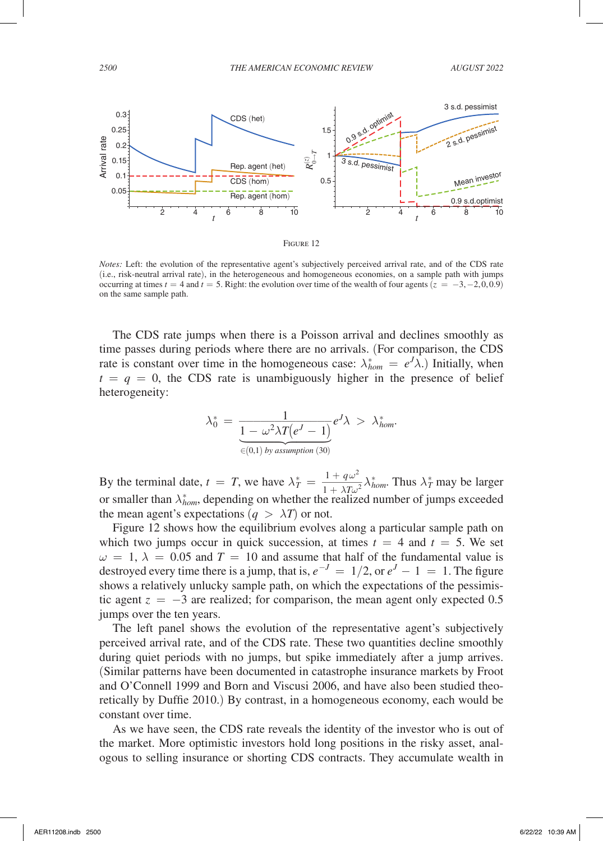

*Notes:* Left: the evolution of the representative agent's subjectively perceived arrival rate, and of the CDS rate (i.e., risk-neutral arrival rate), in the heterogeneous and homogeneous economies, on a sample path with jumps occurring at times  $t = 4$  and  $t = 5$ . Right: the evolution over time of the wealth of four agents  $(z = -3, -2, 0, 0.9)$ on the same sample path.

The CDS rate jumps when there is a Poisson arrival and declines smoothly as time passes during periods where there are no arrivals. (For comparison, the CDS rate is constant over time in the homogeneous case:  $\lambda_{hom}^* = e^J \lambda$ .) Initially, when  $t = q = 0$ , the CDS rate is unambiguously higher in the presence of belief heterogeneity:

heterogeneity:  
\n
$$
\lambda_0^* = \frac{1}{\underbrace{1 - \omega^2 \lambda T(e^J - 1)}} e^J \lambda > \lambda_{hom}^*.
$$
\n
$$
\underbrace{\epsilon_{(0,1) by assumption (30)}}_{\text{asumption (30)}}
$$

By the terminal date,  $t = T$ , we have  $\lambda_T^*$  $\frac{1 + q\omega^2}{1 + \lambda T \omega^2}$ <br>er the realize 2  $\frac{1+q\omega}{1+\lambda T\omega^2}\lambda^*_{hom}$ . Thus  $\lambda^*_T$  may be larger or smaller than  $\lambda_{hom}^*$ , depending on whether the realized number of jumps exceeded the mean agent's expectations  $(q > \lambda T)$  or not.

Figure 12 shows how the equilibrium evolves along a particular sample path on which two jumps occur in quick succession, at times  $t = 4$  and  $t = 5$ . We set  $\omega = 1$ ,  $\lambda = 0.05$  and  $T = 10$  and assume that half of the fundamental value is destroyed every time there is a jump, that is,  $e^{-J} = 1/2$ , or  $e^{J} - 1 = 1$ . The figure shows a relatively unlucky sample path, on which the expectations of the pessimistic agent  $z = -3$  are realized; for comparison, the mean agent only expected 0.5 jumps over the ten years.

The left panel shows the evolution of the representative agent's subjectively perceived arrival rate, and of the CDS rate. These two quantities decline smoothly during quiet periods with no jumps, but spike immediately after a jump arrives. (Similar patterns have been documented in catastrophe insurance markets by Froot and O'Connell 1999 and Born and Viscusi 2006, and have also been studied theoretically by Duffie 2010.) By contrast, in a homogeneous economy, each would be constant over time.

As we have seen, the CDS rate reveals the identity of the investor who is out of the market. More optimistic investors hold long positions in the risky asset, analogous to selling insurance or shorting CDS contracts. They accumulate wealth in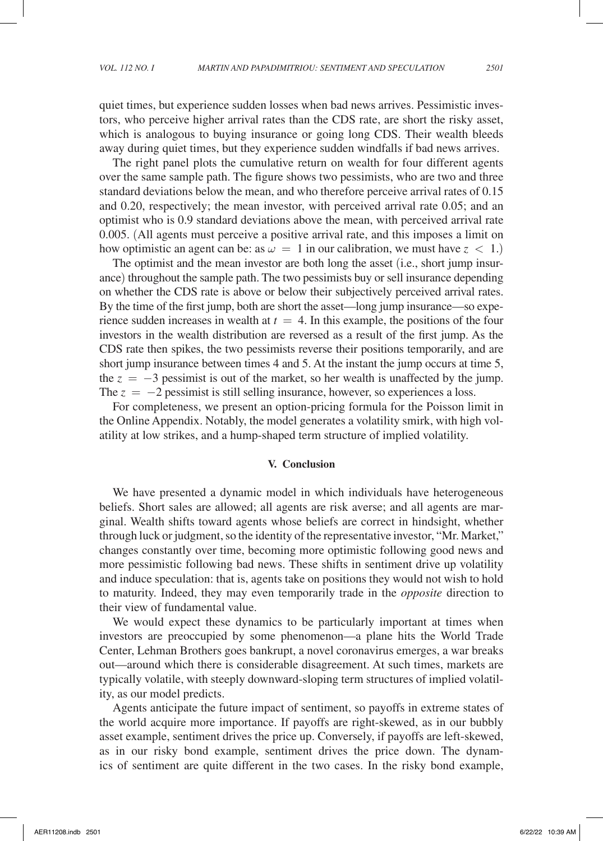quiet times, but experience sudden losses when bad news arrives. Pessimistic investors, who perceive higher arrival rates than the CDS rate, are short the risky asset, which is analogous to buying insurance or going long CDS. Their wealth bleeds away during quiet times, but they experience sudden windfalls if bad news arrives.

The right panel plots the cumulative return on wealth for four different agents over the same sample path. The figure shows two pessimists, who are two and three standard deviations below the mean, and who therefore perceive arrival rates of 0.15 and 0.20, respectively; the mean investor, with perceived arrival rate 0.05; and an optimist who is 0.9 standard deviations above the mean, with perceived arrival rate 0.005. (All agents must perceive a positive arrival rate, and this imposes a limit on how optimistic an agent can be: as  $\omega = 1$  in our calibration, we must have  $z < 1$ .)

The optimist and the mean investor are both long the asset (i.e., short jump insurance) throughout the sample path. The two pessimists buy or sell insurance depending on whether the CDS rate is above or below their subjectively perceived arrival rates. By the time of the first jump, both are short the asset—long jump insurance—so experience sudden increases in wealth at  $t = 4$ . In this example, the positions of the four investors in the wealth distribution are reversed as a result of the first jump. As the CDS rate then spikes, the two pessimists reverse their positions temporarily, and are short jump insurance between times 4 and 5. At the instant the jump occurs at time 5, the  $z = -3$  pessimist is out of the market, so her wealth is unaffected by the jump. The  $z = -2$  pessimist is still selling insurance, however, so experiences a loss.

For completeness, we present an option-pricing formula for the Poisson limit in the Online Appendix. Notably, the model generates a volatility smirk, with high volatility at low strikes, and a hump-shaped term structure of implied volatility.

#### **V. Conclusion**

We have presented a dynamic model in which individuals have heterogeneous beliefs. Short sales are allowed; all agents are risk averse; and all agents are marginal. Wealth shifts toward agents whose beliefs are correct in hindsight, whether through luck or judgment, so the identity of the representative investor, "Mr. Market," changes constantly over time, becoming more optimistic following good news and more pessimistic following bad news. These shifts in sentiment drive up volatility and induce speculation: that is, agents take on positions they would not wish to hold to maturity. Indeed, they may even temporarily trade in the *opposite* direction to their view of fundamental value.

We would expect these dynamics to be particularly important at times when investors are preoccupied by some phenomenon—a plane hits the World Trade Center, Lehman Brothers goes bankrupt, a novel coronavirus emerges, a war breaks out—around which there is considerable disagreement. At such times, markets are typically volatile, with steeply downward-sloping term structures of implied volatility, as our model predicts.

Agents anticipate the future impact of sentiment, so payoffs in extreme states of the world acquire more importance. If payoffs are right-skewed, as in our bubbly asset example, sentiment drives the price up. Conversely, if payoffs are left-skewed, as in our risky bond example, sentiment drives the price down. The dynamics of sentiment are quite different in the two cases. In the risky bond example,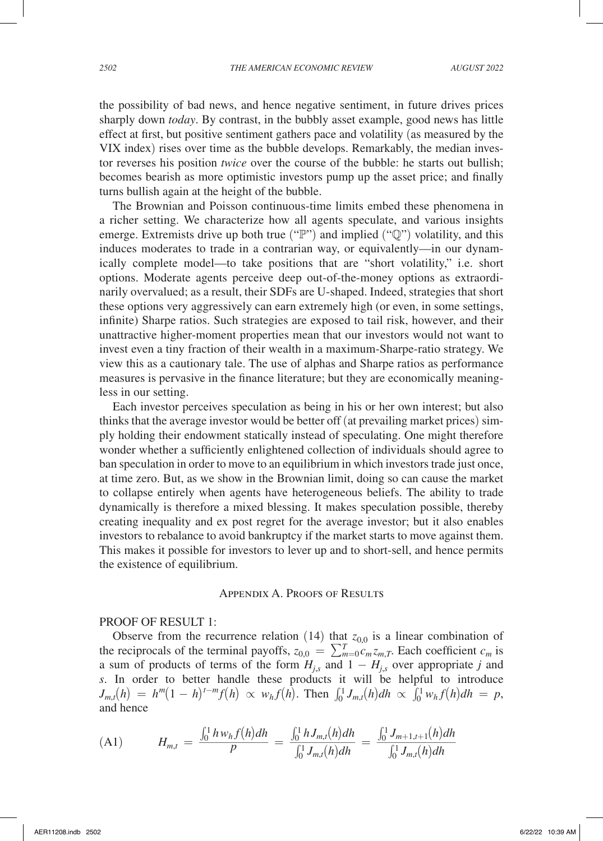the possibility of bad news, and hence negative sentiment, in future drives prices sharply down *today*. By contrast, in the bubbly asset example, good news has little effect at first, but positive sentiment gathers pace and volatility (as measured by the VIX index) rises over time as the bubble develops. Remarkably, the median investor reverses his position *twice* over the course of the bubble: he starts out bullish; becomes bearish as more optimistic investors pump up the asset price; and finally turns bullish again at the height of the bubble.

The Brownian and Poisson continuous-time limits embed these phenomena in a richer setting. We characterize how all agents speculate, and various insights emerge. Extremists drive up both true ("P") and implied ("Q") volatility, and this induces moderates to trade in a contrarian way, or equivalently—in our dynamically complete model—to take positions that are "short volatility," i.e. short options. Moderate agents perceive deep out-of-the-money options as extraordinarily overvalued; as a result, their SDFs are U-shaped. Indeed, strategies that short these options very aggressively can earn extremely high (or even, in some settings, infinite) Sharpe ratios. Such strategies are exposed to tail risk, however, and their unattractive higher-moment properties mean that our investors would not want to invest even a tiny fraction of their wealth in a maximum-Sharpe-ratio strategy. We view this as a cautionary tale. The use of alphas and Sharpe ratios as performance measures is pervasive in the finance literature; but they are economically meaningless in our setting.

Each investor perceives speculation as being in his or her own interest; but also thinks that the average investor would be better off (at prevailing market prices) simply holding their endowment statically instead of speculating. One might therefore wonder whether a sufficiently enlightened collection of individuals should agree to ban speculation in order to move to an equilibrium in which investors trade just once, at time zero. But, as we show in the Brownian limit, doing so can cause the market to collapse entirely when agents have heterogeneous beliefs. The ability to trade dynamically is therefore a mixed blessing. It makes speculation possible, thereby creating inequality and ex post regret for the average investor; but it also enables investors to rebalance to avoid bankruptcy if the market starts to move against them. This makes it possible for investors to lever up and to short-sell, and hence permits the existence of equilibrium.

#### Appendix A. Proofs of Results

### PROOF OF RESULT 1:

Observe from the recurrence relation (14) that  $z_{0,0}$  is a linear combination of the reciprocals of the terminal payoffs,  $z_{0,0} = \sum_{m=0}^{T} c_m z_{m,T}$ . Each coefficient  $c_m$  is a sum of products of terms of the form  $H_{j,s}$  and  $1 - H_{j,s}$  over appropriate *j* and *s*. In order to better handle these products it will be helpful to introduce  $J_{m,t}(h) = h^m (1-h)^{t-m} f(h) \propto w_h f(h)$ . Then  $\int_0^1 J_{m,t}(h) dh \propto \int_0^1 w_h f(h) dh = p$ , and hence

and hence  
\n(A1) 
$$
H_{m,t} = \frac{\int_0^1 h w_h f(h) dh}{p} = \frac{\int_0^1 h J_{m,t}(h) dh}{\int_0^1 J_{m,t}(h) dh} = \frac{\int_0^1 J_{m+1,t+1}(h) dh}{\int_0^1 J_{m,t}(h) dh}
$$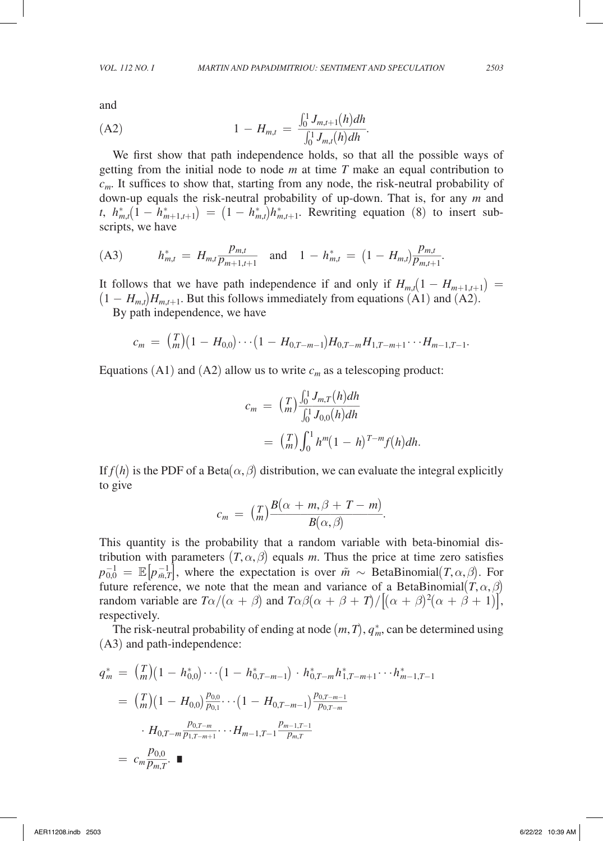and

and  
(A2) 
$$
1 - H_{m,t} = \frac{\int_0^1 J_{m,t+1}(h)dh}{\int_0^1 J_{m,t}(h)dh}.
$$

We first show that path independence holds, so that all the possible ways of getting from the initial node to node *m* at time *T* make an equal contribution to *cm*. It suffices to show that, starting from any node, the risk-neutral probability of down-up equals the risk-neutral probability of up-down. That is, for any *m* and *t*,  $h_{m,t}^{*}(1 - h_{m+1,t+1}^{*}) = (1 - h_{m,t}^{*})h_{m,t+1}^{*}$ . Rewriting equation (8) to insert subscripts, we have

(43) 
$$
h_{m,t}^* = H_{m,t} \frac{p_{m,t}}{p_{m+1,t+1}}
$$
 and  $1 - h_{m,t}^* = (1 - H_{m,t}) \frac{p_{m,t}}{p_{m,t+1}}$ .  
Let  $h_{m,t} = H_{m,t} \frac{p_{m,t}}{p_{m+1,t+1}}$  and  $1 - h_{m,t}^* = (1 - H_{m,t}) \frac{p_{m,t}}{p_{m,t+1}}$ .

It follows that we have path independence if and only if  $H_{m,t}(1 - H_{m+1,t+1}) =$  $(1 - H_{m,t})H_{m,t+1}$ . But this follows immediately from equations (A1) and (A2).

By path independence, we have

$$
c_m = {T \choose m} (1 - H_{0,0}) \cdots (1 - H_{0,T-m-1}) H_{0,T-m} H_{1,T-m+1} \cdots H_{m-1,T-1}.
$$

Equations (A1) and (A2) allow us to write  $c_m$  as a telescoping product:

$$
c_m = {T \choose m} \frac{\int_0^1 J_{m,T}(h) dh}{\int_0^1 J_{0,0}(h) dh}
$$
  
=  ${T \choose m} \int_0^1 h^m (1-h)^{T-m} f(h) dh.$ 

If  $f(h)$  is the PDF of a Beta $(\alpha, \beta)$  distribution, we can evaluate the integral explicitly to give *B*(*a*)  $B = \frac{F}{m}$  *B*(*a*)  $\theta$  *B*(*a*), *m*), *B*(*a*), *B*(*a*, *B*) *B*(*a*, *B*).<br>This quantity is the probability that a random variable with beta-binomial dis-

$$
c_m = \left(\frac{T}{m}\right) \frac{B(\alpha + m, \beta + T - m)}{B(\alpha, \beta)}.
$$

tribution with parameters  $(T, \alpha, \beta)$  equals *m*. Thus the price at time zero satisfies  $p_{0,0}^{-1} = \mathbb{E}[p_{m,T}^{-1}]$ , where the expectation is over  $\tilde{m} \sim$  BetaBinomial $(T, \alpha, \beta)$ . For future reference, we note that the mean and variance of a BetaBinomial $(T, \alpha, \beta)$ random variable are  $T\alpha/(\alpha + \beta)$  and  $T\alpha\beta(\alpha + \beta + T)/[(\alpha + \beta)^2(\alpha + \beta + 1)]$ , respectively.

The risk-neutral probability of ending at node  $(m, T)$ ,  $q_m^*$ , can be determined using (A3) and path-independence:

$$
q_{m}^{*} = {T \choose m} (1 - h_{0,0}^{*}) \cdots (1 - h_{0,T-m-1}^{*}) \cdot h_{0,T-m}^{*} h_{1,T-m+1}^{*} \cdots h_{m-1,T-1}^{*}
$$
  

$$
= {T \choose m} (1 - H_{0,0}) \frac{p_{0,0}}{p_{0,1}} \cdots (1 - H_{0,T-m-1}) \frac{p_{0,T-m-1}}{p_{0,T-m}}
$$
  

$$
\cdot H_{0,T-m} \frac{p_{0,T-m}}{p_{1,T-m+1}} \cdots H_{m-1,T-1} \frac{p_{m-1,T-1}}{p_{m,T}}
$$
  

$$
= c_{m} \frac{p_{0,0}}{p_{m,T}}.
$$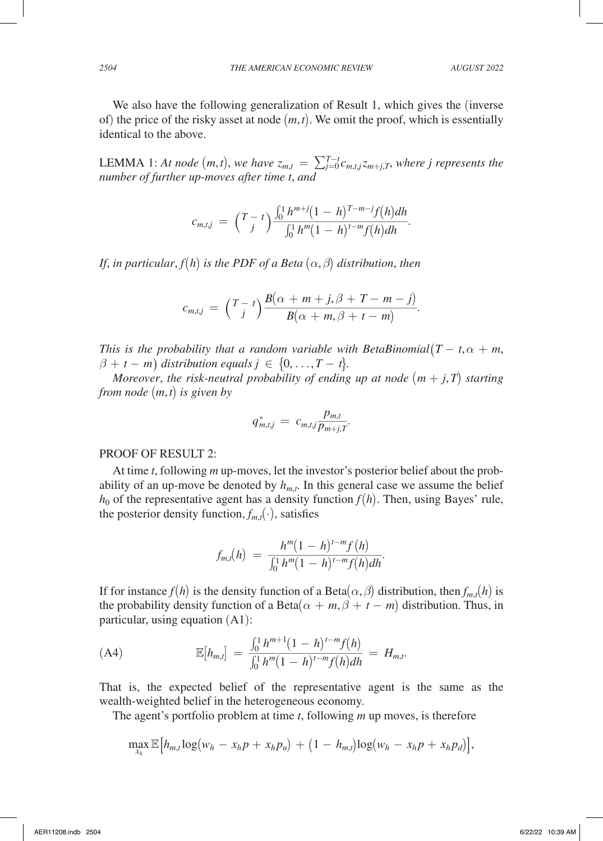We also have the following generalization of Result 1, which gives the (inverse of) the price of the risky asset at node (*m*,*t*). We omit the proof, which is essentially identical to the above.

LEMMA 1: At node  $(m, t)$ , we have  $z_{m,t} = \sum_{j=0}^{T-t} c_{m,t,j} z_{m+j,T}$ , where j represents the *number of further up-moves after time t*, *and*

number of jurner up-moves after time *t*, and  
\n
$$
c_{m,t,j} = \left(T - t\right) \frac{\int_0^1 h^{m+j} (1 - h)^{T-m-j} f(h) dh}{\int_0^1 h^m (1 - h)^{t-m} f(h) dh}.
$$

*If,* in particular,  $f(h)$  is the PDF of a Beta  $(\alpha, \beta)$  distribution, then

$$
c_{m,t,j} = {T-t \choose j} \frac{B(\alpha+m+j,\beta+T-m-j)}{B(\alpha+m,\beta+t-m)}.
$$

*This is the probability that a random variable with BetaBinomial*( $T - t$ , $\alpha + m$ ,  $\beta + t - m$ *)* distribution equals  $j \in \{0, \ldots, T - t\}$ .

*Moreover, the risk-neutral probability of ending up at node*  $(m + j, T)$  starting *from node* (*m*,*t*) *is given by*

from node 
$$
(m, t)
$$
 is given by  
\n
$$
q_{m,tj}^* = c_{m,tj} \frac{p_{m,t}}{p_{m+j,T}}.
$$

## PROOF OF RESULT 2:

At time *t*, following *m* up-moves, let the investor's posterior belief about the probability of an up-move be denoted by  $h_{m,t}$ . In this general case we assume the belief  $h_0$  of the representative agent has a density function  $f(h)$ . Then, using Bayes' rule, the posterior density function,  $f_{m,t}(\cdot)$ , satisfies

the posterior density function, 
$$
f_{m,t}(\cdot)
$$
, satisfies  
\n
$$
f_{m,t}(h) = \frac{h^m (1-h)^{t-m} f(h)}{\int_0^1 h^m (1-h)^{t-m} f(h) dh}.
$$

If for instance  $f(h)$  is the density function of a Beta $(\alpha, \beta)$  distribution, then  $f_{m,t}(h)$  is the probability density function of a Beta $(\alpha + m, \beta + t - m)$  distribution. Thus, in particular, using equation (A1):

(A4) 피[*hm*,*t*] = ∫0 <sup>1</sup> *h<sup>m</sup>*+<sup>1</sup> (<sup>1</sup> <sup>−</sup> *<sup>h</sup>*)*<sup>t</sup>*−*<sup>m</sup> <sup>f</sup>*(*h*) \_\_\_\_\_\_\_\_\_\_\_\_\_\_\_\_ ∫<sup>0</sup> <sup>1</sup> *h<sup>m</sup>*(1 − *h*)*<sup>t</sup>*−*<sup>m</sup> f*(*h*)*dh* = *Hm*,*<sup>t</sup>* .

That is, the expected belief of the representative agent is the same as the wealth-weighted belief in the heterogeneous economy.

The agent's portfolio problem at time *t*, following *m* up moves, is therefore

$$
\max_{x_h} \mathbb{E}\big[h_{m,t} \log(w_h - x_h p + x_h p_u) + (1 - h_{m,t}) \log(w_h - x_h p + x_h p_d)\big],
$$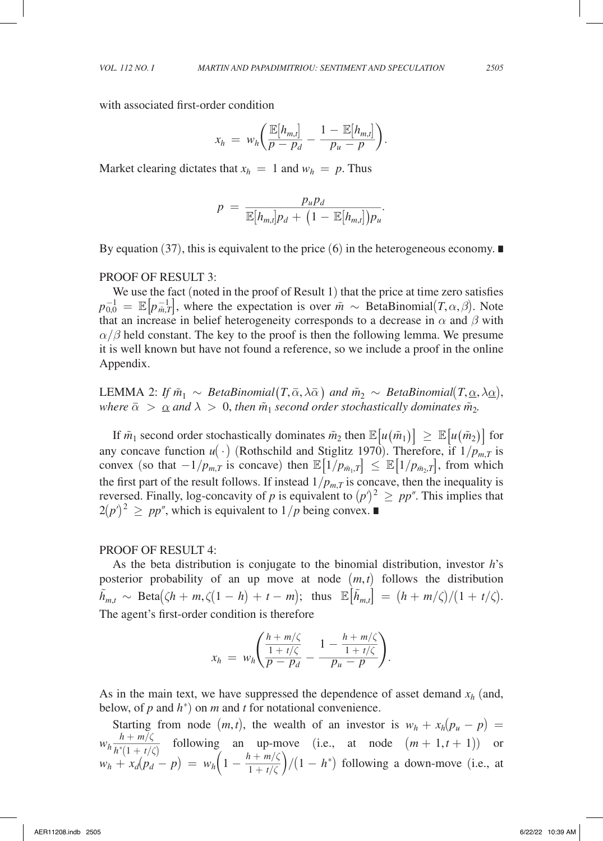with associated first-order condition

with associated first-order condition  
\n
$$
x_h = w_h \bigg( \frac{\mathbb{E}[h_{m,t}]}{p - p_d} - \frac{1 - \mathbb{E}[h_{m,t}]}{p_u - p} \bigg).
$$
\nMarket clearing dictates that  $x_h = 1$  and  $w_h = p$ . Thus

$$
p = \frac{p_u p_d}{\mathbb{E}[h_{m,t}]p_d + (1 - \mathbb{E}[h_{m,t}])p_u}.
$$

By equation (37), this is equivalent to the price (6) in the heterogeneous economy. ∎

#### PROOF OF RESULT 3:

We use the fact (noted in the proof of Result 1) that the price at time zero satisfies  $p_{0,0}^{-1} = \mathbb{E}[p_{m,T}^{-1}]$ , where the expectation is over  $\tilde{m} \sim$  BetaBinomial(*T*, $\alpha$ , $\beta$ ). Note that an increase in belief heterogeneity corresponds to a decrease in  $\alpha$  and  $\beta$  with  $\alpha/\beta$  held constant. The key to the proof is then the following lemma. We presume it is well known but have not found a reference, so we include a proof in the online Appendix.

LEMMA 2: *If*  $\tilde{m}_1 \sim BetaBinomial(T, \bar{\alpha}, \lambda \bar{\alpha})$  and  $\tilde{m}_2 \sim BetaBinomial(T, \underline{\alpha}, \lambda \underline{\alpha})$ ,<br>where  $\bar{\alpha} > \alpha$  and  $\lambda > 0$ , then  $\tilde{m}_1$  second order stochastically dominates  $\tilde{m}_2$ . LEMMA 2: If  $\tilde{m}_1 \sim BetaBinomial(T, \bar{\alpha}, \lambda \bar{\alpha})$  and  $\tilde{m}_2 \sim BetaBinomial(T, \underline{\alpha}, \lambda \bar{\alpha})$  where  $\bar{\alpha} > \underline{\alpha}$  and  $\lambda > 0$ , then  $\tilde{m}_1$  second order stochastically dominates  $\tilde{m}_2$ .

If  $\tilde{m}_1$  second order stochastically dominates  $\tilde{m}_2$  then  $\mathbb{E}[u(\tilde{m}_1)] \geq \mathbb{E}[u(\tilde{m}_2)]$  for any concave function  $u(\cdot)$  (Rothschild and Stiglitz 1970). Therefore, if  $1/p_{m,T}$  is convex (so that  $-1/p_{m,T}$  is concave) then  $\mathbb{E}[1/p_{\tilde{m}_1,T}] \leq \mathbb{E}[1/p_{\tilde{m}_2,T}]$ , from which the first part of the result follows. If instead  $1/p_{m,T}$  is concave, then the inequality is reversed. Finally, log-concavity of *p* is equivalent to  $(p')^2 \geq pp''$ . This implies that  $2(p')^2 \geq pp''$ , which is equivalent to  $1/p$  being convex. ■

#### PROOF OF RESULT 4:

As the beta distribution is conjugate to the binomial distribution, investor *h*'s posterior probability of an up move at node (*m*,*t*) follows the distribution  $\tilde{h}_{m,t} \sim \text{Beta}(\zeta h + m, \zeta(1 - h) + t - m); \text{ thus } \mathbb{E}[\tilde{h}_{m,t}] = (h + m/\zeta)/(1 + t/\zeta).$ The agent's first-order condition is therefore

$$
x_h = w_h \left( \frac{\frac{h + m/\zeta}{1 + t/\zeta}}{p - p_d} - \frac{1 - \frac{h + m/\zeta}{1 + t/\zeta}}{p_u - p} \right).
$$

As in the main text, we have suppressed the dependence of asset demand  $x_h$  (and, below, of *p* and *h*<sup>∗</sup> ) on *m* and *t* for notational convenience.

Starting from node  $(m,t)$ , the wealth of an investor is  $w_h + x_h(p_u - p)$ *wh*  $\frac{1}{2}$  ow, of p a<br>Starting 1<br> $\frac{h + m/\zeta}{h^*(1 + t/\zeta)}$ <br> $+ x_d(p_d)$  $h + m/\zeta$  $\frac{n+m}{\sqrt{h^*(1+t/\zeta)}}$  following an up-move (i.e., at node  $(m+1,t+1)$ ) or *wh*  $\frac{h + m/\zeta}{h^*(1 + t/\zeta)}$  following an up-m<br>*w<sub>h</sub>* +  $x_d(p_d - p) = w_h\left(1 - \frac{h + m/\zeta}{1 + t/\zeta}\right)$  $\frac{h + m/\zeta}{1 + t/\zeta}$ /(1 − *h*<sup>\*</sup>) following a down-move (i.e., at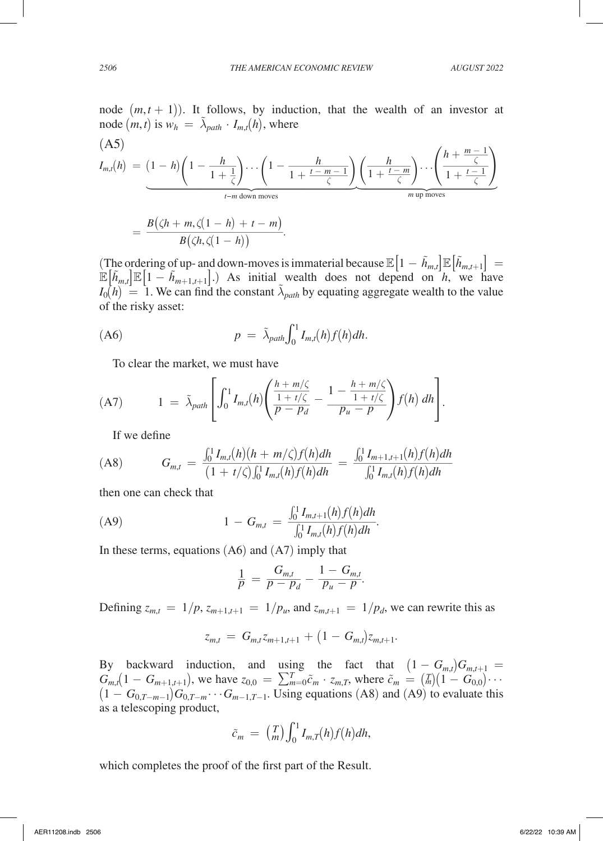node  $(m, t)$  is  $w_h = \lambda_{path} \cdot I_{m,t}(h)$ , where

node 
$$
(m, t + 1)
$$
). It follows, by induction, that the wealth of an investor at  
node  $(m, t)$  is  $w_h = \tilde{\lambda}_{path} \cdot I_{m,t}(h)$ , where  
  

$$
I_{m,t}(h) = (1 - h) \left(1 - \frac{h}{1 + \frac{1}{\zeta}}\right) \cdots \left(1 - \frac{h}{1 + \frac{t - m - 1}{\zeta}}\right) \left(\frac{h}{1 + \frac{t - m}{\zeta}}\right) \cdots \left(\frac{h + \frac{m - 1}{\zeta}}{1 + \frac{t - 1}{\zeta}}\right)
$$

$$
= \frac{B(\zeta h + m, \zeta(1 - h) + t - m)}{B(\zeta h, \zeta(1 - h))}.
$$

(The ordering of up- and down-moves is immaterial because  $\mathbb{E}\left[1 - \tilde{h}_{m,t}\right]\mathbb{E}\left[\tilde{h}_{m,t+1}\right] =$  $\mathbb{E}[\tilde{h}_{m,t}]\mathbb{E}[1-\tilde{h}_{m+1,t+1}].$  As initial wealth does not depend on  $\tilde{h}$ , we have  $I_0(h) = 1$ . We can find the constant  $\tilde{\lambda}_{path}$  by equating aggregate wealth to the value of the risky asset:

$$
(A6) \t\t p = \tilde{\lambda}_{path} \int_0^1 I_{m,t}(h) f(h) dh.
$$

To clear the market, we must have

(A7) 
$$
1 = \tilde{\lambda}_{path} \left[ \int_0^1 I_{m,t}(h) \left( \frac{h + m/\zeta}{\frac{1 + t/\zeta}{p - p_d}} - \frac{1 - \frac{h + m/\zeta}{1 + t/\zeta}}{p_u - p} \right) f(h) dh \right].
$$

If we define

If we define  
\n(A8) 
$$
G_{m,t} = \frac{\int_0^1 I_{m,t}(h)(h + m/\zeta)f(h)dh}{(1 + t/\zeta)\int_0^1 I_{m,t}(h)f(h)dh} = \frac{\int_0^1 I_{m+1,t+1}(h)f(h)dh}{\int_0^1 I_{m,t}(h)f(h)dh}
$$

then one can check that

then one can check that  
\n(A9) 
$$
1 - G_{m,t} = \frac{\int_0^1 I_{m,t+1}(h) f(h) dh}{\int_0^1 I_{m,t}(h) f(h) dh}.
$$

In these terms, equations (A6) and (A7) imply that  
\n
$$
\frac{1}{p} = \frac{G_{m,t}}{p - p_d} - \frac{1 - G_{m,t}}{p_u - p}.
$$
\nDefining  $z = -1/p$ ,  $z = -1/p$ , and  $z = -1$ .

Defining  $z_{m,t} = 1/p$ ,  $z_{m+1,t+1} = 1/p_u$ , and  $z_{m,t+1} = 1/p_d$ , we can rewrite this as

$$
z_{m,t} = G_{m,t} z_{m+1,t+1} + (1 - G_{m,t}) z_{m,t+1}.
$$

By backward induction, and using the fact that  $(1 - G_{m,t})G_{m,t+1} =$  $G_{m,t}(1 - G_{m+1,t+1})$ , we have  $z_{0,0} = \sum_{m=0}^{T} \tilde{c}_m \cdot z_{m,T}$ , where  $\tilde{c}_m = \binom{T}{m}(1 - G_{0,0}) \cdots$  $(1 - G_{0,T-m-1})G_{0,T-m}\cdots G_{m-1,T-1}$ . Using equations (A8) and (A9) to evaluate this as a telescoping product,

$$
\tilde{c}_m = \binom{T}{m} \int_0^1 I_{m,T}(h) f(h) dh,
$$

which completes the proof of the first part of the Result.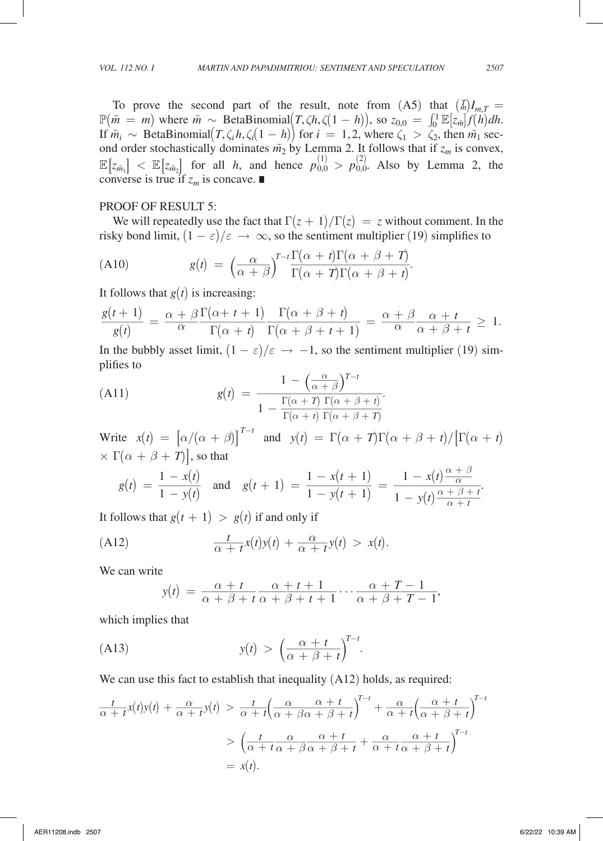To prove the second part of the result, note from  $(A5)$  that  $\binom{T}{m}I_{m,T}$  $\mathbb{P}(\tilde{m} = m)$  where  $\tilde{m} \sim \text{BetaBinomial}(T, \zeta h, \zeta(1 - h))$ , so  $z_{0,0} = \int_0^1 \mathbb{E}[z_{\tilde{m}}] f(h) dh$ . If  $\tilde{m}_i \sim \text{BetaBinomial}(T, \zeta_i h, \zeta_i (1 - h))$  for  $i = 1, 2$ , where  $\zeta_1 > \zeta_2$ , then  $\tilde{m}_1$  second order stochastically dominates  $\tilde{m}_2$  by Lemma 2. It follows that if  $z_m$  is convex,  $\mathbb{E}\left[z_{\tilde{m}_1}\right]$  <  $\mathbb{E}\left[z_{\tilde{m}_2}\right]$  for all *h*, and hence  $p_{0,0}^{(1)} > p_{0,0}^{(2)}$ . Also by Lemma 2, the converse is true if  $z_m$  is concave. ■

### PROOF OF RESULT 5:

We will repeatedly use the fact that  $\Gamma(z + 1)/\Gamma(z) = z$  without comment. In the

risky bond limit, 
$$
(1 - \varepsilon)/\varepsilon \to \infty
$$
, so the sentiment multiplier (19) simplifies to  
\n(A10) 
$$
g(t) = \left(\frac{\alpha}{\alpha + \beta}\right)^{T-t} \frac{\Gamma(\alpha + t)\Gamma(\alpha + \beta + T)}{\Gamma(\alpha + T)\Gamma(\alpha + \beta + t)}.
$$

(A10)  
\n
$$
g(t) = \left(\frac{\alpha}{\alpha + \beta}\right)^{T - t} \frac{\Gamma(\alpha + t)\Gamma(\alpha + \beta + 1)}{\Gamma(\alpha + T)\Gamma(\alpha + \beta + t)}.
$$
\nIt follows that  $g(t)$  is increasing:  
\n
$$
\frac{g(t+1)}{g(t)} = \frac{\alpha + \beta \Gamma(\alpha + t + 1)}{\alpha} \frac{\Gamma(\alpha + \beta + t)}{\Gamma(\alpha + \beta + t + 1)} = \frac{\alpha + \beta}{\alpha} \frac{\alpha + t}{\alpha + \beta + t} \ge 1.
$$
\nIn the bubbley asset limit,  $(1 - \varepsilon)/\varepsilon \to -1$ , so the sentiment multiplier (19) simplifies to  
\n(A11)  
\n
$$
g(t) = \frac{1 - \left(\frac{\alpha}{\alpha + \beta}\right)^{T - t}}{1 - \frac{\Gamma(\alpha + T)}{\Gamma(\alpha + \beta + t)}}.
$$

plifies to *T*<sup>t</sup>

In the bubbley asset limit, 
$$
(1 - \varepsilon)/\varepsilon \to -1
$$
, so the sentiment multiplier (19) simplifies to  
\n(A11) 
$$
g(t) = \frac{1 - \left(\frac{\alpha}{\alpha + \beta}\right)^{T-t}}{1 - \frac{\Gamma(\alpha + T)}{\Gamma(\alpha + t)} \frac{\Gamma(\alpha + \beta + t)}{\Gamma(\alpha + \beta + T)}}
$$
\nWrite  $x(t) = \left[\alpha/(\alpha + \beta)\right]^{T-t}$  and  $y(t) = \Gamma(\alpha + T)\Gamma(\alpha + \beta + t)/\left[\Gamma(\alpha + t)\right]$ 

Write 
$$
x(t) = [\alpha/(\alpha + \beta)]^{T-t}
$$
 and  $y(t) = \Gamma(\alpha + T)\Gamma(\alpha + \beta + t)/[\Gamma(\alpha + \alpha + \beta + T)]$ , so that  
\n $g(t) = \frac{1 - x(t)}{1 - y(t)}$  and  $g(t + 1) = \frac{1 - x(t + 1)}{1 - y(t + 1)} = \frac{1 - x(t)\frac{\alpha + \beta}{\alpha}}{1 - y(t)\frac{\alpha + \beta + t}{\alpha + t}}$ .  
\nIt follows that  $g(t + 1) > g(t)$  if and only if

It follows that 
$$
g(t + 1) > g(t)
$$
 if and only if  
\n(A12) 
$$
\frac{t}{\alpha + t}x(t)y(t) + \frac{\alpha}{\alpha + t}y(t) > x(t).
$$
\nWe can write  
\n
$$
y(t) = \frac{\alpha + t}{\alpha + \beta + t} \frac{\alpha + t + 1}{\alpha + \beta + t + 1} \cdots \frac{\alpha + t}{\alpha + \beta}
$$
\nwhich implies that

We can write

e  

$$
y(t) = \frac{\alpha + t}{\alpha + \beta + t} \frac{\alpha + t + 1}{\alpha + \beta + t + 1} \cdots \frac{\alpha + T - 1}{\alpha + \beta + T - 1},
$$

which implies that

$$
y(t) > \left(\frac{\alpha + t}{\alpha + \beta + t}\right)^{T-t}.
$$

which implies that  
\n(A13) 
$$
y(t) = \alpha + \beta + t \alpha + \beta + t + 1 \quad \alpha + \beta + T - 1'
$$
\nwhich implies that  
\n(A13) 
$$
y(t) > \left(\frac{\alpha + t}{\alpha + \beta + t}\right)^{T-t}.
$$
\nWe can use this fact to establish that inequality (A12) holds, as required:  
\n
$$
\frac{t}{\alpha + t}x(t)y(t) + \frac{\alpha}{\alpha + t}y(t) > \frac{t}{\alpha + t} \left(\frac{\alpha}{\alpha + \beta\alpha + \beta + t}\right)^{T-t} + \frac{\alpha}{\alpha + t} \left(\frac{\alpha + t}{\alpha + \beta + t}\right)^{T-t}
$$
\n
$$
> \left(\frac{t}{\alpha + t} \frac{\alpha}{\alpha + \beta + t} + \frac{\alpha}{\alpha + t} \frac{\alpha + t}{\alpha + \beta + t}\right)^{T-t}
$$
\n
$$
= x(t).
$$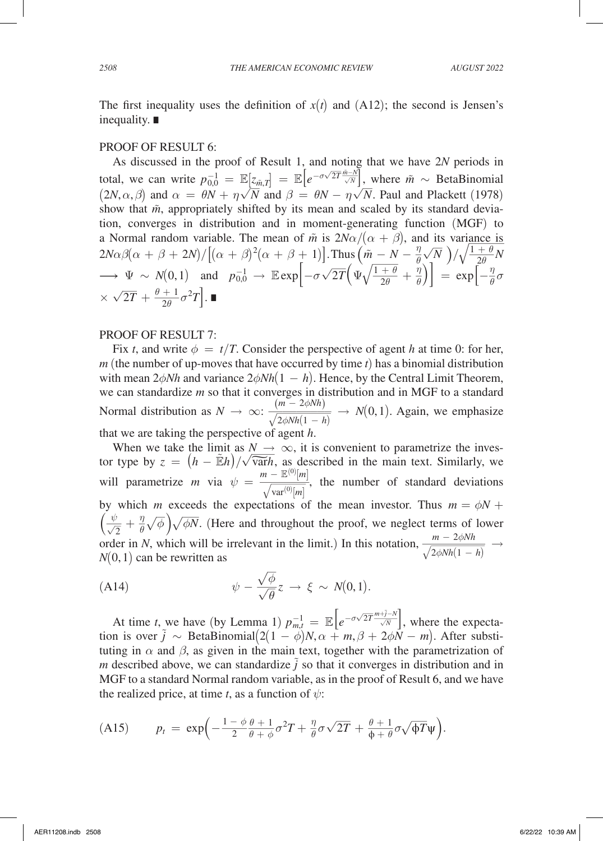The first inequality uses the definition of  $x(t)$  and  $(A12)$ ; the second is Jensen's inequality. ∎

### PROOF OF RESULT 6:

As discussed in the proof of Result 1, and noting that we have 2*N* periods in total, we can write  $p_{0,0}^{-1} = \mathbb{E} [z_{\tilde{m},T}] = \mathbb{E} [e^{-\sigma \sqrt{2\pi i}}]$ *T* Example 1, and noting that we have  $2N$  periods in<br>  $\left[ z_{m,T} \right] = \mathbb{E} \left[ e^{-\sigma \sqrt{2T} \frac{\hat{m}-N}{\sqrt{N}}} \right]$ , where  $\tilde{m} \sim \text{BetaBinomial}$ <br>  $\overline{N}$  and  $\beta = \theta N$  and  $\overline{N}$  Bayl and Plackett (1078)  $(2N, \alpha, \beta)$  and  $\alpha = \theta N + \eta \sqrt{N}$  and  $\beta = \theta N - \eta \sqrt{N}$ . Paul and Plackett (1978) show that  $\tilde{m}$ , appropriately shifted by its mean and scaled by its standard deviation, converges in distribution and in moment-generating function (MGF) to a Normal random variable. The mean of  $\tilde{m}$  is  $2N\alpha/(\alpha + \beta)$ , and its variance is  $2N\alpha\beta(\alpha+\beta+2N)/\big[(\alpha+\beta)^2(\alpha+\beta+1)\big].$  Thus  $\left(\tilde{m}-N-\frac{\eta}{\theta}\right)$  $\frac{\eta}{\theta} \sqrt{N}$  $\frac{1}{2\theta}$  (MGF) to<br>its variance is<br> $\frac{1}{N}$  )/ $\sqrt{\frac{1+\theta}{2\theta}}N$ a isomial random variable. The mean of *m* is  $2N\alpha/(\alpha + \beta)$ <br>  $2N\alpha\beta(\alpha + \beta + 2N)/[(\alpha + \beta)^2(\alpha + \beta + 1)]$ . Thus  $(\tilde{m} - N)$ <br>  $\rightarrow \Psi \sim N(0, 1)$  and  $p_{0,0}^{-1} \rightarrow \mathbb{E} \exp[-\sigma\sqrt{2T}(\Psi\sqrt{\frac{1+\theta}{2\theta}})]$  $\left[\frac{-N - \frac{\eta}{\theta} \sqrt{N}}{1 + \theta} + \frac{\eta}{\theta}\right]$  =  $\exp\left[-\frac{\eta}{\theta}\sigma\right]$  $\longrightarrow \Psi \sim N(0, 1)$  and<br> $\times \sqrt{2T} + \frac{\theta + 1}{2\theta} \sigma^2 T$ .

### PROOF OF RESULT 7:

Fix *t*, and write  $\phi = t/T$ . Consider the perspective of agent *h* at time 0: for her, *m* (the number of up-moves that have occurred by time *t*) has a binomial distribution with mean  $2\phi Nh$  and variance  $2\phi Nh(1 - h)$ . Hence, by the Central Limit Theorem, we can standardize *m* so that it converges in distribution and in MGF to a standard we can standardize *m* so that it converges in distribution<br>Normal distribution as  $N \rightarrow \infty$ :  $\frac{(m - 2\phi Nh)}{\sqrt{2\phi Nh(1 - h)}}$ cocurred b<br>  $(1-h)$ . He<br>
erges in dis<br>  $\frac{(m-2\phi Nh)}{2\phi Nh(1-h)}$ <br>
agent h.  $\frac{m - 2\phi N h}{2\phi N h(1 - h)} \rightarrow N(0, 1)$ . Again, we emphasize agent *h*. that we are taking the perspective of agent *h*.

When we take the limit as  $N \to \infty$ , it is convenient to parametrize the investhat we are taking the perspective of agent *h*.<br>When we take the limit as  $N \rightarrow \infty$ , it is convenient to parametrize the investor type by  $z = (h - \mathbb{E}h)/\sqrt{\text{var}h}$ , as described in the main text. Similarly, we will parametrize *m* via  $\psi = \frac{m - \mathbb{E}^{(0)}}{\sqrt{m}}$ or agent *i*<br>  $\Rightarrow \infty$ , it<br>  $\frac{\Rightarrow}{\sinh}$ , as de:<br>  $\frac{m - \mathbb{E}^{(0)}[m]}{\sqrt{\text{var}^{(0)}[m]}}$ <br>
tations of  $\frac{\overline{m}}{\overline{m}}$ , as de<br>  $\frac{m}{\sqrt{\text{var}^{(0)}[m]}}$ <br>  $\frac{m}{\sqrt{\text{var}^{(0)}[m]}}$  $\text{var}^{(0)}[m]$  $\frac{1}{2}$ , the number of standard deviations by which *m* exceeds the expectations of the mean investor. Thus  $m = \phi N + \phi N$  $\left(\frac{\psi}{\sqrt{2}}+\frac{\eta}{\theta}\sqrt{\frac{\psi}{2}}\right)$  $\sqrt{2}$   $\theta$  $\frac{1}{1}$ *n* exceeds the expectations of the mean investor. Thus  $m = \phi N + \overline{\phi}$   $\sqrt{\phi N}$ . (Here and throughout the proof, we neglect terms of lower will parametrize *m* via  $\psi = \frac{1}{\sqrt{\text{var}^{(0)}[m]}}$ , the number of standard deviation by which *m* exceeds the expectations of the mean investor. Thus  $m = \phi l$   $\left(\frac{\psi}{\sqrt{2}} + \frac{\eta}{\theta}\sqrt{\phi}\right)\sqrt{\phi N}$ . (Here and throughout the pr *m* − 2 $\phi$ *Nh*<br> $\sqrt{2\phi Nh(1-h)}$ us  $m = \phi l$ <br>terms of lo<br> $\frac{m - 2\phi N h}{2\phi N h (1 - h)}$  $\frac{m-2\phi Nh}{2\phi Nh(1-h)} \rightarrow$  $N(0,1)$  can be rewritten as

(A14) 
$$
\psi - \frac{\sqrt{\phi}}{\sqrt{\theta}} z \to \xi \sim N(0,1).
$$

At time *t*, we have (by Lemma 1)  $p_{m,t}^{-1} = \mathbb{E}\left[e^{-\sigma \sqrt{\sigma}}\right]$  $\overline{2T}$ <sup> $\prime$ </sup>  $\frac{m+\tilde{j}-N}{\sqrt{N}}$  −*N*  $\sqrt{\frac{N}{N}}$ , where the expectation is over  $\tilde{j} \sim \text{BetaBinomial}(2(1 - \phi)N, \alpha + m, \beta + 2\phi N - m)$ . After substituting in  $\alpha$  and  $\beta$ , as given in the main text, together with the parametrization of *m* described above, we can standardize  $\hat{j}$  so that it converges in distribution and in MGF to a standard Normal random variable, as in the proof of Result 6, and we have the realized price, at time *t*, as a function of  $\psi$ :

(A15) 
$$
p_t = \exp\left(-\frac{1-\phi}{2}\frac{\theta+1}{\theta+\phi}\sigma^2T + \frac{\eta}{\theta}\sigma\sqrt{2T} + \frac{\theta+1}{\phi+\theta}\sigma\sqrt{\phi T}\psi\right).
$$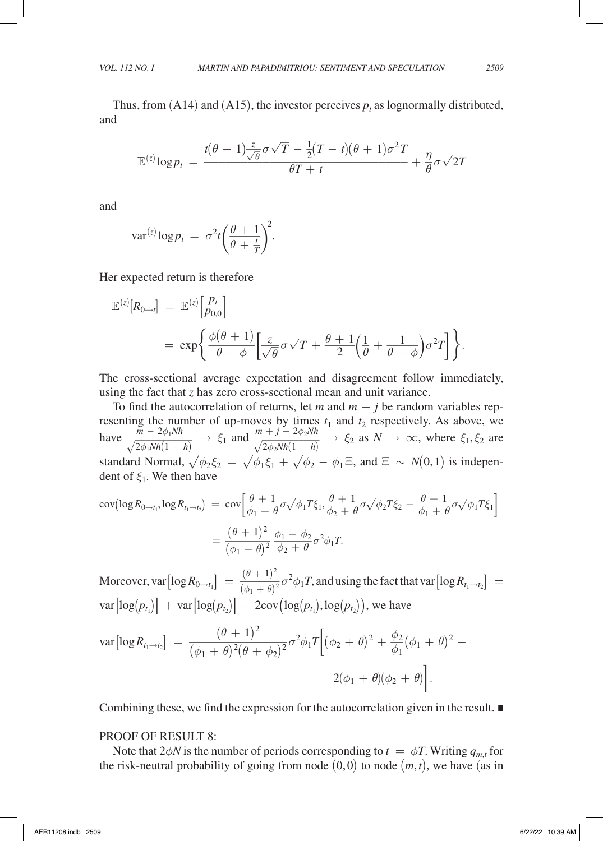Thus, from  $(A14)$  and  $(A15)$ , the investor perceives  $p_t$  as lognormally distributed, and

and  

$$
\mathbb{E}^{(z)} \log p_t = \frac{t(\theta + 1)\frac{z}{\sqrt{\theta}}\sigma\sqrt{T} - \frac{1}{2}(T - t)(\theta + 1)\sigma^2 T}{\theta T + t} + \frac{\eta}{\theta}\sigma\sqrt{2T}
$$

and

and  

$$
var^{(z)} log p_t = \sigma^2 t \left(\frac{\theta + 1}{\theta + \frac{t}{T}}\right)^2.
$$

Her expected return is therefore

$$
\mathbb{E}^{(z)}[R_{0\to t}] = \mathbb{E}^{(z)}\left[\frac{p_t}{p_{0,0}}\right]
$$
  
=  $\exp\left\{\frac{\phi(\theta+1)}{\theta+\phi}\left[\frac{z}{\sqrt{\theta}}\sigma\sqrt{T} + \frac{\theta+1}{2}\left(\frac{1}{\theta} + \frac{1}{\theta+\phi}\right)\sigma^2T\right]\right\}.$ 

The cross-sectional average expectation and disagreement follow immediately, using the fact that *z* has zero cross-sectional mean and unit variance.

To find the autocorrelation of returns, let *m* and  $m + j$  be random variables representing the number of up-moves by times  $t_1$  and  $t_2$  respectively. As above, we have  $\frac{m-2\phi_1 N h}{\sqrt{2\phi_1 N h(1-h)}} \rightarrow \xi_1$  and  $\frac{m+j-2\phi_2 N h}{\sqrt{2\phi_2 N h(1-h)}} \rightarrow \xi_2$  as  $N \rightarrow \infty$ , where  $\xi_1, \xi_2$  are  $\frac{1}{2}$  $\frac{m-2\phi_1 N h}{2\phi_1 N h (1-h)}$ <br>2 $\phi_1 N h (1-h)$ <br>d Normal, ber of up-moves by times  $t_1$ <br>  $\rightarrow \xi_1$  and  $\frac{m+j-2\phi_2 N h}{\sqrt{2\phi_2 N h (1-h)}}$  $\frac{12}{12}$  $\frac{1}{2\phi_2 N h(1-h)} \rightarrow \xi_2$  as  $N \rightarrow \infty$ , where  $\xi_1, \xi_2$  are<br>  $\frac{1}{2\phi_2 N h(1-h)} \rightarrow \xi_2$  as  $N \rightarrow \infty$ , where  $\xi_1, \xi_2$  are standard Normal,  $\sqrt{\phi_2 \xi_2} = \sqrt{\phi_1 \xi_1} + \sqrt{\phi_2 - \phi_1 \Xi}$ , and  $\Xi \sim N(0, 1)$  is indepen- $\frac{\sqrt{2}}{\phi_2 \xi_2 - \sqrt{\phi_1}}$ mes  $t_1$  and<br> $\frac{t_2 N h}{-h}$   $\rightarrow$ <br> $\phi_2 - \phi_1$ dent of  $\xi_1$ . We then have

dent of 
$$
\xi_1
$$
. We then have  
\n
$$
\text{cov}(\log R_{0 \to t_1}, \log R_{t_1 \to t_2}) = \text{cov}\left[\frac{\theta + 1}{\phi_1 + \theta} \sigma \sqrt{\phi_1 T} \xi_1, \frac{\theta + 1}{\phi_2 + \theta} \sigma \sqrt{\phi_2 T} \xi_2 - \frac{\theta + 1}{\phi_1 + \theta} \sigma \sqrt{\phi_1 T} \xi_1\right]
$$
\n
$$
= \frac{(\theta + 1)^2}{(\phi_1 + \theta)^2} \frac{\phi_1 - \phi_2}{\phi_2 + \theta} \sigma^2 \phi_1 T.
$$

Moreover, var  $\left[\log R_{0 \to t_1}\right] = \frac{(\theta + 1)^2}{(\phi_1 + \theta)^2}$ <br>var  $\left[\log R_{0 \to t_1}\right] = \frac{(\theta + 1)^2}{(\phi_1 + \theta)^2}$  $\frac{(\theta+1)^2}{(\phi_1+\theta)^2} \sigma^2 \phi_1 T$ , and using the fact that var  $\left[\log R_{t_1 \to t_2}\right] =$  $var[log(p_{t_1})]$  +  $var[log(p_{t_2})]$  –  $2cov(log(p_{t_1}),log(p_{t_2}))$ , we have

$$
\text{var}\left[\log R_{t_1 \to t_2}\right] = \frac{(\theta + 1)^2}{(\phi_1 + \theta)^2 (\theta + \phi_2)^2} \sigma^2 \phi_1 T \Big[ (\phi_2 + \theta)^2 + \frac{\phi_2}{\phi_1} (\phi_1 + \theta)^2 - 2(\phi_1 + \theta) (\phi_2 + \theta) \Big].
$$

Combining these, we find the expression for the autocorrelation given in the result. ∎

### PROOF OF RESULT 8:

Note that  $2\phi N$  is the number of periods corresponding to  $t = \phi T$ . Writing  $q_{m,t}$  for the risk-neutral probability of going from node  $(0, 0)$  to node  $(m, t)$ , we have (as in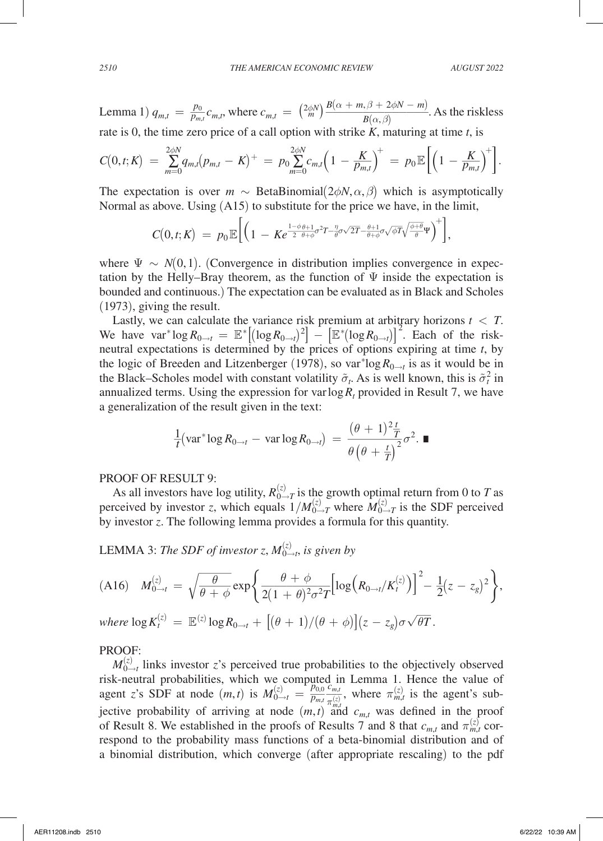Lemma 1)  $q_{m,t} = \frac{p_0}{p_{m,t}}$  $\frac{p_0}{p_{m,t}} c_{m,t}$ , where  $c_{m,t} = \left(\frac{2\phi N}{m}\right)^{T}$ *B*( $\alpha$  + *m*,  $\beta$  + 2 $\phi$ *N* − *m*)  $B(\alpha, \beta)$ <br>th strike *K*, maturing at tin  $\frac{m_j}{m}$ . As the riskless rate is 0, the time zero price of a call option with strike *K*, maturing at time *t*, is

$$
C(0,t;K) = \sum_{m=0}^{2\phi N} q_{m,t}(p_{m,t} - K)^{+} = p_0 \sum_{m=0}^{2\phi N} c_{m,t} \left(1 - \frac{K}{p_{m,t}}\right)^{+} = p_0 \mathbb{E}\bigg[\bigg(1 - \frac{K}{p_{m,t}}\bigg)^{+}\bigg].
$$

The expectation is over  $m \sim$  BetaBinomial( $2\phi N, \alpha, \beta$ ) which is asymptotically Normal as above. Using (A15) to substitute for the price we have, in the limit,<br> $\sqrt{(a-x)^{1-\phi}e^{a}+a^2x^2+a^2\sqrt{2T}}e^{a+1}e^{a}(\overline{a}\overline{t})e^{a}e^{a}+a^2\overline{t}}$ 

$$
C(0,t;K)\ =\ p_0\mathbb{E}\bigg[\Big(1\,-\,K e^{\frac{1-\phi\,\theta+1}{2}\sigma^2 T-\frac{\eta}{\theta}\sigma \sqrt{2T}-\frac{\theta+1}{\theta+\phi}\sigma \sqrt{\phi T}\sqrt{\frac{\phi+\theta}{\theta}}\Psi}\Big)^+\bigg],
$$

where  $\Psi \sim N(0, 1)$ . (Convergence in distribution implies convergence in expectation by the Helly–Bray theorem, as the function of  $\Psi$  inside the expectation is bounded and continuous.) The expectation can be evaluated as in Black and Scholes (1973), giving the result.

Lastly, we can calculate the variance risk premium at arbitrary horizons  $t < T$ . We have  $var^* \log R_{0\to t} = \mathbb{E}^* \left[ (\log R_{0\to t})^2 \right] - \left[ \mathbb{E}^* (\log R_{0\to t}) \right]^2$ . Each of the riskneutral expectations is determined by the prices of options expiring at time *t*, by the logic of Breeden and Litzenberger (1978), so var<sup>\*</sup>log  $R_{0\to t}$  is as it would be in the Black–Scholes model with constant volatility  $\tilde{\sigma}_t$ . As is well known, this is  $\tilde{\sigma}_t^2$  in annualized terms. Using the expression for var  $\log R_t$  provided in Result 7, we have<br>
a generalization of the result given in the text:<br>  $\frac{1}{t}(\text{var}^* \log R_{0\to t} - \text{var} \log R_{0\to t}) = \frac{(\theta + 1)^2 \frac{t}{T}}{\theta (\theta + \frac{t}{T})^2} \sigma^2$ . a generalization of the result given in the text:

$$
\frac{1}{t}(\operatorname{var}^* \log R_{0 \to t} - \operatorname{var} \log R_{0 \to t}) = \frac{(\theta + 1)^2 \frac{t}{T}}{\theta \left(\theta + \frac{t}{T}\right)^2} \sigma^2.
$$

### PROOF OF RESULT 9:

As all investors have log utility,  $R_{0\to T}^{(z)}$  is the growth optimal return from 0 to *T* as perceived by investor *z*, which equals  $1/M_{0\rightarrow T}^{(z)}$  where  $M_{0\rightarrow T}^{(z)}$  is the SDF perceived by investor *z*. The following lemma provides a formula for this quantity.

LEMMA 3: The SDF of investor z, 
$$
M_{0\to t}^{(z)}
$$
, is given by  
\n(A16) 
$$
M_{0\to t}^{(z)} = \sqrt{\frac{\theta}{\theta + \phi}} \exp\left\{\frac{\theta + \phi}{2(1 + \theta)^2 \sigma^2 T} \Big[ \log \Big(R_{0\to t}/K_t^{(z)}\Big) \Big]^2 - \frac{1}{2}(z - z_g)^2 \right\},
$$

where 
$$
\log K_t^{(z)} = \mathbb{E}^{(z)} \log R_{0 \to t} + [(\theta + 1)/(\theta + \phi)](z - z_g) \sigma \sqrt{\theta T}
$$
.

## PROOF:

 $M_{0\rightarrow t}^{(z)}$  links investor *z*'s perceived true probabilities to the objectively observed risk-neutral probabilities, which we computed in Lemma 1. Hence the value of agent *z*'s SDF at node  $(m,t)$  is  $M_{0\to t}^{(z)} = \frac{p_{0,0}}{p_{m,t}}$  $\frac{p_{0,0}}{p_{m,t}} \frac{c_{m,t}}{\pi^{(z)}}$  $\frac{c_{m,t}}{\pi_{m,t}^{(z)}}$ , where  $\pi_{m,t}^{(z)}$  is the agent's subjective probability of arriving at node  $(m,t)$  and  $c_{m,t}$  was defined in the proof of Result 8. We established in the proofs of Results 7 and 8 that  $c_{m,t}$  and  $\pi_{m,t}^{(z)}$  correspond to the probability mass functions of a beta-binomial distribution and of a binomial distribution, which converge (after appropriate rescaling) to the pdf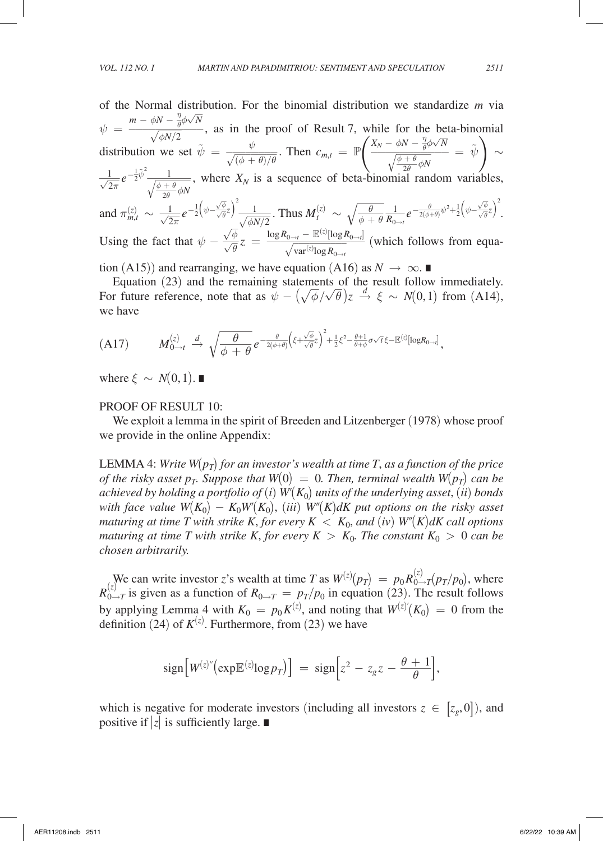of the Normal distribution. For the binomial distribution we standardize *m* via  $\psi =$ *m* −  $\phi N - \frac{\eta}{\theta} \phi \sqrt{N}$ , as in the proof of Result 7, while for the beta-binomial  $\frac{m - \phi N - \frac{\eta}{\theta} \phi \sqrt{N}}{\sqrt{\phi N/2}}$ , as in the proof of Result 7, while for the beta-binomial survivion we set  $\tilde{\psi}_1 = \frac{\psi}{\sqrt{N}}$ . The distribution we set  $\tilde{\psi} = \frac{\psi}{\sqrt{(\phi + \theta)/\theta}}$  $\frac{\varphi}{\overline{(\phi + \theta)/\theta}}$ . Then  $c_{m,t} = \mathbb{P}$  $X_N - \phi N - \frac{\eta}{\theta} \phi \sqrt{N}$ hile for the beta-b.<br>  $\frac{X_N - \phi N - \frac{\eta}{\theta} \phi \sqrt{N}}{\sqrt{\frac{\phi + \theta}{2\theta} \phi N}}$  =  $\frac{\phi + \theta}{2\theta} \phi N$  $\frac{1}{\sqrt{2}} = \tilde{\psi}$   $\Big) \sim$  $\frac{1}{\sqrt{2\pi}}e^{-\frac{1}{2}\tilde{\psi}^2}$  $\sqrt{\phi N/2}$ <br>
on we set<br>  $\frac{1}{\sqrt{\frac{\phi + \theta}{2\theta}}\phi N}$  $\frac{\phi + \theta}{2\theta} \phi N$ , where  $X_N$  is a sequence of beta-binomial random variables, and  $\pi_{m,t}^{(z)} \sim \frac{1}{\sqrt{2\pi}} e^{-\frac{1}{2} (\psi - \frac{\sqrt{\phi}}{\sqrt{\theta}})}$  $\frac{\sqrt{\phi}}{\sqrt{\theta}}z\bigg)^2$  $\frac{1}{\sqrt{\phi N/2}}$ . Thus  $M_t^{(z)} \sim \sqrt{\frac{\theta}{\phi + \theta}}$ <br> $\frac{1}{\sqrt{\phi N/2}}$ . Thus  $M_t^{(z)} \sim \sqrt{\frac{\theta}{\phi + \theta}}$  $\frac{\theta}{\phi + \theta} \frac{1}{R_{0\to t}} e^{-\frac{\theta}{2(\phi+\theta)} \psi^2 + \frac{1}{2} \left(\psi - \frac{\sqrt{\phi}}{\sqrt{\theta}}\right)}$  $\frac{\sqrt{\phi}}{\sqrt{\theta}}z\bigg)^2$ . Using the fact that  $\psi - \frac{\sqrt{\phi}}{\sqrt{\theta}}$  $\frac{\sqrt{\phi}}{\sqrt{\theta}} z \ = \ \frac{\log R_{0 \to t} - \mathbb{E}^{(z)}[\log R_{0 \to t}]}{\sqrt{\mathrm{var}^{(z)} \! \log R_{0 \to t}}}$  $\frac{1}{2}$ . Thus  $M_t^{(z)} \sim \sqrt{\frac{\theta}{\phi + \theta}}$ <br>  $\frac{\log R_{0 \to t} - \mathbb{E}^{(z)} [\log R_{0 \to t}]}{\sqrt{\text{var}^{(z)} \log R_{0 \to t}}}$  (whowe equation (A16) as N  $\frac{1}{\sqrt{\frac{1}{\pi} \cdot \frac{1}{\sqrt{1}}}}$  $\frac{\log R_{0\to t}}{\log R_{0\to t}}$  (which follows from equa-<br>n (A16) as  $N \to \infty$ 

tion (A15)) and rearranging, we have equation (A16) as  $N \to \infty$ .

Equation (23) and the remaining statements of the result follow immediately. For future reference, note that as  $\psi - (\sqrt{\sqrt{2}})$  $\frac{1}{\alpha}$  $\frac{d}{\phi}/\sqrt{\theta}$ ) $z \stackrel{d}{\rightarrow} \xi \sim N(0,1)$  from (A14), we have

we have  
\n(A17) 
$$
M_{0\to t}^{(z)} \xrightarrow{d} \sqrt{\frac{\theta}{\phi + \theta}} e^{-\frac{\theta}{2(\phi+\theta)} \left(\xi + \frac{\sqrt{\phi}}{\sqrt{\theta}} z\right)^2 + \frac{1}{2} \xi^2 - \frac{\theta+1}{\theta+\phi} \sigma \sqrt{\tau} \xi - \mathbb{E}^{(z)} [\log R_{0\to t}]},
$$

where  $\xi \sim N(0, 1)$ .

### PROOF OF RESULT 10:

We exploit a lemma in the spirit of Breeden and Litzenberger (1978) whose proof we provide in the online Appendix:

LEMMA 4: *Write W*( $p_T$ ) for an investor's wealth at time T, as a function of the price *of the risky asset p<sub>T</sub>. Suppose that*  $W(0) = 0$ . Then, terminal wealth  $W(p_T)$  can be *achieved by holding a portfolio of (i)*  $W(K_0)$  *units of the underlying asset, (ii) bonds with face value*  $W(K_0) - K_0 W(K_0)$ , *(iii)*  $W''(K)dK$  *put options on the risky asset maturing at time T with strike K, for every*  $K < K_0$ *, and (<i>iv*)  $W''(K)dK$  call options *maturing at time T with strike K, for every K*  $> K_0$ *. The constant K<sub>0</sub>*  $> 0$  *can be chosen arbitrarily.*

We can write investor *z*'s wealth at time *T* as  $W^{(z)}(p_T) = p_0 R_{0 \to T}^{(z)}(p_T/p_0)$ , where  $R_{0\to T}^{(z)}$  is given as a function of  $R_{0\to T} = p_T/p_0$  in equation (23). The result follows by applying Lemma 4 with  $K_0 = p_0 K^{(z)}$ , and noting that  $W^{(z)'}(K_0) = 0$  from the definition (24) of  $K^{(z)}$ . Furthermore, from (23) we have

$$
\text{sign}\big[ W^{(z)''}\big(\exp\mathbb{E}^{(z)}\text{log}p_T\big)\big] = \text{sign}\big[z^2 - z_g z - \frac{\theta + 1}{\theta}\big],
$$

which is negative for moderate investors (including all investors  $z \in [z_g,0]$ ), and positive if |*z*| is sufficiently large. ∎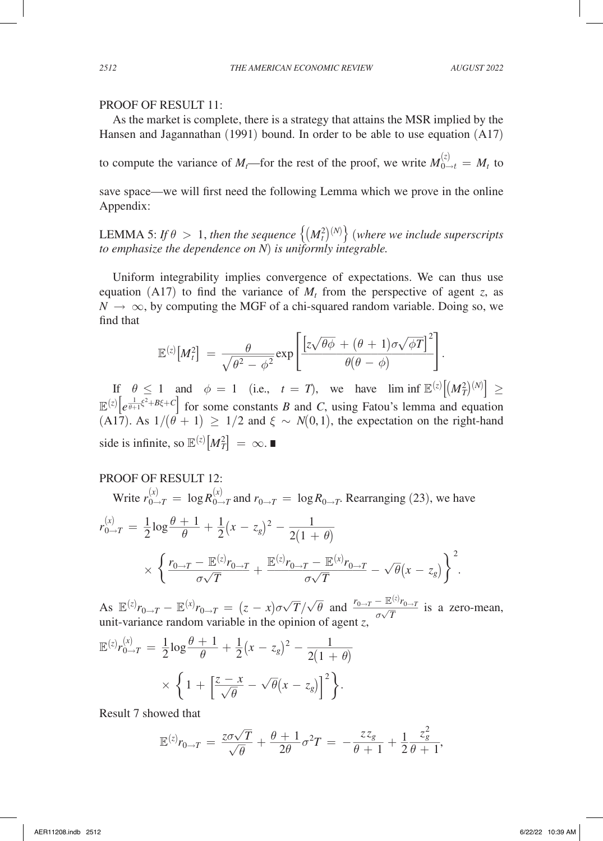### PROOF OF RESULT 11:

As the market is complete, there is a strategy that attains the MSR implied by the Hansen and Jagannathan (1991) bound. In order to be able to use equation (A17)

to compute the variance of  $M_t$ —for the rest of the proof, we write  $M_{0\to t}^{(z)} = M_t$  to

save space—we will first need the following Lemma which we prove in the online Appendix:

LEMMA 5: If  $\theta > 1$ , then the sequence  $\left\{ (M_t^2)^{(N)} \right\}$  (where we include superscripts *to emphasize the dependence on N*) *is uniformly integrable.*

Uniform integrability implies convergence of expectations. We can thus use equation (A17) to find the variance of  $M_t$  from the perspective of agent *z*, as  $N \to \infty$ , by computing the MGF of a chi-squared random variable. Doing so, we find that

$$
N \to \infty, \text{ by computing the MGF of a chi-squared random variable. Doi}
$$
\nfind that\n
$$
\mathbb{E}^{(z)}\left[M_t^2\right] = \frac{\theta}{\sqrt{\theta^2 - \phi^2}} \exp\left[\frac{\left[z\sqrt{\theta\phi} + (\theta + 1)\sigma\sqrt{\phi T}\right]^2}{\theta(\theta - \phi)}\right].
$$
\nIf  $\theta \le 1$  and  $\phi = 1$  (i.e.,  $t = T$ ), we have  $\lim_{\theta \to 0} \inf_{\theta \in \mathbb{R}} \mathbb{E}^{(z)}[t]$ .

If  $\theta \le 1$  and  $\phi = 1$  (i.e.,  $t = T$ ), we have  $\liminf \mathbb{E}^{z} |M_T^2|^{(N)} \ge$  $\mathbb{E}^{(z)}\left[e^{\frac{1}{\theta+1}\xi^2+B\xi+C}\right]$  for some constants *B* and *C*, using Fatou's lemma and equation (A17). As  $1/(\theta + 1) \ge 1/2$  and  $\xi \sim N(0, 1)$ , the expectation on the right-hand side is infinite, so  $\mathbb{E}^{(z)}\left[M_T^2\right] = \infty$ .

### PROOF OF RESULT 12:

Write 
$$
r_{0\to T}^{(x)} = \log R_{0\to T}^{(x)}
$$
 and  $r_{0\to T} = \log R_{0\to T}$ . Rearranging (23), we have  
\n
$$
r_{0\to T}^{(x)} = \frac{1}{2} \log \frac{\theta + 1}{\theta} + \frac{1}{2} (x - z_g)^2 - \frac{1}{2(1 + \theta)}
$$
\n
$$
\times \left\{ \frac{r_{0\to T} - \mathbb{E}^{(z)} r_{0\to T}}{\sigma \sqrt{T}} + \frac{\mathbb{E}^{(z)} r_{0\to T} - \mathbb{E}^{(x)} r_{0\to T}}{\sigma \sqrt{T}} - \sqrt{\theta} (x - z_g) \right\}^2.
$$
\nAs  $\mathbb{E}^{(z)} r_{0\to T} - \mathbb{E}^{(x)} r_{0\to T} = (z - x) \sigma \sqrt{T} / \sqrt{\theta}$  and  $\frac{r_{0\to T} - \mathbb{E}^{(z)} r_{0\to T}}{\sigma \sqrt{T}}$  is a zero-  
\nunit-variance random variable in the opinion of agent *z*,  
\n $\mathbb{E}^{(z)} r_{0\to T}^{(x)} = \frac{1}{2} \log \frac{\theta + 1}{\theta + 1} + \frac{1}{2} (x - z_g)^2 - \frac{1}{2} \frac{1}{\sqrt{T}}$ 

As  $\mathbb{E}^{(z)} r_{0 \to T} - \mathbb{E}^{(x)} r_{0 \to T} = (z - x) \sigma \sqrt{T} / \sqrt{\theta}$  and  $\frac{r_{0 \to T} - \mathbb{E}^{(z)}}{\sigma \sqrt{T}}$  $\frac{\overline{p}}{T}$  is a zero-mean,

As 
$$
\mathbb{E}^{(z)} r_{0 \to T} - \mathbb{E}^{(x)} r_{0 \to T} = (z - x) \sigma \sqrt{T} / \sqrt{\theta}
$$
 and  $\frac{r_{0 \to z}}{r_{0 \to T}}$   
unit-variance random variable in the opinion of agent *z*,  

$$
\mathbb{E}^{(z)} r_{0 \to T}^{(x)} = \frac{1}{2} \log \frac{\theta + 1}{\theta} + \frac{1}{2} (x - z_g)^2 - \frac{1}{2(1 + \theta)}
$$

$$
\times \left\{ 1 + \left[ \frac{z - x}{\sqrt{\theta}} - \sqrt{\theta} (x - z_g) \right]^2 \right\}.
$$

Result 7 showed that

Result 7 showed that  
\n
$$
\mathbb{E}^{(z)} r_{0 \to T} = \frac{z \sigma \sqrt{T}}{\sqrt{\theta}} + \frac{\theta + 1}{2\theta} \sigma^2 T = -\frac{z z_g}{\theta + 1} + \frac{1}{2} \frac{z_g^2}{\theta + 1},
$$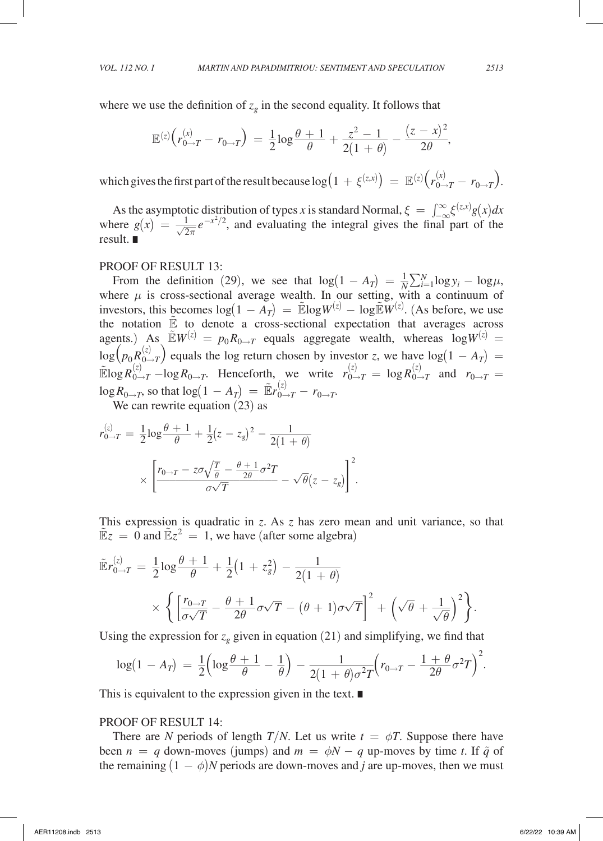where we use the definition of 
$$
z_g
$$
 in the second equality. It follows that  
\n
$$
\mathbb{E}^{(z)}\left(r_{0\to T}^{(x)} - r_{0\to T}\right) = \frac{1}{2}\log\frac{\theta + 1}{\theta} + \frac{z^2 - 1}{2(1 + \theta)} - \frac{(z - x)^2}{2\theta},
$$

which gives the first part of the result because  $\log\left(1 + \xi^{(z,x)}\right) = \mathbb{E}^{(z)}\left(r_{0 \to T}^{(x)} - r_{0 \to T}\right)$ .

As the asymptotic distribution of types *x* is standard Normal,  $\xi = \int_{-\infty}^{\infty} \xi^{(z,x)} g(x) dx$ As the asymptotic distribution of types *x* is standard Normal,  $\xi = \int_{-\infty}^{\infty} \xi^{(z,x)} g(x) dx$ <br>where  $g(x) = \frac{1}{\sqrt{2\pi}} e^{-x^2/2}$ , and evaluating the integral gives the final part of the result. ∎

### PROOF OF RESULT 13:

From the definition (29), we see that  $\log(1 - A_T) = \frac{1}{N} \sum_{i=1}^{N} \log y_i - \log \mu$ , where  $\mu$  is cross-sectional average wealth. In our setting, with a continuum of investors, this becomes  $\log(1 - A_T) = \mathbb{E} \log W^{(z)} - \log \mathbb{E} W^{(z)}$ . (As before, we use the notation  $\mathbb{E}$  to denote a cross-sectional expectation that averages across agents.) As  $\widetilde{E}W^{(z)} = p_0 R_{0 \to T}$  equals aggregate wealth, whereas  $\log W^{(z)} =$  $\log(p_0 R_{(0 \to T)}^{(z)})$  equals the log return chosen by investor *z*, we have  $\log(1 - A_T)$  =  $\widetilde{\mathbb{E}} \log R_{0 \to T}^{(z)} - \log R_{0 \to T}$ . Henceforth, we write  $r_{0 \to T}^{(z)} = \log R_{0 \to T}^{(z)}$  and  $r_{0 \to T} =$ 

$$
\log R_{0\to T}
$$
, so that  $\log(1 - A_T) = \tilde{\mathbb{E}}r_{0\to T}^{(z)} - r_{0\to T}$ .  
We can rewrite equation (23) as  

$$
r_{0\to T}^{(z)} = \frac{1}{2}\log\frac{\theta + 1}{\theta} + \frac{1}{2}(z - z_g)^2 - \frac{1}{2(1 + \theta)}
$$

$$
\times \left[\frac{r_{0\to T} - z\sigma\sqrt{\frac{T}{\theta}} - \frac{\theta + 1}{2\theta}\sigma^2 T}{\sigma\sqrt{T}} - \sqrt{\theta}(z - z_g)\right]^2.
$$

This expression is quadratic in *z*. As *z* has zero mean and unit variance, so that

This expression is quadratic in z. As z has zero mean and unit variance, so  
\n
$$
\tilde{E}z = 0 \text{ and } \tilde{E}z^2 = 1, \text{ we have (after some algebra)}
$$
\n
$$
\tilde{E}r_{0\to T}^{(z)} = \frac{1}{2}\log\frac{\theta + 1}{\theta} + \frac{1}{2}\left(1 + z_g^2\right) - \frac{1}{2\left(1 + \theta\right)}
$$
\n
$$
\times \left\{\left[\frac{r_{0\to T}}{\sigma\sqrt{T}} - \frac{\theta + 1}{2\theta}\sigma\sqrt{T} - (\theta + 1)\sigma\sqrt{T}\right]^2 + \left(\sqrt{\theta} + \frac{1}{\sqrt{\theta}}\right)^2\right\}.
$$

$$
\times \left\{ \left[ \frac{r_{0\to T}}{\sigma\sqrt{T}} - \frac{\theta + 1}{2\theta} \sigma\sqrt{T} - (\theta + 1)\sigma\sqrt{T} \right] + \left( \sqrt{\theta} + \frac{1}{\sqrt{\theta}} \right)^2 \right\}.
$$
  
Using the expression for  $z_g$  given in equation (21) and simplifying, we find that  

$$
\log(1 - A_T) = \frac{1}{2} \left( \log \frac{\theta + 1}{\theta} - \frac{1}{\theta} \right) - \frac{1}{2(1 + \theta)\sigma^2 T} \left( r_{0\to T} - \frac{1 + \theta}{2\theta} \sigma^2 T \right)^2.
$$
  
This is equivalent to the expression given in the text.

This is equivalent to the expression given in the text. ∎

### PROOF OF RESULT 14:

There are *N* periods of length *T*/*N*. Let us write  $t = \phi T$ . Suppose there have been  $n = q$  down-moves (jumps) and  $m = \phi N - q$  up-moves by time *t*. If  $\tilde{q}$  of the remaining  $(1 - \phi)N$  periods are down-moves and *j* are up-moves, then we must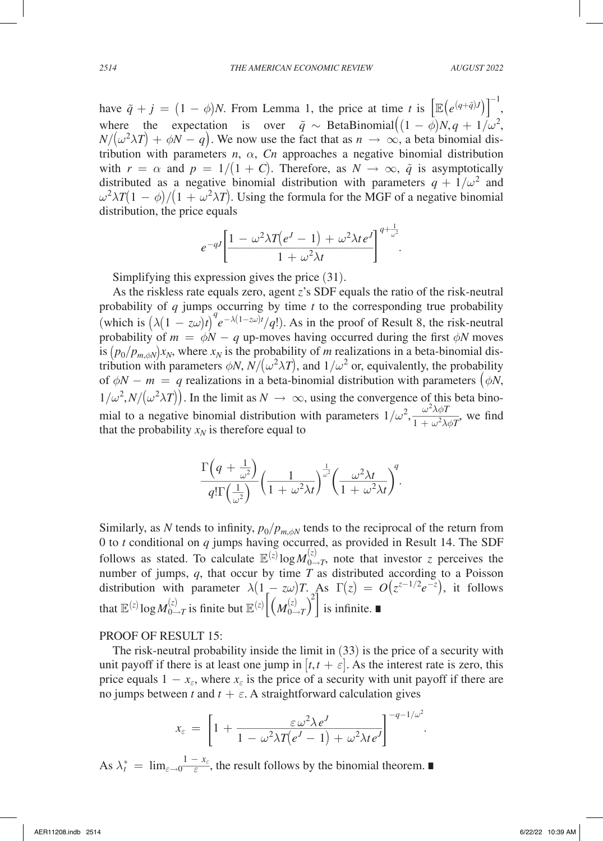have  $\tilde{q} + j = (1 - \phi)N$ . From Lemma 1, the price at time *t* is  $\left[ \mathbb{E} \left( e^{(q+\tilde{q})j} \right) \right]$ −1 , where the expectation is over  $\tilde{q} \sim$  BetaBinomial $((1 - \phi)N, q + 1/\omega^2,$  $N/(\omega^2 \lambda T) + \phi N - q$ . We now use the fact that as  $n \to \infty$ , a beta binomial distribution with parameters  $n$ ,  $\alpha$ ,  $Cn$  approaches a negative binomial distribution with  $r = \alpha$  and  $p = 1/(1 + C)$ . Therefore, as  $N \to \infty$ ,  $\tilde{q}$  is asymptotically distributed as a negative binomial distribution with parameters  $q + 1/\omega^2$  and  $\omega^2 \lambda T (1 - \phi) / (1 + \omega^2 \lambda T)$ . Using the formula for the MGF of a negative binomial distribution, the price equals

distribution, the price equals  
\n
$$
e^{-qJ} \left[ \frac{1 - \omega^2 \lambda T (e^J - 1) + \omega^2 \lambda t e^J}{1 + \omega^2 \lambda t} \right]^{q + \frac{1}{\omega^2}}.
$$
\nSimilarly, the expression gives the price (31).

Simplifying this expression gives the price (31).

As the riskless rate equals zero, agent *z*'s SDF equals the ratio of the risk-neutral probability of *q* jumps occurring by time *t* to the corresponding true probability (which is  $(\lambda(1 - z\omega)t)^q e^{-\lambda(1 - z\omega)t}/q!$ ). As in the proof of Result 8, the risk-neutral probability of  $m = \phi N - q$  up-moves having occurred during the first  $\phi N$  moves is  $(p_0/p_{m,\phi N})x_N$ , where  $x_N$  is the probability of *m* realizations in a beta-binomial distribution with parameters  $\phi N$ ,  $N/(\omega^2 \lambda T)$ , and  $1/\omega^2$  or, equivalently, the probability of  $\phi N - m = q$  realizations in a beta-binomial distribution with parameters  $(\phi N,$  $1/\omega^2$ ,  $N/(\omega^2 \lambda T)$ ). In the limit as  $N \to \infty$ , using the convergence of this beta binomial to a negative binomial distribution with parameters  $1/\omega^2$ ,  $\frac{\omega^2}{1+\omega^2}$ the parameter of this b<br>  $\frac{\omega^2 \lambda \phi T}{1 + \omega^2 \lambda \phi T}$ λϕ*T*  $\frac{\omega \lambda \phi I}{1 + \omega^2 \lambda \phi T}$ , we find

that the probability 
$$
x_N
$$
 is therefore equal to  
\n
$$
\frac{\Gamma\left(q + \frac{1}{\omega^2}\right)}{q!\Gamma\left(\frac{1}{\omega^2}\right)} \left(\frac{1}{1 + \omega^2 \lambda t}\right)^{\frac{1}{\omega^2}} \left(\frac{\omega^2 \lambda t}{1 + \omega^2 \lambda t}\right)^q.
$$

Similarly, as *N* tends to infinity,  $p_0/p_{m,\phi N}$  tends to the reciprocal of the return from 0 to *t* conditional on *q* jumps having occurred, as provided in Result 14. The SDF follows as stated. To calculate  $\mathbb{E}^{(z)}$  log  $M_{0\rightarrow T}^{(z)}$ , note that investor *z* perceives the number of jumps,  $q$ , that occur by time  $T$  as distributed according to a Poisson distribution with parameter  $\lambda(1 - z\omega)T$ . As  $\Gamma(z) = O(z^{z-1/2}e^{-z})$ , it follows that  $\mathbb{E}^{(z)}\log M_{0\rightarrow T}^{(z)}$  is finite but  $\mathbb{E}^{(z)}\Big[\left(M_{0\rightarrow T}^{(z)}\right)^z$ 2 ] is infinite. ∎

#### PROOF OF RESULT 15:

The risk-neutral probability inside the limit in (33) is the price of a security with unit payoff if there is at least one jump in  $[t, t + \varepsilon]$ . As the interest rate is zero, this price equals  $1 - x_{\epsilon}$ , where  $x_{\epsilon}$  is the price of a security with unit payoff if there are

no jumps between *t* and 
$$
t + \varepsilon
$$
. A straightforward calculation gives  
\n
$$
x_{\varepsilon} = \left[1 + \frac{\varepsilon \omega^2 \lambda e^J}{1 - \omega^2 \lambda T (e^J - 1) + \omega^2 \lambda t e^J}\right]^{-q - 1/\omega^2}.
$$

As  $\lambda_t^* = \lim_{\varepsilon \to 0}$  $\frac{1-x_{\varepsilon}}{\varepsilon}$  $\frac{1 - x_{\varepsilon}}{\varepsilon}$ , the result follows by the binomial theorem. ■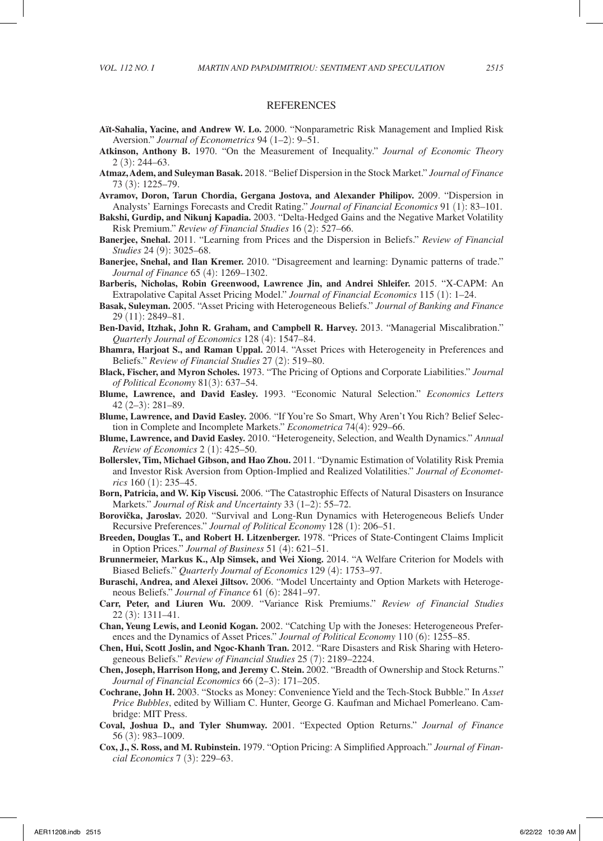#### REFERENCES

- **Aït-Sahalia, Yacine, and Andrew W. Lo.** 2000. "Nonparametric Risk Management and Implied Risk Aversion." *Journal of Econometrics* 94 (1–2): 9–51.
- **Atkinson, Anthony B.** 1970. "On the Measurement of Inequality." *Journal of Economic Theory* 2 (3): 244–63.
- **Atmaz, Adem, and Suleyman Basak.** 2018. "Belief Dispersion in the Stock Market." *Journal of Finance* 73 (3): 1225–79.
- **Avramov, Doron, Tarun Chordia, Gergana Jostova, and Alexander Philipov.** 2009. "Dispersion in Analysts' Earnings Forecasts and Credit Rating." *Journal of Financial Economics* 91 (1): 83–101.
- **Bakshi, Gurdip, and Nikunj Kapadia.** 2003. "Delta-Hedged Gains and the Negative Market Volatility Risk Premium." *Review of Financial Studies* 16 (2): 527–66.
- **Banerjee, Snehal.** 2011. "Learning from Prices and the Dispersion in Beliefs." *Review of Financial Studies* 24 (9): 3025–68.
- **Banerjee, Snehal, and Ilan Kremer.** 2010. "Disagreement and learning: Dynamic patterns of trade." *Journal of Finance* 65 (4): 1269–1302.
- **Barberis, Nicholas, Robin Greenwood, Lawrence Jin, and Andrei Shleifer.** 2015. "X-CAPM: An Extrapolative Capital Asset Pricing Model." *Journal of Financial Economics* 115 (1): 1–24.
- **Basak, Suleyman.** 2005. "Asset Pricing with Heterogeneous Beliefs." *Journal of Banking and Finance* 29 (11): 2849–81.
- **Ben-David, Itzhak, John R. Graham, and Campbell R. Harvey.** 2013. "Managerial Miscalibration." *Quarterly Journal of Economics* 128 (4): 1547–84.
- **Bhamra, Harjoat S., and Raman Uppal.** 2014. "Asset Prices with Heterogeneity in Preferences and Beliefs." *Review of Financial Studies* 27 (2): 519–80.
- **Black, Fischer, and Myron Scholes.** 1973. "The Pricing of Options and Corporate Liabilities." *Journal of Political Economy* 81(3): 637–54.
- **Blume, Lawrence, and David Easley.** 1993. "Economic Natural Selection." *Economics Letters* 42 (2–3): 281–89.
- **Blume, Lawrence, and David Easley.** 2006. "If You're So Smart, Why Aren't You Rich? Belief Selection in Complete and Incomplete Markets." *Econometrica* 74(4): 929–66.
- **Blume, Lawrence, and David Easley.** 2010. "Heterogeneity, Selection, and Wealth Dynamics." *Annual Review of Economics* 2 (1): 425–50.
- **Bollerslev, Tim, Michael Gibson, and Hao Zhou.** 2011. "Dynamic Estimation of Volatility Risk Premia and Investor Risk Aversion from Option-Implied and Realized Volatilities." *Journal of Econometrics* 160 (1): 235–45.
- **Born, Patricia, and W. Kip Viscusi.** 2006. "The Catastrophic Effects of Natural Disasters on Insurance Markets." *Journal of Risk and Uncertainty* 33 (1–2): 55–72.
- Borovička, Jaroslav. 2020. "Survival and Long-Run Dynamics with Heterogeneous Beliefs Under Recursive Preferences." *Journal of Political Economy* 128 (1): 206–51.
- **Breeden, Douglas T., and Robert H. Litzenberger.** 1978. "Prices of State-Contingent Claims Implicit in Option Prices." *Journal of Business* 51 (4): 621–51.
- **Brunnermeier, Markus K., Alp Simsek, and Wei Xiong.** 2014. "A Welfare Criterion for Models with Biased Beliefs." *Quarterly Journal of Economics* 129 (4): 1753–97.
- **Buraschi, Andrea, and Alexei Jiltsov.** 2006. "Model Uncertainty and Option Markets with Heterogeneous Beliefs." *Journal of Finance* 61 (6): 2841–97.
- **Carr, Peter, and Liuren Wu.** 2009. "Variance Risk Premiums." *Review of Financial Studies* 22 (3): 1311–41.
- **Chan, Yeung Lewis, and Leonid Kogan.** 2002. "Catching Up with the Joneses: Heterogeneous Preferences and the Dynamics of Asset Prices." *Journal of Political Economy* 110 (6): 1255–85.
- **Chen, Hui, Scott Joslin, and Ngoc-Khanh Tran.** 2012. "Rare Disasters and Risk Sharing with Heterogeneous Beliefs." *Review of Financial Studies* 25 (7): 2189–2224.
- **Chen, Joseph, Harrison Hong, and Jeremy C. Stein.** 2002. "Breadth of Ownership and Stock Returns." *Journal of Financial Economics* 66 (2–3): 171–205.
- **Cochrane, John H.** 2003. "Stocks as Money: Convenience Yield and the Tech-Stock Bubble." In *Asset Price Bubbles*, edited by William C. Hunter, George G. Kaufman and Michael Pomerleano. Cambridge: MIT Press.
- **Coval, Joshua D., and Tyler Shumway.** 2001. "Expected Option Returns." *Journal of Finance* 56 (3): 983–1009.
- **Cox, J., S. Ross, and M. Rubinstein.** 1979. "Option Pricing: A Simplified Approach." *Journal of Financial Economics* 7 (3): 229–63.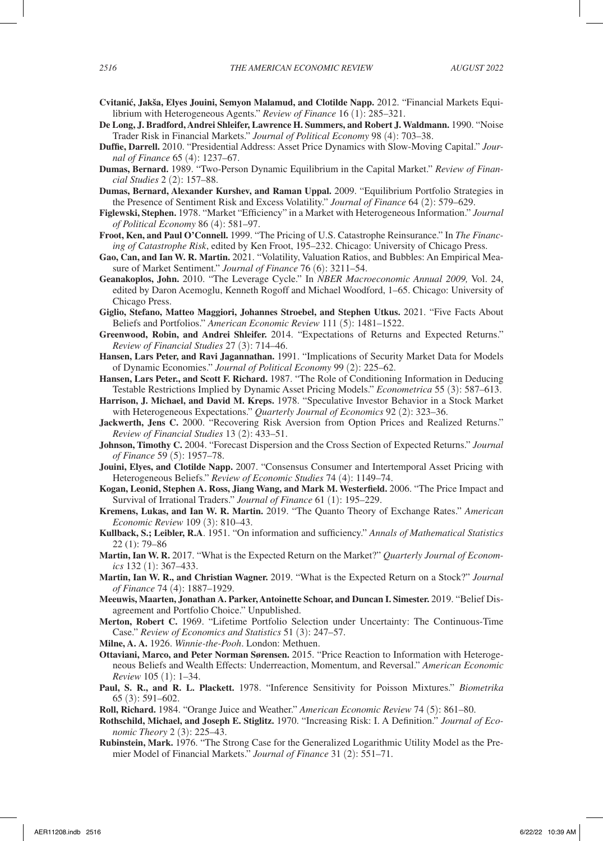- **Cvitani´c, Jakša, Elyes Jouini, Semyon Malamud, and Clotilde Napp.** 2012. "Financial Markets Equilibrium with Heterogeneous Agents." *Review of Finance* 16 (1): 285–321.
- **De Long, J. Bradford, Andrei Shleifer, Lawrence H. Summers, and Robert J. Waldmann.** 1990. "Noise Trader Risk in Financial Markets." *Journal of Political Economy* 98 (4): 703–38.
- **Duffie, Darrell.** 2010. "Presidential Address: Asset Price Dynamics with Slow-Moving Capital." *Journal of Finance* 65 (4): 1237–67.
- **Dumas, Bernard.** 1989. "Two-Person Dynamic Equilibrium in the Capital Market." *Review of Financial Studies* 2 (2): 157–88.
- **Dumas, Bernard, Alexander Kurshev, and Raman Uppal.** 2009. "Equilibrium Portfolio Strategies in the Presence of Sentiment Risk and Excess Volatility." *Journal of Finance* 64 (2): 579–629.
- **Figlewski, Stephen.** 1978. "Market "Efficiency" in a Market with Heterogeneous Information." *Journal of Political Economy* 86 (4): 581–97.
- **Froot, Ken, and Paul O'Connell.** 1999. "The Pricing of U.S. Catastrophe Reinsurance." In *The Financing of Catastrophe Risk*, edited by Ken Froot, 195–232. Chicago: University of Chicago Press.
- **Gao, Can, and Ian W. R. Martin.** 2021. "Volatility, Valuation Ratios, and Bubbles: An Empirical Measure of Market Sentiment." *Journal of Finance* 76 (6): 3211–54.
- **Geanakoplos, John.** 2010. "The Leverage Cycle." In *NBER Macroeconomic Annual 2009,* Vol. 24, edited by Daron Acemoglu, Kenneth Rogoff and Michael Woodford, 1–65. Chicago: University of Chicago Press.
- **Giglio, Stefano, Matteo Maggiori, Johannes Stroebel, and Stephen Utkus.** 2021. "Five Facts About Beliefs and Portfolios." *American Economic Review* 111 (5): 1481–1522.
- **Greenwood, Robin, and Andrei Shleifer.** 2014. "Expectations of Returns and Expected Returns." *Review of Financial Studies* 27 (3): 714–46.
- **Hansen, Lars Peter, and Ravi Jagannathan.** 1991. "Implications of Security Market Data for Models of Dynamic Economies." *Journal of Political Economy* 99 (2): 225–62.
- **Hansen, Lars Peter., and Scott F. Richard.** 1987. "The Role of Conditioning Information in Deducing Testable Restrictions Implied by Dynamic Asset Pricing Models." *Econometrica* 55 (3): 587–613.
- **Harrison, J. Michael, and David M. Kreps.** 1978. "Speculative Investor Behavior in a Stock Market with Heterogeneous Expectations." *Quarterly Journal of Economics* 92 (2): 323–36.
- **Jackwerth, Jens C.** 2000. "Recovering Risk Aversion from Option Prices and Realized Returns." *Review of Financial Studies* 13 (2): 433–51.
- **Johnson, Timothy C.** 2004. "Forecast Dispersion and the Cross Section of Expected Returns." *Journal of Finance* 59 (5): 1957–78.
- **Jouini, Elyes, and Clotilde Napp.** 2007. "Consensus Consumer and Intertemporal Asset Pricing with Heterogeneous Beliefs." *Review of Economic Studies* 74 (4): 1149–74.
- **Kogan, Leonid, Stephen A. Ross, Jiang Wang, and Mark M. Westerfield.** 2006. "The Price Impact and Survival of Irrational Traders." *Journal of Finance* 61 (1): 195–229.
- **Kremens, Lukas, and Ian W. R. Martin.** 2019. "The Quanto Theory of Exchange Rates." *American Economic Review* 109 (3): 810–43.
- **Kullback, S.; Leibler, R.A**. 1951. "On information and sufficiency." *Annals of Mathematical Statistics* 22 (1): 79–86
- **Martin, Ian W. R.** 2017. "What is the Expected Return on the Market?" *Quarterly Journal of Economics* 132 (1): 367–433.
- **Martin, Ian W. R., and Christian Wagner.** 2019. "What is the Expected Return on a Stock?" *Journal of Finance* 74 (4): 1887–1929.
- **Meeuwis, Maarten, Jonathan A. Parker, Antoinette Schoar, and Duncan I. Simester.** 2019. "Belief Disagreement and Portfolio Choice." Unpublished.
- **Merton, Robert C.** 1969. "Lifetime Portfolio Selection under Uncertainty: The Continuous-Time Case." *Review of Economics and Statistics* 51 (3): 247–57.
- **Milne, A. A.** 1926. *Winnie-the-Pooh*. London: Methuen.
- **Ottaviani, Marco, and Peter Norman Sørensen.** 2015. "Price Reaction to Information with Heterogeneous Beliefs and Wealth Effects: Underreaction, Momentum, and Reversal." *American Economic Review* 105 (1): 1–34.
- **Paul, S. R., and R. L. Plackett.** 1978. "Inference Sensitivity for Poisson Mixtures." *Biometrika* 65 (3): 591–602.
- **Roll, Richard.** 1984. "Orange Juice and Weather." *American Economic Review* 74 (5): 861–80.
- **Rothschild, Michael, and Joseph E. Stiglitz.** 1970. "Increasing Risk: I. A Definition." *Journal of Economic Theory* 2 (3): 225–43.
- **Rubinstein, Mark.** 1976. "The Strong Case for the Generalized Logarithmic Utility Model as the Premier Model of Financial Markets." *Journal of Finance* 31 (2): 551–71.